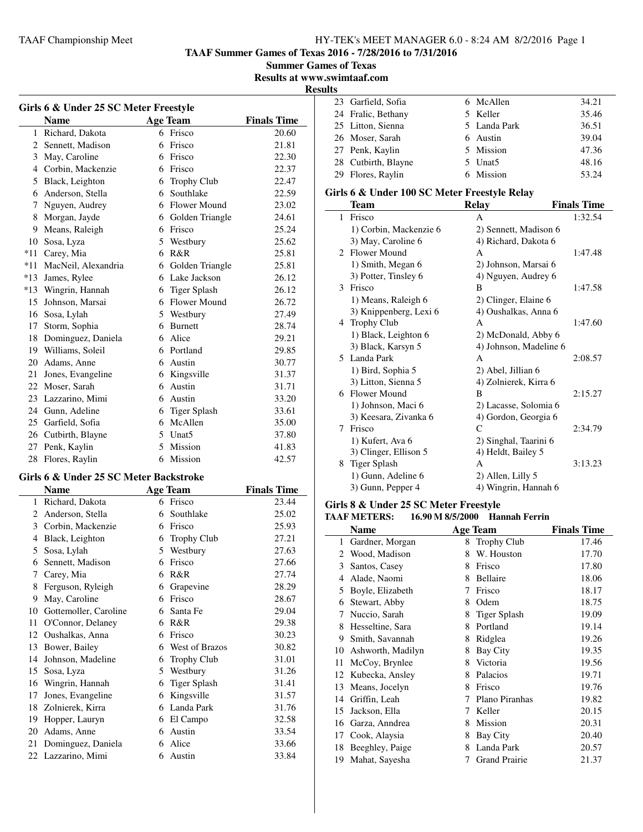**TAAF Summer Games of Texas 2016 - 7/28/2016 to 7/31/2016**

**Summer Games of Texas**

**Results at www.swimtaaf.com**

**Results**

| Girls 6 & Under 25 SC Meter Freestyle |                     |    |                     |                    |
|---------------------------------------|---------------------|----|---------------------|--------------------|
|                                       | <b>Name</b>         |    | <b>Age Team</b>     | <b>Finals Time</b> |
| 1                                     | Richard, Dakota     | 6  | Frisco              | 20.60              |
| 2                                     | Sennett, Madison    | 6  | Frisco              | 21.81              |
| 3                                     | May, Caroline       |    | 6 Frisco            | 22.30              |
| 4                                     | Corbin, Mackenzie   | 6  | Frisco              | 22.37              |
| 5                                     | Black, Leighton     | 6  | Trophy Club         | 22.47              |
| 6                                     | Anderson, Stella    | 6  | Southlake           | 22.59              |
| 7                                     | Nguyen, Audrey      |    | 6 Flower Mound      | 23.02              |
| 8                                     | Morgan, Jayde       | 6  | Golden Triangle     | 24.61              |
| 9                                     | Means, Raleigh      | 6  | Frisco              | 25.24              |
| 10                                    | Sosa, Lyza          | 5. | Westbury            | 25.62              |
| $*11$                                 | Carey, Mia          | 6  | R&R                 | 25.81              |
| $*11$                                 | MacNeil, Alexandria | 6  | Golden Triangle     | 25.81              |
| $*13$                                 | James, Rylee        |    | 6 Lake Jackson      | 26.12              |
| $*13$                                 | Wingrin, Hannah     | 6  | <b>Tiger Splash</b> | 26.12              |
| 15                                    | Johnson, Marsai     |    | 6 Flower Mound      | 26.72              |
| 16                                    | Sosa, Lylah         |    | 5 Westbury          | 27.49              |
| 17                                    | Storm, Sophia       | 6  | <b>Burnett</b>      | 28.74              |
| 18                                    | Dominguez, Daniela  |    | 6 Alice             | 29.21              |
| 19                                    | Williams, Soleil    | 6  | Portland            | 29.85              |
| 20                                    | Adams, Anne         | 6  | Austin              | 30.77              |
| 21                                    | Jones, Evangeline   | 6  | Kingsville          | 31.37              |
|                                       | 22 Moser, Sarah     | 6  | Austin              | 31.71              |
| 23                                    | Lazzarino, Mimi     | 6  | Austin              | 33.20              |
| 24                                    | Gunn, Adeline       | 6  | <b>Tiger Splash</b> | 33.61              |
| 25                                    | Garfield, Sofia     | 6  | McAllen             | 35.00              |
| 26                                    | Cutbirth, Blayne    |    | 5 Unat5             | 37.80              |
| 27                                    | Penk, Kaylin        | 5  | Mission             | 41.83              |
| 28                                    | Flores, Raylin      | 6  | Mission             | 42.57              |

### **Girls 6 & Under 25 SC Meter Backstroke**

 $\overline{a}$ 

| <b>Name</b>           |   |                    | <b>Finals Time</b> |
|-----------------------|---|--------------------|--------------------|
| Richard, Dakota       | 6 | Frisco             | 23.44              |
| Anderson, Stella      | 6 | Southlake          | 25.02              |
| Corbin, Mackenzie     | 6 | Frisco             | 25.93              |
| Black, Leighton       | 6 | <b>Trophy Club</b> | 27.21              |
| Sosa, Lylah           | 5 | Westbury           | 27.63              |
| Sennett, Madison      | 6 | Frisco             | 27.66              |
| Carey, Mia            | 6 | R&R                | 27.74              |
| Ferguson, Ryleigh     | 6 | Grapevine          | 28.29              |
| May, Caroline         | 6 | Frisco             | 28.67              |
| Gottemoller, Caroline | 6 | Santa Fe           | 29.04              |
| O'Connor, Delaney     | 6 | R&R                | 29.38              |
| Oushalkas, Anna       | 6 | Frisco             | 30.23              |
| Bower, Bailey         | 6 | West of Brazos     | 30.82              |
| Johnson, Madeline     | 6 | <b>Trophy Club</b> | 31.01              |
| Sosa, Lyza            | 5 | Westbury           | 31.26              |
| Wingrin, Hannah       | 6 | Tiger Splash       | 31.41              |
| Jones, Evangeline     | 6 | Kingsville         | 31.57              |
| Zolnierek, Kirra      | 6 | Landa Park         | 31.76              |
| Hopper, Lauryn        | 6 | El Campo           | 32.58              |
| Adams, Anne           | 6 | Austin             | 33.54              |
| Dominguez, Daniela    | 6 | Alice              | 33.66              |
| 22 Lazzarino, Mimi    | 6 | Austin             | 33.84              |
|                       |   |                    | <b>Age Team</b>    |

| 23 Garfield, Sofia  | 6 McAllen    | 34.21 |
|---------------------|--------------|-------|
| 24 Fralic, Bethany  | 5 Keller     | 35.46 |
| 25 Litton, Sienna   | 5 Landa Park | 36.51 |
| 26 Moser, Sarah     | 6 Austin     | 39.04 |
| 27 Penk, Kaylin     | 5 Mission    | 47.36 |
| 28 Cutbirth, Blayne | 5 Unat5      | 48.16 |
| 29 Flores, Raylin   | 6 Mission    | 53.24 |
|                     |              |       |

## **Girls 6 & Under 100 SC Meter Freestyle Relay**

|                             | Team                   | <b>Relay</b>           | <b>Finals Time</b> |
|-----------------------------|------------------------|------------------------|--------------------|
| $\mathbf{1}$                | Frisco                 | A                      | 1:32.54            |
|                             | 1) Corbin, Mackenzie 6 | 2) Sennett, Madison 6  |                    |
|                             | 3) May, Caroline 6     | 4) Richard, Dakota 6   |                    |
| $\mathcal{D}_{\mathcal{L}}$ | <b>Flower Mound</b>    | A                      | 1:47.48            |
|                             | 1) Smith, Megan 6      | 2) Johnson, Marsai 6   |                    |
|                             | 3) Potter, Tinsley 6   | 4) Nguyen, Audrey 6    |                    |
| 3                           | Frisco                 | B                      | 1:47.58            |
|                             | 1) Means, Raleigh 6    | 2) Clinger, Elaine 6   |                    |
|                             | 3) Knippenberg, Lexi 6 | 4) Oushalkas, Anna 6   |                    |
|                             | 4 Trophy Club          | A                      | 1:47.60            |
|                             | 1) Black, Leighton 6   | 2) McDonald, Abby 6    |                    |
|                             | 3) Black, Karsyn 5     | 4) Johnson, Madeline 6 |                    |
|                             | 5 Landa Park           | A                      | 2:08.57            |
|                             | 1) Bird, Sophia 5      | 2) Abel, Jillian 6     |                    |
|                             | 3) Litton, Sienna 5    | 4) Zolnierek, Kirra 6  |                    |
|                             | 6 Flower Mound         | B                      | 2:15.27            |
|                             | 1) Johnson, Maci 6     | 2) Lacasse, Solomia 6  |                    |
|                             | 3) Keesara, Zivanka 6  | 4) Gordon, Georgia 6   |                    |
| 7                           | Frisco                 | C                      | 2:34.79            |
|                             | 1) Kufert, Ava 6       | 2) Singhal, Taarini 6  |                    |
|                             | 3) Clinger, Ellison 5  | 4) Heldt, Bailey 5     |                    |
| 8                           | Tiger Splash           | A                      | 3:13.23            |
|                             | 1) Gunn, Adeline 6     | 2) Allen, Lilly 5      |                    |
|                             | 3) Gunn, Pepper 4      | 4) Wingrin, Hannah 6   |                    |

#### **Girls 8 & Under 25 SC Meter Freestyle TAAF METERS: 16.90 M 8/5/2000 Hannah Ferrin**

| ТААР ІЛЕТЕКІЗ:     | 10.20 M 0/3/4000 | - гіаннан гегіні |                    |
|--------------------|------------------|------------------|--------------------|
| <b>Name</b>        |                  | <b>Age Team</b>  | <b>Finals Time</b> |
| 1 Gardner, Morgan  |                  | 8 Trophy Club    | 17.46              |
| 2 Wood, Madison    | 8                | W. Houston       | 17.70              |
| 3 Santos, Casey    | 8                | Frisco           | 17.80              |
| 4 Alade, Naomi     | 8                | Bellaire         | 18.06              |
| 5 Boyle, Elizabeth |                  | Frisco           | 18.17              |
| 6 Stewart, Abby    | 8                | Odem             | 18.75              |
| 7 Nuccio, Sarah    | 8                | Tiger Splash     | 19.09              |
| 8 Hesseltine, Sara |                  | Portland         | 19.14              |

| 9. | Smith, Savannah      | 8 | Ridglea          | 19.26 |
|----|----------------------|---|------------------|-------|
|    | 10 Ashworth, Madilyn |   | 8 Bay City       | 19.35 |
|    | 11 McCoy, Brynlee    | 8 | Victoria         | 19.56 |
|    | 12 Kubecka, Ansley   |   | 8 Palacios       | 19.71 |
|    | 13 Means, Jocelyn    | 8 | Frisco           | 19.76 |
|    | 14 Griffin, Leah     |   | 7 Plano Piranhas | 19.82 |
|    | 15 Jackson, Ella     |   | Keller           | 20.15 |
|    | 16 Garza, Anndrea    |   | 8 Mission        | 20.31 |
|    | 17 Cook, Alaysia     |   | 8 Bay City       | 20.40 |
|    | 18 Beeghley, Paige   |   | 8 Landa Park     | 20.57 |
|    | 19 Mahat, Sayesha    |   | 7 Grand Prairie  | 21.37 |
|    |                      |   |                  |       |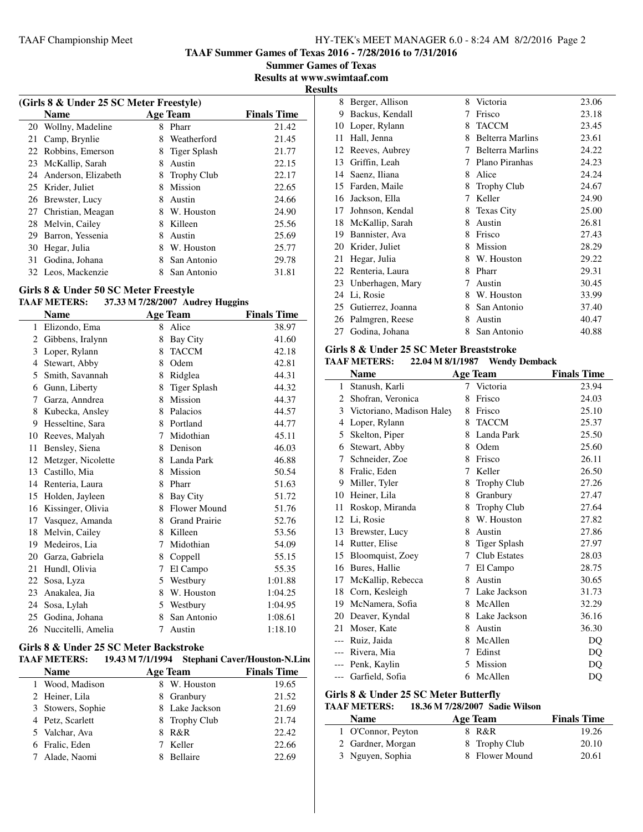**TAAF Summer Games of Texas 2016 - 7/28/2016 to 7/31/2016**

**Summer Games of Texas Results at www.swimtaaf.com**

**Results**

| (Girls 8 & Under 25 SC Meter Freestyle) |                        |   |                    |                    |  |
|-----------------------------------------|------------------------|---|--------------------|--------------------|--|
|                                         | <b>Name</b>            |   | <b>Age Team</b>    | <b>Finals Time</b> |  |
| 20                                      | Wollny, Madeline       | 8 | Pharr              | 21.42              |  |
| 21                                      | Camp, Brynlie          | 8 | Weatherford        | 21.45              |  |
| 22                                      | Robbins, Emerson       | 8 | Tiger Splash       | 21.77              |  |
| 23                                      | McKallip, Sarah        | 8 | Austin             | 22.15              |  |
|                                         | 24 Anderson, Elizabeth | 8 | <b>Trophy Club</b> | 22.17              |  |
|                                         | 25 Krider, Juliet      | 8 | Mission            | 22.65              |  |
| 26                                      | Brewster, Lucy         | 8 | Austin             | 24.66              |  |
| 27                                      | Christian, Meagan      | 8 | W. Houston         | 24.90              |  |
| 28                                      | Melvin, Cailey         | 8 | Killeen            | 25.56              |  |
| 29                                      | Barron, Yessenia       | 8 | Austin             | 25.69              |  |
| 30                                      | Hegar, Julia           | 8 | W. Houston         | 25.77              |  |
| 31                                      | Godina, Johana         | 8 | San Antonio        | 29.78              |  |
|                                         | 32 Leos, Mackenzie     | 8 | San Antonio        | 31.81              |  |

# **Girls 8 & Under 50 SC Meter Freestyle**

### **TAAF METERS: 37.33 M 7/28/2007 Audrey Huggins**

|    | <b>Name</b>        |   | <b>Age Team</b>      | <b>Finals Time</b> |
|----|--------------------|---|----------------------|--------------------|
| 1  | Elizondo, Ema      | 8 | Alice                | 38.97              |
| 2  | Gibbens, Iralynn   | 8 | Bay City             | 41.60              |
| 3  | Loper, Rylann      | 8 | <b>TACCM</b>         | 42.18              |
| 4  | Stewart, Abby      | 8 | Odem                 | 42.81              |
| 5. | Smith, Savannah    | 8 | Ridglea              | 44.31              |
| 6  | Gunn, Liberty      | 8 | <b>Tiger Splash</b>  | 44.32              |
| 7  | Garza, Anndrea     | 8 | Mission              | 44.37              |
| 8  | Kubecka, Ansley    | 8 | Palacios             | 44.57              |
| 9  | Hesseltine, Sara   | 8 | Portland             | 44.77              |
| 10 | Reeves, Malyah     | 7 | Midothian            | 45.11              |
| 11 | Bensley, Siena     | 8 | Denison              | 46.03              |
| 12 | Metzger, Nicolette | 8 | Landa Park           | 46.88              |
| 13 | Castillo, Mia      | 8 | Mission              | 50.54              |
| 14 | Renteria, Laura    | 8 | Pharr                | 51.63              |
| 15 | Holden, Jayleen    | 8 | <b>Bay City</b>      | 51.72              |
| 16 | Kissinger, Olivia  | 8 | Flower Mound         | 51.76              |
| 17 | Vasquez, Amanda    | 8 | <b>Grand Prairie</b> | 52.76              |
| 18 | Melvin, Cailey     | 8 | Killeen              | 53.56              |
| 19 | Medeiros, Lia      | 7 | Midothian            | 54.09              |
| 20 | Garza, Gabriela    | 8 | Coppell              | 55.15              |
| 21 | Hundl, Olivia      | 7 | El Campo             | 55.35              |
| 22 | Sosa, Lyza         | 5 | Westbury             | 1:01.88            |
| 23 | Anakalea, Jia      | 8 | W. Houston           | 1:04.25            |
| 24 | Sosa, Lylah        | 5 | Westbury             | 1:04.95            |
| 25 | Godina, Johana     | 8 | San Antonio          | 1:08.61            |
| 26 | Nuccitelli, Amelia | 7 | Austin               | 1:18.10            |

### **Girls 8 & Under 25 SC Meter Backstroke**

| <b>TAAF METERS:</b> | 19.43 M 7/1/1994 |                 | <b>Stephani Caver/Houston-N.Line</b> |
|---------------------|------------------|-----------------|--------------------------------------|
| <b>Name</b>         |                  | <b>Age Team</b> | <b>Finals Time</b>                   |
| 1 Wood, Madison     | 8                | W. Houston      | 19.65                                |
| 2 Heiner, Lila      |                  | 8 Granbury      | 21.52                                |
| 3 Stowers, Sophie   |                  | 8 Lake Jackson  | 21.69                                |
| 4 Petz, Scarlett    |                  | 8 Trophy Club   | 21.74                                |
| 5 Valchar, Ava      | 8                | R&R             | 22.42                                |
| 6 Fralic, Eden      |                  | Keller          | 22.66                                |
| Alade, Naomi        | x                | Bellaire        | 22.69                                |

| 8  | Berger, Allison   | 8 | Victoria                | 23.06 |
|----|-------------------|---|-------------------------|-------|
| 9  | Backus, Kendall   | 7 | Frisco                  | 23.18 |
| 10 | Loper, Rylann     | 8 | <b>TACCM</b>            | 23.45 |
| 11 | Hall, Jenna       | 8 | <b>Belterra Marlins</b> | 23.61 |
| 12 | Reeves, Aubrey    | 7 | <b>Belterra Marlins</b> | 24.22 |
| 13 | Griffin, Leah     | 7 | Plano Piranhas          | 24.23 |
| 14 | Saenz, Iliana     | 8 | Alice                   | 24.24 |
| 15 | Farden, Maile     | 8 | <b>Trophy Club</b>      | 24.67 |
| 16 | Jackson, Ella     | 7 | Keller                  | 24.90 |
| 17 | Johnson, Kendal   | 8 | <b>Texas City</b>       | 25.00 |
| 18 | McKallip, Sarah   | 8 | Austin                  | 26.81 |
| 19 | Bannister, Ava    | 8 | Frisco                  | 27.43 |
| 20 | Krider, Juliet    | 8 | Mission                 | 28.29 |
| 21 | Hegar, Julia      | 8 | W. Houston              | 29.22 |
| 22 | Renteria, Laura   | 8 | Pharr                   | 29.31 |
| 23 | Unberhagen, Mary  | 7 | Austin                  | 30.45 |
| 24 | Li, Rosie         | 8 | W. Houston              | 33.99 |
| 25 | Gutierrez, Joanna | 8 | San Antonio             | 37.40 |
| 26 | Palmgren, Reese   | 8 | Austin                  | 40.47 |
| 27 | Godina, Johana    | 8 | San Antonio             | 40.88 |

#### **Girls 8 & Under 25 SC Meter Breaststroke TAAF METERS: 22.04 M 8/1/1987 Wendy Demback**

| IAAF METEKS:<br>22.04 M 8/1/1987 - Wendy Demback |                           |   |                     |                    |
|--------------------------------------------------|---------------------------|---|---------------------|--------------------|
|                                                  | <b>Name</b>               |   | <b>Age Team</b>     | <b>Finals Time</b> |
| 1                                                | Stanush, Karli            | 7 | Victoria            | 23.94              |
| 2                                                | Shofran, Veronica         | 8 | Frisco              | 24.03              |
| 3                                                | Victoriano, Madison Haley | 8 | Frisco              | 25.10              |
| 4                                                | Loper, Rylann             | 8 | <b>TACCM</b>        | 25.37              |
| 5                                                | Skelton, Piper            | 8 | Landa Park          | 25.50              |
| 6                                                | Stewart, Abby             | 8 | Odem                | 25.60              |
| 7                                                | Schneider, Zoe            | 8 | Frisco              | 26.11              |
| 8                                                | Fralic, Eden              | 7 | Keller              | 26.50              |
| 9                                                | Miller, Tyler             | 8 | <b>Trophy Club</b>  | 27.26              |
| 10                                               | Heiner, Lila              | 8 | Granbury            | 27.47              |
| 11                                               | Roskop, Miranda           | 8 | <b>Trophy Club</b>  | 27.64              |
| 12                                               | Li, Rosie                 | 8 | W. Houston          | 27.82              |
| 13                                               | Brewster, Lucy            | 8 | Austin              | 27.86              |
| 14                                               | Rutter, Elise             | 8 | Tiger Splash        | 27.97              |
| 15                                               | Bloomquist, Zoey          | 7 | <b>Club Estates</b> | 28.03              |
| 16                                               | Bures, Hallie             | 7 | El Campo            | 28.75              |
| 17                                               | McKallip, Rebecca         | 8 | Austin              | 30.65              |
| 18                                               | Corn, Kesleigh            | 7 | Lake Jackson        | 31.73              |
| 19                                               | McNamera, Sofia           | 8 | McAllen             | 32.29              |
| 20                                               | Deaver, Kyndal            | 8 | Lake Jackson        | 36.16              |
| 21                                               | Moser, Kate               | 8 | Austin              | 36.30              |
| $---$                                            | Ruiz, Jaida               | 8 | McAllen             | DQ                 |
| $---$                                            | Rivera, Mia               | 7 | Edinst              | DQ                 |
|                                                  | Penk, Kaylin              | 5 | Mission             | DQ                 |
| $---$                                            | Garfield, Sofia           | 6 | McAllen             | DQ                 |

#### **Girls 8 & Under 25 SC Meter Butterfly**

 $\overline{\phantom{0}}$ 

#### **TAAF METERS: 18.36 M 7/28/2007 Sadie Wilson**

| <b>Name</b>        | Age Team       | <b>Finals Time</b> |
|--------------------|----------------|--------------------|
| 1 O'Connor, Peyton | 8 R&R          | 19.26              |
| 2 Gardner, Morgan  | 8 Trophy Club  | 20.10              |
| 3 Nguyen, Sophia   | 8 Flower Mound | 20.61              |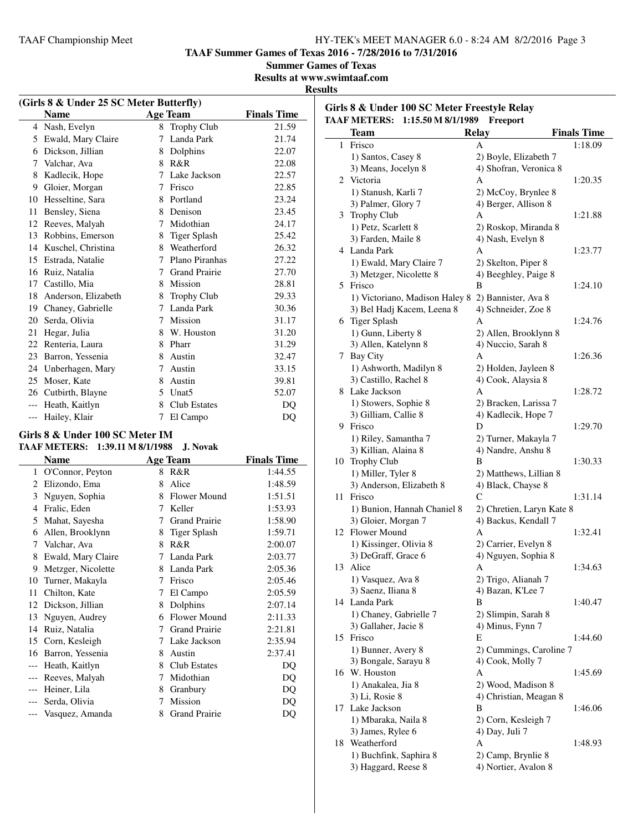**TAAF Summer Games of Texas 2016 - 7/28/2016 to 7/31/2016**

**Summer Games of Texas**

**Results at www.swimtaaf.com**

#### **Results**

| (Girls 8 & Under 25 SC Meter Butterfly) |                     |    |                      |                    |  |
|-----------------------------------------|---------------------|----|----------------------|--------------------|--|
|                                         | <b>Name</b>         |    | <b>Age Team</b>      | <b>Finals Time</b> |  |
|                                         | 4 Nash, Evelyn      | 8  | <b>Trophy Club</b>   | 21.59              |  |
| 5                                       | Ewald, Mary Claire  | 7  | Landa Park           | 21.74              |  |
| 6                                       | Dickson, Jillian    | 8  | Dolphins             | 22.07              |  |
| 7                                       | Valchar, Ava        | 8  | R&R                  | 22.08              |  |
| 8                                       | Kadlecik, Hope      | 7  | Lake Jackson         | 22.57              |  |
| 9                                       | Gloier, Morgan      | 7  | Frisco               | 22.85              |  |
| 10                                      | Hesseltine, Sara    |    | 8 Portland           | 23.24              |  |
| 11                                      | Bensley, Siena      | 8  | Denison              | 23.45              |  |
| 12                                      | Reeves, Malyah      | 7  | Midothian            | 24.17              |  |
| 13                                      | Robbins, Emerson    | 8  | Tiger Splash         | 25.42              |  |
| 14                                      | Kuschel, Christina  |    | 8 Weatherford        | 26.32              |  |
| 15                                      | Estrada, Natalie    | 7  | Plano Piranhas       | 27.22              |  |
| 16                                      | Ruiz, Natalia       | 7  | <b>Grand Prairie</b> | 27.70              |  |
| 17                                      | Castillo, Mia       | 8  | Mission              | 28.81              |  |
| 18                                      | Anderson, Elizabeth | 8  | <b>Trophy Club</b>   | 29.33              |  |
| 19                                      | Chaney, Gabrielle   | 7  | Landa Park           | 30.36              |  |
| 20                                      | Serda, Olivia       | 7  | Mission              | 31.17              |  |
| 21                                      | Hegar, Julia        | 8  | W. Houston           | 31.20              |  |
| 22                                      | Renteria, Laura     | 8  | Pharr                | 31.29              |  |
| 23                                      | Barron, Yessenia    | 8  | Austin               | 32.47              |  |
| 24                                      | Unberhagen, Mary    | 7  | Austin               | 33.15              |  |
| 25                                      | Moser, Kate         | 8  | Austin               | 39.81              |  |
| 26                                      | Cutbirth, Blayne    | 5. | Unat <sub>5</sub>    | 52.07              |  |
| $---$                                   | Heath, Kaitlyn      | 8  | <b>Club Estates</b>  | DO                 |  |
| $---$                                   | Hailey, Klair       | 7  | El Campo             | DQ                 |  |
|                                         |                     |    |                      |                    |  |

# **Girls 8 & Under 100 SC Meter IM**

| <b>TAAF METERS:</b> 1:39.11 M 8/1/1988 J. Novak |  |
|-------------------------------------------------|--|
|                                                 |  |

|       | Name               |   | <b>Age Team</b>      | <b>Finals Time</b> |
|-------|--------------------|---|----------------------|--------------------|
| 1     | O'Connor, Peyton   | 8 | R&R                  | 1:44.55            |
| 2     | Elizondo, Ema      | 8 | Alice                | 1:48.59            |
| 3     | Nguyen, Sophia     | 8 | Flower Mound         | 1:51.51            |
| 4     | Fralic, Eden       | 7 | Keller               | 1:53.93            |
| 5     | Mahat, Sayesha     | 7 | <b>Grand Prairie</b> | 1:58.90            |
| 6     | Allen, Brooklynn   | 8 | <b>Tiger Splash</b>  | 1:59.71            |
| 7     | Valchar, Ava       | 8 | R&R                  | 2:00.07            |
| 8     | Ewald, Mary Claire | 7 | Landa Park           | 2:03.77            |
| 9     | Metzger, Nicolette | 8 | Landa Park           | 2:05.36            |
| 10    | Turner, Makayla    | 7 | Frisco               | 2:05.46            |
| 11    | Chilton, Kate      | 7 | El Campo             | 2:05.59            |
| 12    | Dickson, Jillian   | 8 | Dolphins             | 2:07.14            |
| 13    | Nguyen, Audrey     | 6 | <b>Flower Mound</b>  | 2:11.33            |
| 14    | Ruiz, Natalia      | 7 | <b>Grand Prairie</b> | 2:21.81            |
| 15    | Corn, Kesleigh     | 7 | Lake Jackson         | 2:35.94            |
| 16    | Barron, Yessenia   | 8 | Austin               | 2:37.41            |
|       | Heath, Kaitlyn     | 8 | <b>Club Estates</b>  | DQ                 |
|       | Reeves, Malyah     | 7 | Midothian            | DQ                 |
| $---$ | Heiner, Lila       | 8 | Granbury             | DQ                 |
| ---   | Serda, Olivia      | 7 | Mission              | DQ                 |
|       | Vasquez, Amanda    | 8 | <b>Grand Prairie</b> | DQ                 |
|       |                    |   |                      |                    |

|    | Girls 8 & Under 100 SC Meter Freestyle Relay<br>TAAF METERS: 1:15.50 M 8/1/1989 | Freeport                  |                    |
|----|---------------------------------------------------------------------------------|---------------------------|--------------------|
|    | <b>Team</b>                                                                     | Relay                     | <b>Finals Time</b> |
|    | 1 Frisco                                                                        | A                         | 1:18.09            |
|    | 1) Santos, Casey 8                                                              | 2) Boyle, Elizabeth 7     |                    |
|    | 3) Means, Jocelyn 8                                                             | 4) Shofran, Veronica 8    |                    |
|    | 2 Victoria                                                                      | А                         | 1:20.35            |
|    | 1) Stanush, Karli 7                                                             | 2) McCoy, Brynlee 8       |                    |
|    | 3) Palmer, Glory 7                                                              | 4) Berger, Allison 8      |                    |
|    | 3 Trophy Club                                                                   | А                         | 1:21.88            |
|    | 1) Petz, Scarlett 8                                                             | 2) Roskop, Miranda 8      |                    |
|    | 3) Farden, Maile 8                                                              | 4) Nash, Evelyn 8         |                    |
|    | 4 Landa Park                                                                    | Α                         | 1:23.77            |
|    | 1) Ewald, Mary Claire 7                                                         | 2) Skelton, Piper 8       |                    |
|    | 3) Metzger, Nicolette 8                                                         | 4) Beeghley, Paige 8      |                    |
|    | 5 Frisco                                                                        | В                         | 1:24.10            |
|    | 1) Victoriano, Madison Haley 8                                                  | 2) Bannister, Ava 8       |                    |
|    | 3) Bel Hadj Kacem, Leena 8                                                      | 4) Schneider, Zoe 8       |                    |
|    | 6 Tiger Splash                                                                  | A                         | 1:24.76            |
|    | 1) Gunn, Liberty 8                                                              |                           |                    |
|    |                                                                                 | 2) Allen, Brooklynn 8     |                    |
|    | 3) Allen, Katelynn 8<br>7 Bay City                                              | 4) Nuccio, Sarah 8<br>А   |                    |
|    |                                                                                 |                           | 1:26.36            |
|    | 1) Ashworth, Madilyn 8                                                          | 2) Holden, Jayleen 8      |                    |
|    | 3) Castillo, Rachel 8                                                           | 4) Cook, Alaysia 8        |                    |
|    | 8 Lake Jackson                                                                  | А                         | 1:28.72            |
|    | 1) Stowers, Sophie 8                                                            | 2) Bracken, Larissa 7     |                    |
|    | 3) Gilliam, Callie 8                                                            | 4) Kadlecik, Hope 7       |                    |
|    | 9 Frisco                                                                        | D                         | 1:29.70            |
|    | 1) Riley, Samantha 7                                                            | 2) Turner, Makayla 7      |                    |
|    | 3) Killian, Alaina 8                                                            | 4) Nandre, Anshu 8        |                    |
|    | 10 Trophy Club                                                                  | B                         | 1:30.33            |
|    | 1) Miller, Tyler 8                                                              | 2) Matthews, Lillian 8    |                    |
|    | 3) Anderson, Elizabeth 8                                                        | 4) Black, Chayse 8        |                    |
| 11 | Frisco                                                                          | С                         | 1:31.14            |
|    | 1) Bunion, Hannah Chaniel 8                                                     | 2) Chretien, Laryn Kate 8 |                    |
|    | 3) Gloier, Morgan 7                                                             | 4) Backus, Kendall 7      |                    |
|    | 12 Flower Mound                                                                 | А                         | 1:32.41            |
|    | 1) Kissinger, Olivia 8                                                          | 2) Carrier, Evelyn 8      |                    |
|    | 3) DeGraff, Grace 6                                                             | 4) Nguyen, Sophia 8       |                    |
|    | 13 Alice                                                                        | А                         | 1:34.63            |
|    | 1) Vasquez, Ava 8                                                               | 2) Trigo, Alianah 7       |                    |
|    | 3) Saenz, Iliana 8                                                              | 4) Bazan, K'Lee 7         |                    |
|    | 14 Landa Park                                                                   | B                         | 1:40.47            |
|    | 1) Chaney, Gabrielle 7                                                          | 2) Slimpin, Sarah 8       |                    |
|    | 3) Gallaher, Jacie 8                                                            | 4) Minus, Fynn 7          |                    |
|    | 15 Frisco                                                                       | Е                         | 1:44.60            |
|    | 1) Bunner, Avery 8                                                              | 2) Cummings, Caroline 7   |                    |
|    | 3) Bongale, Sarayu 8                                                            | 4) Cook, Molly 7          |                    |
|    | 16 W. Houston                                                                   | Α                         | 1:45.69            |
|    | 1) Anakalea, Jia 8                                                              | 2) Wood, Madison 8        |                    |
|    | 3) Li, Rosie 8                                                                  | 4) Christian, Meagan 8    |                    |
|    | 17 Lake Jackson                                                                 | B                         | 1:46.06            |
|    | 1) Mbaraka, Naila 8                                                             | 2) Corn, Kesleigh 7       |                    |
|    | 3) James, Rylee 6                                                               | 4) Day, Juli 7            |                    |
|    | 18 Weatherford                                                                  | А                         | 1:48.93            |
|    | 1) Buchfink, Saphira 8                                                          | 2) Camp, Brynlie 8        |                    |
|    | 3) Haggard, Reese 8                                                             | 4) Nortier, Avalon 8      |                    |
|    |                                                                                 |                           |                    |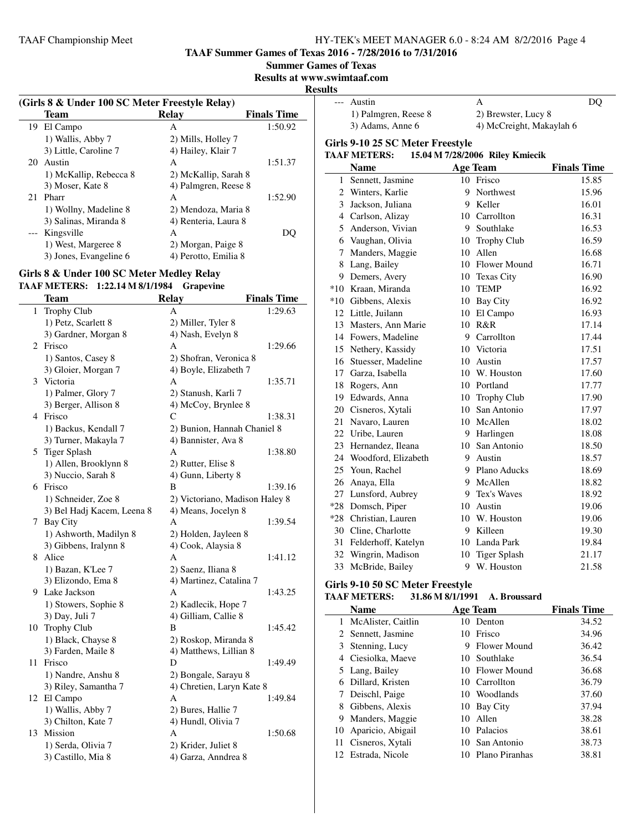**TAAF Summer Games of Texas 2016 - 7/28/2016 to 7/31/2016**

**Summer Games of Texas**

**Results at www.swimtaaf.com**

#### **Results**

| (Girls 8 & Under 100 SC Meter Freestyle Relay) |                        |                      |                          |  |
|------------------------------------------------|------------------------|----------------------|--------------------------|--|
|                                                | Team                   | Relay                | <b>Finals Time</b>       |  |
| 19                                             | El Campo               | A                    | 1:50.92                  |  |
|                                                | 1) Wallis, Abby 7      | 2) Mills, Holley 7   |                          |  |
|                                                | 3) Little, Caroline 7  | 4) Hailey, Klair 7   |                          |  |
|                                                | 20 Austin              | A                    | 1:51.37                  |  |
|                                                | 1) McKallip, Rebecca 8 | 2) McKallip, Sarah 8 |                          |  |
|                                                | 3) Moser, Kate 8       | 4) Palmgren, Reese 8 |                          |  |
| 21                                             | Pharr                  | A                    | 1:52.90                  |  |
|                                                | 1) Wollny, Madeline 8  | 2) Mendoza, Maria 8  |                          |  |
|                                                | 3) Salinas, Miranda 8  | 4) Renteria, Laura 8 |                          |  |
|                                                | --- Kingsville         | A                    | $\overline{\phantom{a}}$ |  |
|                                                | 1) West, Margeree 8    | 2) Morgan, Paige 8   |                          |  |
|                                                | 3) Jones, Evangeline 6 | 4) Perotto, Emilia 8 |                          |  |

# **Girls 8 & Under 100 SC Meter Medley Relay**

**TAAF METERS: 1:22.14 M 8/1/1984 Grapevine**

|    | <b>Team</b>                | <b>Relay</b>                   | <b>Finals Time</b> |
|----|----------------------------|--------------------------------|--------------------|
| 1  | Trophy Club                | A                              | 1:29.63            |
|    | 1) Petz, Scarlett 8        | 2) Miller, Tyler 8             |                    |
|    | 3) Gardner, Morgan 8       | 4) Nash, Evelyn 8              |                    |
|    | 2 Frisco                   | A                              | 1:29.66            |
|    | 1) Santos, Casey 8         | 2) Shofran, Veronica 8         |                    |
|    | 3) Gloier, Morgan 7        | 4) Boyle, Elizabeth 7          |                    |
|    | 3 Victoria                 | A                              | 1:35.71            |
|    | 1) Palmer, Glory 7         | 2) Stanush, Karli 7            |                    |
|    | 3) Berger, Allison 8       | 4) McCoy, Brynlee 8            |                    |
|    | 4 Frisco                   | C                              | 1:38.31            |
|    | 1) Backus, Kendall 7       | 2) Bunion, Hannah Chaniel 8    |                    |
|    | 3) Turner, Makayla 7       | 4) Bannister, Ava 8            |                    |
|    | 5 Tiger Splash             | A                              | 1:38.80            |
|    | 1) Allen, Brooklynn 8      | 2) Rutter, Elise 8             |                    |
|    | 3) Nuccio, Sarah 8         | 4) Gunn, Liberty 8             |                    |
|    | 6 Frisco                   | B                              | 1:39.16            |
|    | 1) Schneider, Zoe 8        | 2) Victoriano, Madison Haley 8 |                    |
|    | 3) Bel Hadj Kacem, Leena 8 | 4) Means, Jocelyn 8            |                    |
| 7  | Bay City                   | A                              | 1:39.54            |
|    | 1) Ashworth, Madilyn 8     | 2) Holden, Jayleen 8           |                    |
|    | 3) Gibbens, Iralynn 8      | 4) Cook, Alaysia 8             |                    |
|    | 8 Alice                    | А                              | 1:41.12            |
|    | 1) Bazan, K'Lee 7          | 2) Saenz, Iliana 8             |                    |
|    | 3) Elizondo, Ema 8         | 4) Martinez, Catalina 7        |                    |
|    | 9 Lake Jackson             | Α                              | 1:43.25            |
|    | 1) Stowers, Sophie 8       | 2) Kadlecik, Hope 7            |                    |
|    | 3) Day, Juli 7             | 4) Gilliam, Callie 8           |                    |
| 10 | Trophy Club                | B                              | 1:45.42            |
|    | 1) Black, Chayse 8         | 2) Roskop, Miranda 8           |                    |
|    | 3) Farden, Maile 8         | 4) Matthews, Lillian 8         |                    |
| 11 | Frisco                     | D                              | 1:49.49            |
|    | 1) Nandre, Anshu 8         | 2) Bongale, Sarayu 8           |                    |
|    | 3) Riley, Samantha 7       | 4) Chretien, Laryn Kate 8      |                    |
| 12 | El Campo                   | A                              | 1:49.84            |
|    | 1) Wallis, Abby 7          | 2) Bures, Hallie 7             |                    |
|    | 3) Chilton, Kate 7         | 4) Hundl, Olivia 7             |                    |
| 13 | Mission                    | А                              | 1:50.68            |
|    | 1) Serda, Olivia 7         | 2) Krider, Juliet 8            |                    |
|    | 3) Castillo, Mia 8         | 4) Garza, Anndrea 8            |                    |

| ຺     |                                                |                                 |                    |
|-------|------------------------------------------------|---------------------------------|--------------------|
| $---$ | Austin                                         | А                               | DQ                 |
|       | 1) Palmgren, Reese 8                           | 2) Brewster, Lucy 8             |                    |
|       | 3) Adams, Anne 6                               | 4) McCreight, Makaylah 6        |                    |
|       | Girls 9-10 25 SC Meter Freestyle               |                                 |                    |
|       | <b>TAAF METERS:</b>                            | 15.04 M 7/28/2006 Riley Kmiecik |                    |
|       | <b>Name</b>                                    | <b>Age Team</b>                 | <b>Finals Time</b> |
|       | 1 Sennett, Jasmine                             | 10 Frisco                       | 15.85              |
|       | 2 Winters, Karlie                              | 9 Northwest                     | 15.96              |
|       | 3 Jackson, Juliana                             | 9 Keller                        | 16.01              |
|       | 4 Carlson, Alizay                              | 10 Carrollton                   | 16.31              |
|       | 5 Anderson, Vivian                             | 9 Southlake                     | 16.53              |
|       | 6 Vaughan, Olivia                              | 10 Trophy Club                  | 16.59              |
|       | 7 Manders, Maggie                              | 10 Allen                        | 16.68              |
|       | 8 Lang, Bailey                                 | 10 Flower Mound                 | 16.71              |
|       | 9 Demers, Avery                                | 10 Texas City                   | 16.90              |
|       | *10 Kraan, Miranda                             | 10 TEMP                         | 16.92              |
|       | *10 Gibbens, Alexis                            | 10 Bay City                     | 16.92              |
|       | 12 Little, Juilann                             | 10 El Campo                     | 16.93              |
|       | 13 Masters, Ann Marie                          | 10 R&R                          | 17.14              |
|       | 14 Fowers, Madeline                            | 9 Carrollton                    | 17.44              |
|       | 15 Nethery, Kassidy                            | 10 Victoria                     | 17.51              |
|       | 16 Stuesser, Madeline                          | 10 Austin                       | 17.57              |
|       | 17 Garza, Isabella                             | 10 W. Houston                   | 17.60              |
|       | 18 Rogers, Ann                                 | 10 Portland                     | 17.77              |
|       | 19 Edwards, Anna                               | 10 Trophy Club                  | 17.90              |
|       | 20 Cisneros, Xytali                            | 10 San Antonio                  | 17.97              |
|       | 21 Navaro, Lauren                              | 10 McAllen                      | 18.02              |
|       | 22 Uribe, Lauren                               | 9 Harlingen                     | 18.08              |
|       | 23 Hernandez, Ileana                           | 10 San Antonio                  | 18.50              |
|       | 24 Woodford, Elizabeth                         | 9 Austin                        | 18.57              |
|       | 25 Youn, Rachel                                | 9 Plano Aducks                  | 18.69              |
|       | 26 Anaya, Ella                                 | 9 McAllen                       | 18.82              |
|       | 27 Lunsford, Aubrey                            | 9 Tex's Waves                   | 18.92              |
|       | *28 Domsch, Piper                              | 10 Austin                       | 19.06              |
|       | *28 Christian, Lauren                          | 10 W. Houston                   | 19.06              |
|       | 30 Cline, Charlotte                            | 9 Killeen                       | 19.30              |
|       | 31 Felderhoff, Katelyn                         | 10 Landa Park                   | 19.84              |
|       | 32 Wingrin, Madison                            | 10 Tiger Splash                 | 21.17              |
|       | 33 McBride, Bailey                             | 9 W. Houston                    | 21.58              |
|       | Girls 9-10 50 SC Meter Freestyle               |                                 |                    |
|       | TA A F METEDS: 31 Q 6 M Q /1 /1001 A Broussord |                                 |                    |

| <b>TAAF METERS:</b> | 31.86 M 8/1/1991 | A. Broussard |  |
|---------------------|------------------|--------------|--|
| Name                | A ga Taam        |              |  |

|    | Name                 |    | <b>Age Team</b>     | <b>Finals Time</b> |
|----|----------------------|----|---------------------|--------------------|
|    | McAlister, Caitlin   | 10 | Denton              | 34.52              |
|    | Sennett, Jasmine     | 10 | Frisco              | 34.96              |
| 3  | Stenning, Lucy       |    | <b>Flower Mound</b> | 36.42              |
|    | 4 Ciesiolka, Maeve   |    | 10 Southlake        | 36.54              |
|    | 5 Lang, Bailey       | 10 | Flower Mound        | 36.68              |
| 6  | Dillard, Kristen     | 10 | Carrollton          | 36.79              |
| 7  | Deischl, Paige       | 10 | Woodlands           | 37.60              |
| 8  | Gibbens, Alexis      |    | 10 Bay City         | 37.94              |
| 9. | Manders, Maggie      | 10 | Allen               | 38.28              |
|    | 10 Aparicio, Abigail | 10 | Palacios            | 38.61              |
| 11 | Cisneros, Xytali     | 10 | San Antonio         | 38.73              |
| 12 | Estrada, Nicole      | 10 | Plano Piranhas      | 38.81              |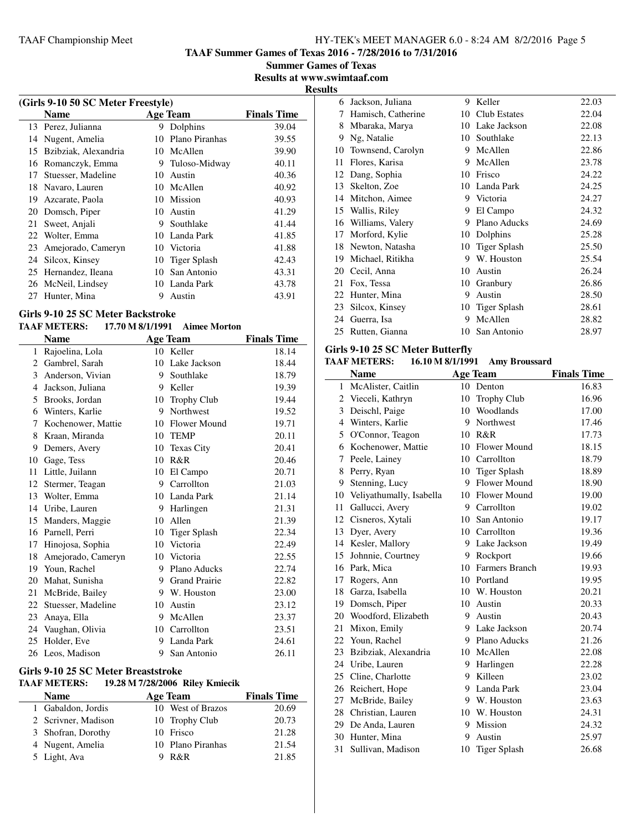**TAAF Summer Games of Texas 2016 - 7/28/2016 to 7/31/2016**

**Summer Games of Texas Results at www.swimtaaf.com**

**Results**

| (Girls 9-10 50 SC Meter Freestyle) |                      |    |                |                    |  |
|------------------------------------|----------------------|----|----------------|--------------------|--|
|                                    | <b>Name</b>          |    | Age Team       | <b>Finals Time</b> |  |
| 13                                 | Perez, Julianna      | 9  | Dolphins       | 39.04              |  |
| 14                                 | Nugent, Amelia       | 10 | Plano Piranhas | 39.55              |  |
| 15                                 | Bzibziak, Alexandria |    | 10 McAllen     | 39.90              |  |
| 16                                 | Romanczyk, Emma      | 9  | Tuloso-Midway  | 40.11              |  |
| 17                                 | Stuesser, Madeline   | 10 | Austin         | 40.36              |  |
| 18                                 | Navaro, Lauren       |    | 10 McAllen     | 40.92              |  |
| 19                                 | Azcarate, Paola      | 10 | Mission        | 40.93              |  |
| 20                                 | Domsch, Piper        | 10 | Austin         | 41.29              |  |
| 21                                 | Sweet, Anjali        | 9  | Southlake      | 41.44              |  |
| 22                                 | Wolter, Emma         |    | 10 Landa Park  | 41.85              |  |
| 23                                 | Amejorado, Cameryn   |    | 10 Victoria    | 41.88              |  |
| 24                                 | Silcox, Kinsey       | 10 | Tiger Splash   | 42.43              |  |
| 25                                 | Hernandez, Ileana    | 10 | San Antonio    | 43.31              |  |
| 26                                 | McNeil, Lindsey      | 10 | Landa Park     | 43.78              |  |
| 27                                 | Hunter, Mina         | 9  | Austin         | 43.91              |  |
|                                    |                      |    |                |                    |  |

# **Girls 9-10 25 SC Meter Backstroke**

# **TAAF METERS: 17.70 M 8/1/1991 Aimee Morton**

|    | <b>Name</b>        |    | <b>Age Team</b>      | <b>Finals Time</b> |
|----|--------------------|----|----------------------|--------------------|
| 1  | Rajoelina, Lola    | 10 | Keller               | 18.14              |
| 2  | Gambrel, Sarah     | 10 | Lake Jackson         | 18.44              |
| 3  | Anderson, Vivian   | 9  | Southlake            | 18.79              |
| 4  | Jackson, Juliana   | 9  | Keller               | 19.39              |
| 5  | Brooks, Jordan     | 10 | Trophy Club          | 19.44              |
| 6  | Winters, Karlie    | 9  | Northwest            | 19.52              |
| 7  | Kochenower, Mattie | 10 | Flower Mound         | 19.71              |
| 8  | Kraan, Miranda     | 10 | <b>TEMP</b>          | 20.11              |
| 9  | Demers, Avery      | 10 | <b>Texas City</b>    | 20.41              |
| 10 | Gage, Tess         | 10 | R&R                  | 20.46              |
| 11 | Little, Juilann    | 10 | El Campo             | 20.71              |
| 12 | Stermer, Teagan    | 9  | Carrollton           | 21.03              |
| 13 | Wolter, Emma       | 10 | Landa Park           | 21.14              |
| 14 | Uribe, Lauren      | 9  | Harlingen            | 21.31              |
| 15 | Manders, Maggie    | 10 | Allen                | 21.39              |
| 16 | Parnell, Perri     | 10 | <b>Tiger Splash</b>  | 22.34              |
| 17 | Hinojosa, Sophia   | 10 | Victoria             | 22.49              |
| 18 | Amejorado, Cameryn | 10 | Victoria             | 22.55              |
| 19 | Youn, Rachel       | 9  | Plano Aducks         | 22.74              |
| 20 | Mahat, Sunisha     | 9  | <b>Grand Prairie</b> | 22.82              |
| 21 | McBride, Bailey    | 9  | W. Houston           | 23.00              |
| 22 | Stuesser, Madeline | 10 | Austin               | 23.12              |
| 23 | Anaya, Ella        | 9  | McAllen              | 23.37              |
| 24 | Vaughan, Olivia    | 10 | Carrollton           | 23.51              |
| 25 | Holder, Eve        | 9  | Landa Park           | 24.61              |
|    | 26 Leos, Madison   | 9  | San Antonio          | 26.11              |

# **Girls 9-10 25 SC Meter Breaststroke**

# **TAAF METERS: 19.28 M 7/28/2006 Riley Kmiecik**

| <b>Name</b>         | Age Team          | <b>Finals Time</b> |
|---------------------|-------------------|--------------------|
| 1 Gabaldon, Jordis  | 10 West of Brazos | 20.69              |
| 2 Scrivner, Madison | 10 Trophy Club    | 20.73              |
| 3 Shofran, Dorothy  | 10 Frisco         | 21.28              |
| 4 Nugent, Amelia    | 10 Plano Piranhas | 21.54              |
| 5 Light, Ava        | R&R               | 21.85              |

| 6  | Jackson, Juliana   | 9  | Keller              | 22.03 |
|----|--------------------|----|---------------------|-------|
| 7  | Hamisch, Catherine | 10 | <b>Club Estates</b> | 22.04 |
| 8  | Mbaraka, Marya     | 10 | Lake Jackson        | 22.08 |
| 9  | Ng, Natalie        | 10 | Southlake           | 22.13 |
| 10 | Townsend, Carolyn  | 9  | McAllen             | 22.86 |
| 11 | Flores, Karisa     | 9  | McAllen             | 23.78 |
| 12 | Dang, Sophia       | 10 | Frisco              | 24.22 |
| 13 | Skelton, Zoe       | 10 | Landa Park          | 24.25 |
| 14 | Mitchon, Aimee     | 9  | Victoria            | 24.27 |
| 15 | Wallis, Riley      | 9  | El Campo            | 24.32 |
| 16 | Williams, Valery   | 9  | Plano Aducks        | 24.69 |
| 17 | Morford, Kylie     | 10 | Dolphins            | 25.28 |
| 18 | Newton, Natasha    | 10 | Tiger Splash        | 25.50 |
| 19 | Michael, Ritikha   | 9  | W. Houston          | 25.54 |
| 20 | Cecil, Anna        | 10 | Austin              | 26.24 |
| 21 | Fox, Tessa         | 10 | Granbury            | 26.86 |
| 22 | Hunter, Mina       | 9  | Austin              | 28.50 |
| 23 | Silcox, Kinsey     | 10 | <b>Tiger Splash</b> | 28.61 |
| 24 | Guerra, Isa        | 9  | McAllen             | 28.82 |
| 25 | Rutten, Gianna     | 10 | San Antonio         | 28.97 |
|    |                    |    |                     |       |

# **Girls 9-10 25 SC Meter Butterfly<br>TAAF METERS:** 16.10 M 8/1/199

# **TAAF METERS: 16.10 M 8/1/1991 Amy Broussard**

|    | <b>Name</b>              |    | <b>Age Team</b>     | <b>Finals Time</b> |
|----|--------------------------|----|---------------------|--------------------|
| 1  | McAlister, Caitlin       |    | 10 Denton           | 16.83              |
| 2  | Vieceli, Kathryn         | 10 | Trophy Club         | 16.96              |
| 3  | Deischl, Paige           |    | 10 Woodlands        | 17.00              |
| 4  | Winters, Karlie          |    | 9 Northwest         | 17.46              |
| 5  | O'Connor, Teagon         |    | 10 R&R              | 17.73              |
| 6  | Kochenower, Mattie       |    | 10 Flower Mound     | 18.15              |
| 7  | Peele, Lainey            |    | 10 Carrollton       | 18.79              |
| 8  | Perry, Ryan              | 10 | <b>Tiger Splash</b> | 18.89              |
| 9  | Stenning, Lucy           |    | 9 Flower Mound      | 18.90              |
| 10 | Veliyathumally, Isabella |    | 10 Flower Mound     | 19.00              |
| 11 | Gallucci, Avery          | 9  | Carrollton          | 19.02              |
|    | 12 Cisneros, Xytali      |    | 10 San Antonio      | 19.17              |
| 13 | Dyer, Avery              |    | 10 Carrollton       | 19.36              |
|    | 14 Kesler, Mallory       |    | 9 Lake Jackson      | 19.49              |
|    | 15 Johnnie, Courtney     |    | 9 Rockport          | 19.66              |
|    | 16 Park, Mica            | 10 | Farmers Branch      | 19.93              |
| 17 | Rogers, Ann              |    | 10 Portland         | 19.95              |
|    | 18 Garza, Isabella       |    | 10 W. Houston       | 20.21              |
|    | 19 Domsch, Piper         | 10 | Austin              | 20.33              |
| 20 | Woodford, Elizabeth      | 9. | Austin              | 20.43              |
| 21 | Mixon, Emily             | 9. | Lake Jackson        | 20.74              |
|    | 22 Youn, Rachel          |    | 9 Plano Aducks      | 21.26              |
| 23 | Bzibziak, Alexandria     | 10 | McAllen             | 22.08              |
|    | 24 Uribe, Lauren         |    | 9 Harlingen         | 22.28              |
|    | 25 Cline, Charlotte      |    | 9 Killeen           | 23.02              |
| 26 | Reichert, Hope           | 9  | Landa Park          | 23.04              |
| 27 | McBride, Bailey          | 9  | W. Houston          | 23.63              |
|    | 28 Christian, Lauren     |    | 10 W. Houston       | 24.31              |
|    | 29 De Anda, Lauren       | 9  | Mission             | 24.32              |
|    | 30 Hunter, Mina          | 9  | Austin              | 25.97              |
| 31 | Sullivan, Madison        | 10 | <b>Tiger Splash</b> | 26.68              |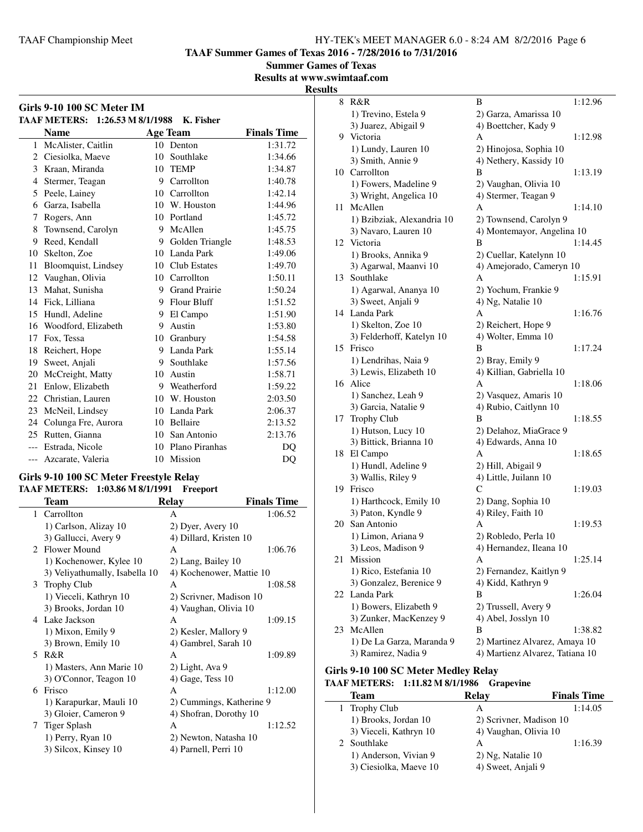**TAAF Summer Games of Texas 2016 - 7/28/2016 to 7/31/2016**

**Summer Games of Texas**

**Results at www.swimtaaf.com**

**Results**

|              | Girls 9-10 100 SC Meter IM<br>TAAF METERS: 1:26.53 M 8/1/1988 |                 | K. Fisher            |                    |
|--------------|---------------------------------------------------------------|-----------------|----------------------|--------------------|
|              | <b>Name</b>                                                   |                 | <b>Age Team</b>      | <b>Finals Time</b> |
| $\mathbf{1}$ | McAlister, Caitlin                                            | 10              | Denton               | 1:31.72            |
|              | 2 Ciesiolka, Maeve                                            | 10              | Southlake            | 1:34.66            |
|              | 3 Kraan, Miranda                                              |                 | 10 TEMP              | 1:34.87            |
| 4            | Stermer, Teagan                                               |                 | 9 Carrollton         | 1:40.78            |
| 5            | Peele, Lainey                                                 |                 | 10 Carrollton        | 1:42.14            |
| 6            | Garza, Isabella                                               | 10              | W. Houston           | 1:44.96            |
| 7            | Rogers, Ann                                                   | 10              | Portland             | 1:45.72            |
| 8            | Townsend, Carolyn                                             |                 | 9 McAllen            | 1:45.75            |
| 9            | Reed, Kendall                                                 | 9               | Golden Triangle      | 1:48.53            |
| 10           | Skelton, Zoe                                                  |                 | 10 Landa Park        | 1:49.06            |
| 11           | Bloomquist, Lindsey                                           | 10              | <b>Club Estates</b>  | 1:49.70            |
| 12           | Vaughan, Olivia                                               |                 | 10 Carrollton        | 1:50.11            |
| 13           | Mahat, Sunisha                                                | 9               | <b>Grand Prairie</b> | 1:50.24            |
| 14           | Fick, Lilliana                                                |                 | 9 Flour Bluff        | 1:51.52            |
| 15           | Hundl, Adeline                                                | 9               | El Campo             | 1:51.90            |
| 16           | Woodford, Elizabeth                                           | 9               | Austin               | 1:53.80            |
| 17           | Fox, Tessa                                                    |                 | 10 Granbury          | 1:54.58            |
| 18           | Reichert, Hope                                                |                 | 9 Landa Park         | 1:55.14            |
| 19           | Sweet, Anjali                                                 |                 | 9 Southlake          | 1:57.56            |
| 20           | McCreight, Matty                                              | 10 <sup>1</sup> | Austin               | 1:58.71            |
| 21           | Enlow, Elizabeth                                              | 9               | Weatherford          | 1:59.22            |
|              | 22 Christian, Lauren                                          |                 | 10 W. Houston        | 2:03.50            |
| 23           | McNeil, Lindsey                                               |                 | 10 Landa Park        | 2:06.37            |
| 24           | Colunga Fre, Aurora                                           |                 | 10 Bellaire          | 2:13.52            |
| 25           | Rutten, Gianna                                                | 10              | San Antonio          | 2:13.76            |
| $---$        | Estrada, Nicole                                               |                 | 10 Plano Piranhas    | DQ                 |
| $---$        | Azcarate, Valeria                                             |                 | 10 Mission           | DQ                 |

#### **Girls 9-10 100 SC Meter Freestyle Relay TAAF METERS: 1:03.86 M 8/1/1991 Freeport**

|    | Team                           | <b>Relay</b>             | <b>Finals Time</b> |
|----|--------------------------------|--------------------------|--------------------|
| 1  | Carrollton                     | A                        | 1:06.52            |
|    | 1) Carlson, Alizay 10          | 2) Dyer, Avery 10        |                    |
|    | 3) Gallucci, Avery 9           | 4) Dillard, Kristen 10   |                    |
|    | 2 Flower Mound                 | A                        | 1:06.76            |
|    | 1) Kochenower, Kylee 10        | 2) Lang, Bailey 10       |                    |
|    | 3) Veliyathumally, Isabella 10 | 4) Kochenower, Mattie 10 |                    |
|    | 3 Trophy Club                  | A                        | 1:08.58            |
|    | 1) Vieceli, Kathryn 10         | 2) Scrivner, Madison 10  |                    |
|    | 3) Brooks, Jordan 10           | 4) Vaughan, Olivia 10    |                    |
|    | 4 Lake Jackson                 | A                        | 1:09.15            |
|    | 1) Mixon, Emily 9              | 2) Kesler, Mallory 9     |                    |
|    | 3) Brown, Emily 10             | 4) Gambrel, Sarah 10     |                    |
| 5. | R&R                            | A                        | 1:09.89            |
|    | 1) Masters, Ann Marie 10       | 2) Light, Ava 9          |                    |
|    | 3) O'Connor, Teagon 10         | $(4)$ Gage, Tess $10$    |                    |
| 6  | Frisco                         | A                        | 1:12.00            |
|    | 1) Karapurkar, Mauli 10        | 2) Cummings, Katherine 9 |                    |
|    | 3) Gloier, Cameron 9           | 4) Shofran, Dorothy 10   |                    |
| 7  | Tiger Splash                   | A                        | 1:12.52            |
|    | 1) Perry, Ryan 10              | 2) Newton, Natasha 10    |                    |
|    | 3) Silcox, Kinsey 10           | 4) Parnell, Perri 10     |                    |
|    |                                |                          |                    |

| .S |                            |                                 |         |
|----|----------------------------|---------------------------------|---------|
| 8  | R&R                        | В                               | 1:12.96 |
|    | 1) Trevino, Estela 9       | 2) Garza, Amarissa 10           |         |
|    | 3) Juarez, Abigail 9       | 4) Boettcher, Kady 9            |         |
| 9  | Victoria                   | А                               | 1:12.98 |
|    | 1) Lundy, Lauren 10        | 2) Hinojosa, Sophia 10          |         |
|    | 3) Smith, Annie 9          | 4) Nethery, Kassidy 10          |         |
| 10 | Carrollton                 | B                               | 1:13.19 |
|    | 1) Fowers, Madeline 9      | 2) Vaughan, Olivia 10           |         |
|    | 3) Wright, Angelica 10     | 4) Stermer, Teagan 9            |         |
| 11 | McAllen                    | А                               | 1:14.10 |
|    | 1) Bzibziak, Alexandria 10 | 2) Townsend, Carolyn 9          |         |
|    | 3) Navaro, Lauren 10       | 4) Montemayor, Angelina 10      |         |
|    | 12 Victoria                | B                               | 1:14.45 |
|    | 1) Brooks, Annika 9        | 2) Cuellar, Katelynn 10         |         |
|    | 3) Agarwal, Maanvi 10      | 4) Amejorado, Cameryn 10        |         |
| 13 | Southlake                  | А                               | 1:15.91 |
|    | 1) Agarwal, Ananya 10      | 2) Yochum, Frankie 9            |         |
|    | 3) Sweet, Anjali 9         | 4) Ng, Natalie 10               |         |
| 14 | Landa Park                 | А                               | 1:16.76 |
|    | 1) Skelton, Zoe 10         | 2) Reichert, Hope 9             |         |
|    | 3) Felderhoff, Katelyn 10  | 4) Wolter, Emma 10              |         |
| 15 | Frisco                     | B                               | 1:17.24 |
|    | 1) Lendrihas, Naia 9       | 2) Bray, Emily 9                |         |
|    | 3) Lewis, Elizabeth 10     | 4) Killian, Gabriella 10        |         |
| 16 | Alice                      | А                               | 1:18.06 |
|    | 1) Sanchez, Leah 9         | 2) Vasquez, Amaris 10           |         |
|    | 3) Garcia, Natalie 9       | 4) Rubio, Caitlynn 10           |         |
| 17 | Trophy Club                | B                               | 1:18.55 |
|    | 1) Hutson, Lucy 10         | 2) Delahoz, MiaGrace 9          |         |
|    | 3) Bittick, Brianna 10     | 4) Edwards, Anna 10             |         |
| 18 | El Campo                   | А                               | 1:18.65 |
|    | 1) Hundl, Adeline 9        | 2) Hill, Abigail 9              |         |
|    | 3) Wallis, Riley 9         | 4) Little, Juilann 10           |         |
| 19 | Frisco                     | С                               | 1:19.03 |
|    | 1) Harthcock, Emily 10     | 2) Dang, Sophia 10              |         |
|    | 3) Paton, Kyndle 9         | 4) Riley, Faith 10              |         |
| 20 | San Antonio                | А                               | 1:19.53 |
|    | 1) Limon, Ariana 9         | 2) Robledo, Perla 10            |         |
|    | 3) Leos, Madison 9         | 4) Hernandez, Ileana 10         |         |
|    | 21 Mission                 |                                 | 1:25.14 |
|    | 1) Rico, Estefania 10      | 2) Fernandez, Kaitlyn 9         |         |
|    | 3) Gonzalez, Berenice 9    | 4) Kidd, Kathryn 9              |         |
| 22 | Landa Park                 | В                               | 1:26.04 |
|    | 1) Bowers, Elizabeth 9     | 2) Trussell, Avery 9            |         |
|    | 3) Zunker, MacKenzey 9     | 4) Abel, Josslyn 10             |         |
| 23 | McAllen                    | В                               | 1:38.82 |
|    | 1) De La Garza, Maranda 9  | 2) Martinez Alvarez, Amaya 10   |         |
|    | 3) Ramirez, Nadia 9        | 4) Martienz Alvarez, Tatiana 10 |         |

# **Girls 9-10 100 SC Meter Medley Relay**

# **TAAF METERS: 1:11.82 M 8/1/1986 Grapevine**

| Team                   | Relay                   | <b>Finals Time</b> |
|------------------------|-------------------------|--------------------|
| 1 Trophy Club          | А                       | 1:14.05            |
| 1) Brooks, Jordan 10   | 2) Scrivner, Madison 10 |                    |
| 3) Vieceli, Kathryn 10 | 4) Vaughan, Olivia 10   |                    |
| 2 Southlake            | А                       | 1:16.39            |
| 1) Anderson, Vivian 9  | $2)$ Ng, Natalie 10     |                    |
| 3) Ciesiolka, Maeve 10 | 4) Sweet, Anjali 9      |                    |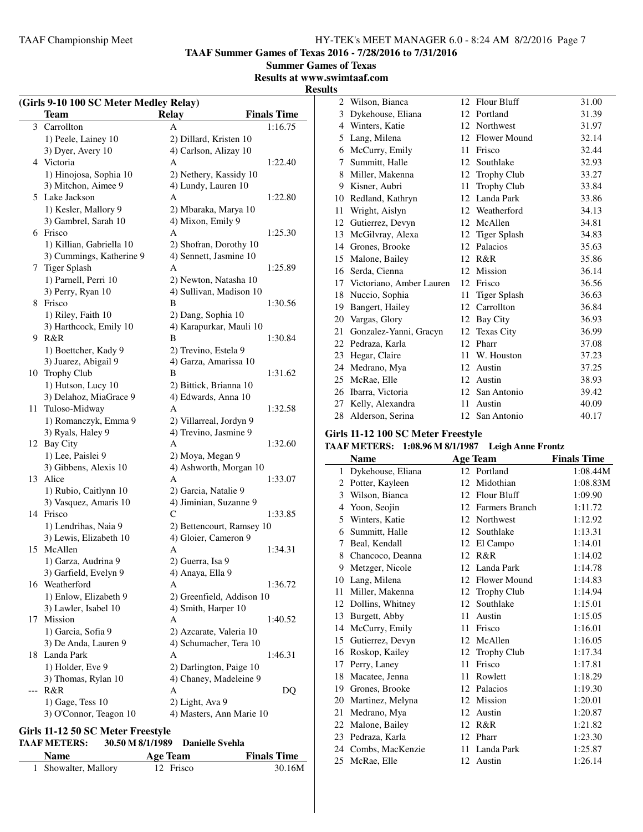**TAAF Summer Games of Texas 2016 - 7/28/2016 to 7/31/2016**

**Summer Games of Texas**

**Results at www.swimtaaf.com**

# **Results (Girls 9-10 100 SC Meter Medley Relay) Team Relay Finals Time**<br>Carrollton **A 1:16.75** 3 Carrollton A 1) Peele, Lainey 10 2) Dillard, Kristen 10

|    | 3) Dyer, Avery 10        | 4) Carlson, Alizay 10     |  |
|----|--------------------------|---------------------------|--|
|    | 4 Victoria               | A<br>1:22.40              |  |
|    | 1) Hinojosa, Sophia 10   | 2) Nethery, Kassidy 10    |  |
|    | 3) Mitchon, Aimee 9      | 4) Lundy, Lauren 10       |  |
|    | 5 Lake Jackson           | А<br>1:22.80              |  |
|    | 1) Kesler, Mallory 9     | 2) Mbaraka, Marya 10      |  |
|    | 3) Gambrel, Sarah 10     | 4) Mixon, Emily 9         |  |
|    | 6 Frisco                 | A<br>1:25.30              |  |
|    | 1) Killian, Gabriella 10 | 2) Shofran, Dorothy 10    |  |
|    | 3) Cummings, Katherine 9 | 4) Sennett, Jasmine 10    |  |
|    | 7 Tiger Splash           | A<br>1:25.89              |  |
|    | 1) Parnell, Perri 10     | 2) Newton, Natasha 10     |  |
|    | 3) Perry, Ryan 10        | 4) Sullivan, Madison 10   |  |
|    | 8 Frisco                 | B<br>1:30.56              |  |
|    | 1) Riley, Faith 10       | 2) Dang, Sophia 10        |  |
|    | 3) Harthcock, Emily 10   | 4) Karapurkar, Mauli 10   |  |
|    | 9 R&R                    | B<br>1:30.84              |  |
|    | 1) Boettcher, Kady 9     | 2) Trevino, Estela 9      |  |
|    | 3) Juarez, Abigail 9     | 4) Garza, Amarissa 10     |  |
|    | 10 Trophy Club           | 1:31.62<br>В              |  |
|    | 1) Hutson, Lucy 10       | 2) Bittick, Brianna 10    |  |
|    | 3) Delahoz, MiaGrace 9   | 4) Edwards, Anna 10       |  |
|    | 11 Tuloso-Midway         | A<br>1:32.58              |  |
|    | 1) Romanczyk, Emma 9     | 2) Villarreal, Jordyn 9   |  |
|    | 3) Ryals, Haley 9        | 4) Trevino, Jasmine 9     |  |
|    | 12 Bay City              | А<br>1:32.60              |  |
|    | 1) Lee, Paislei 9        | 2) Moya, Megan 9          |  |
|    | 3) Gibbens, Alexis 10    | 4) Ashworth, Morgan 10    |  |
| 13 | Alice                    | A<br>1:33.07              |  |
|    | 1) Rubio, Caitlynn 10    | 2) Garcia, Natalie 9      |  |
|    | 3) Vasquez, Amaris 10    | 4) Jiminian, Suzanne 9    |  |
| 14 | Frisco                   | C<br>1:33.85              |  |
|    | 1) Lendrihas, Naia 9     | 2) Bettencourt, Ramsey 10 |  |
|    | 3) Lewis, Elizabeth 10   | 4) Gloier, Cameron 9      |  |
| 15 | McAllen                  | 1:34.31<br>А              |  |
|    | 1) Garza, Audrina 9      | 2) Guerra, Isa 9          |  |
|    | 3) Garfield, Evelyn 9    | 4) Anaya, Ella 9          |  |
|    | 16 Weatherford           | 1:36.72<br>A              |  |
|    | 1) Enlow, Elizabeth 9    | 2) Greenfield, Addison 10 |  |
|    | 3) Lawler, Isabel 10     | 4) Smith, Harper 10       |  |
| 17 | Mission                  | 1:40.52<br>А              |  |
|    | 1) Garcia, Sofia 9       | 2) Azcarate, Valeria 10   |  |
|    | 3) De Anda, Lauren 9     | 4) Schumacher, Tera 10    |  |
| 18 | Landa Park               | Α<br>1:46.31              |  |
|    | 1) Holder, Eve 9         | 2) Darlington, Paige 10   |  |
|    | 3) Thomas, Rylan 10      | 4) Chaney, Madeleine 9    |  |
|    | R&R                      | A<br>DQ                   |  |
|    | 1) Gage, Tess 10         | 2) Light, Ava 9           |  |
|    | 3) O'Connor, Teagon 10   | 4) Masters, Ann Marie 10  |  |

#### **Girls 11-12 50 SC Meter Freestyle**

#### **TAAF METERS: 30.50 M 8/1/1989 Danielle Svehla**

| <b>Name</b>          | <b>Age Team</b> | <b>Finals Time</b> |
|----------------------|-----------------|--------------------|
| 1 Showalter, Mallory | 12 Frisco       | 30.16M             |

| 2  | Wilson, Bianca           |    | 12 Flour Bluff      | 31.00 |
|----|--------------------------|----|---------------------|-------|
| 3  | Dykehouse, Eliana        | 12 | Portland            | 31.39 |
| 4  | Winters, Katie           | 12 | Northwest           | 31.97 |
| 5  | Lang, Milena             | 12 | Flower Mound        | 32.14 |
| 6  | McCurry, Emily           | 11 | Frisco              | 32.44 |
| 7  | Summitt, Halle           | 12 | Southlake           | 32.93 |
| 8  | Miller, Makenna          | 12 | <b>Trophy Club</b>  | 33.27 |
| 9  | Kisner, Aubri            | 11 | <b>Trophy Club</b>  | 33.84 |
| 10 | Redland, Kathryn         | 12 | Landa Park          | 33.86 |
| 11 | Wright, Aislyn           | 12 | Weatherford         | 34.13 |
| 12 | Gutierrez, Devyn         | 12 | McAllen             | 34.81 |
| 13 | McGilvray, Alexa         | 12 | <b>Tiger Splash</b> | 34.83 |
| 14 | Grones, Brooke           |    | 12 Palacios         | 35.63 |
| 15 | Malone, Bailey           | 12 | R&R                 | 35.86 |
| 16 | Serda, Cienna            | 12 | Mission             | 36.14 |
| 17 | Victoriano, Amber Lauren | 12 | Frisco              | 36.56 |
| 18 | Nuccio, Sophia           | 11 | <b>Tiger Splash</b> | 36.63 |
| 19 | Bangert, Hailey          | 12 | Carrollton          | 36.84 |
| 20 | Vargas, Glory            | 12 | Bay City            | 36.93 |
| 21 | Gonzalez-Yanni, Gracyn   | 12 | <b>Texas City</b>   | 36.99 |
| 22 | Pedraza, Karla           | 12 | Pharr               | 37.08 |
| 23 | Hegar, Claire            | 11 | W. Houston          | 37.23 |
| 24 | Medrano, Mya             | 12 | Austin              | 37.25 |
| 25 | McRae, Elle              | 12 | Austin              | 38.93 |
| 26 | Ibarra, Victoria         | 12 | San Antonio         | 39.42 |
| 27 | Kelly, Alexandra         | 11 | Austin              | 40.09 |
| 28 | Alderson, Serina         | 12 | San Antonio         | 40.17 |

# **Girls 11-12 100 SC Meter Freestyle**

#### **TAAF METERS: 1:08.96 M 8/1/1987 Leigh Anne Frontz**

|              | <b>Name</b>       |    | <b>Age Team</b>    | <b>Finals Time</b> |
|--------------|-------------------|----|--------------------|--------------------|
| $\mathbf{1}$ | Dykehouse, Eliana |    | 12 Portland        | 1:08.44M           |
| 2            | Potter, Kayleen   | 12 | Midothian          | 1:08.83M           |
| 3            | Wilson, Bianca    | 12 | Flour Bluff        | 1:09.90            |
| 4            | Yoon, Seojin      | 12 | Farmers Branch     | 1:11.72            |
| 5            | Winters, Katie    | 12 | Northwest          | 1:12.92            |
| 6            | Summitt, Halle    | 12 | Southlake          | 1:13.31            |
| 7            | Beal, Kendall     | 12 | El Campo           | 1:14.01            |
| 8            | Chancoco, Deanna  | 12 | R&R                | 1:14.02            |
| 9            | Metzger, Nicole   | 12 | Landa Park         | 1:14.78            |
| 10           | Lang, Milena      | 12 | Flower Mound       | 1:14.83            |
| 11           | Miller, Makenna   | 12 | <b>Trophy Club</b> | 1:14.94            |
| 12           | Dollins, Whitney  | 12 | Southlake          | 1:15.01            |
| 13           | Burgett, Abby     | 11 | Austin             | 1:15.05            |
| 14           | McCurry, Emily    | 11 | Frisco             | 1:16.01            |
| 15           | Gutierrez, Devyn  | 12 | McAllen            | 1:16.05            |
| 16           | Roskop, Kailey    | 12 | <b>Trophy Club</b> | 1:17.34            |
| 17           | Perry, Laney      | 11 | Frisco             | 1:17.81            |
| 18           | Macatee, Jenna    | 11 | Rowlett            | 1:18.29            |
| 19           | Grones, Brooke    | 12 | Palacios           | 1:19.30            |
| 20           | Martinez, Melyna  | 12 | Mission            | 1:20.01            |
| 21           | Medrano, Mya      | 12 | Austin             | 1:20.87            |
| 22           | Malone, Bailey    | 12 | R&R                | 1:21.82            |
| 23           | Pedraza, Karla    |    | 12 Pharr           | 1:23.30            |
| 24           | Combs, MacKenzie  | 11 | Landa Park         | 1:25.87            |
| 25           | McRae, Elle       | 12 | Austin             | 1:26.14            |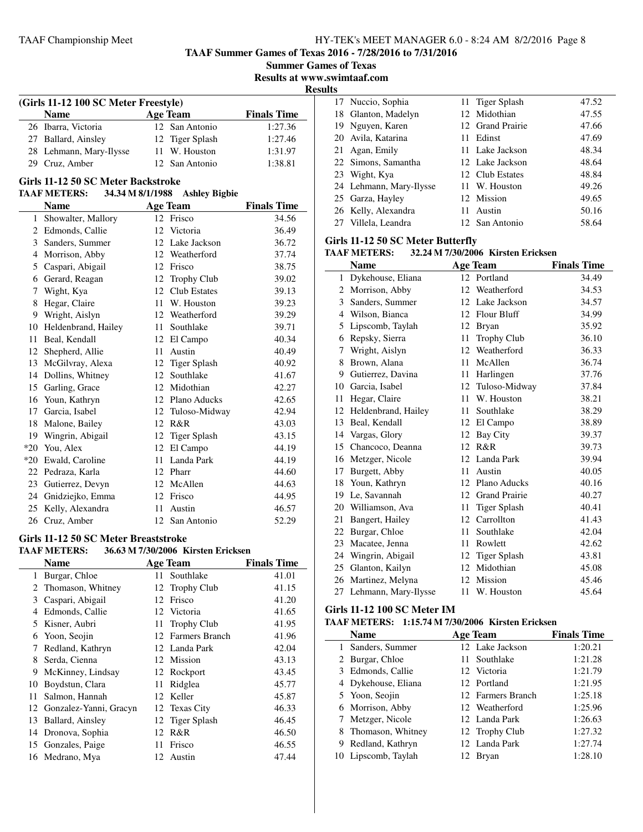**TAAF Summer Games of Texas 2016 - 7/28/2016 to 7/31/2016**

**Summer Games of Texas**

**Results at www.swimtaaf.com**

**Results**

| (Girls 11-12 100 SC Meter Freestyle) |                 |                    |  |  |  |  |  |
|--------------------------------------|-----------------|--------------------|--|--|--|--|--|
| <b>Name</b>                          | <b>Age Team</b> | <b>Finals Time</b> |  |  |  |  |  |
| 26 Ibarra, Victoria                  | 12 San Antonio  | 1:27.36            |  |  |  |  |  |
| 27 Ballard, Ainsley                  | 12 Tiger Splash | 1:27.46            |  |  |  |  |  |
| 28 Lehmann, Mary-Ilysse              | 11 W. Houston   | 1:31.97            |  |  |  |  |  |
| 29 Cruz, Amber                       | 12 San Antonio  | 1:38.81            |  |  |  |  |  |

#### **Girls 11-12 50 SC Meter Backstroke**

| <b>TAAF METERS:</b> | 34.34 M 8/1/1988 | <b>Ashley Bigbie</b> |
|---------------------|------------------|----------------------|
|---------------------|------------------|----------------------|

|              | <b>Name</b>         |                  | <b>Age Team</b>     | <b>Finals Time</b> |
|--------------|---------------------|------------------|---------------------|--------------------|
| $\mathbf{1}$ | Showalter, Mallory  |                  | 12 Frisco           | 34.56              |
| 2            | Edmonds, Callie     | 12               | Victoria            | 36.49              |
| 3            | Sanders, Summer     | 12               | Lake Jackson        | 36.72              |
| 4            | Morrison, Abby      | 12               | Weatherford         | 37.74              |
| 5            | Caspari, Abigail    | 12               | Frisco              | 38.75              |
| 6            | Gerard, Reagan      | 12               | <b>Trophy Club</b>  | 39.02              |
| 7            | Wight, Kya          | 12 <sup>12</sup> | Club Estates        | 39.13              |
| 8            | Hegar, Claire       | 11               | W. Houston          | 39.23              |
| 9            | Wright, Aislyn      | 12               | Weatherford         | 39.29              |
| 10           | Heldenbrand, Hailey | 11               | Southlake           | 39.71              |
| 11           | Beal, Kendall       | 12               | El Campo            | 40.34              |
| 12           | Shepherd, Allie     | 11               | Austin              | 40.49              |
| 13           | McGilvray, Alexa    | 12               | <b>Tiger Splash</b> | 40.92              |
| 14           | Dollins, Whitney    | 12               | Southlake           | 41.67              |
| 15           | Garling, Grace      |                  | 12 Midothian        | 42.27              |
| 16           | Youn, Kathryn       | 12               | Plano Aducks        | 42.65              |
| 17           | Garcia, Isabel      | 12               | Tuloso-Midway       | 42.94              |
| 18           | Malone, Bailey      | 12               | R&R                 | 43.03              |
| 19           | Wingrin, Abigail    | 12               | <b>Tiger Splash</b> | 43.15              |
| $*20$        | You, Alex           | 12               | El Campo            | 44.19              |
| $*20$        | Ewald, Caroline     | 11               | Landa Park          | 44.19              |
| 22           | Pedraza, Karla      | 12               | Pharr               | 44.60              |
| 23           | Gutierrez, Devyn    | 12               | McAllen             | 44.63              |
| 24           | Gnidziejko, Emma    | 12               | Frisco              | 44.95              |
| 25           | Kelly, Alexandra    | 11               | Austin              | 46.57              |
| 26           | Cruz, Amber         |                  | 12 San Antonio      | 52.29              |

#### **Girls 11-12 50 SC Meter Breaststroke**

#### **TAAF METERS: 36.63 M 7/30/2006 Kirsten Ericksen**

|    | <b>Name</b>               |    | <b>Age Team</b>   | <b>Finals Time</b> |
|----|---------------------------|----|-------------------|--------------------|
| 1  | Burgar, Chloe             |    | 11 Southlake      | 41.01              |
|    | 2 Thomason, Whitney       |    | 12 Trophy Club    | 41.15              |
| 3  | Caspari, Abigail          |    | 12 Frisco         | 41.20              |
| 4  | Edmonds, Callie           |    | 12 Victoria       | 41.65              |
| 5  | Kisner, Aubri             |    | 11 Trophy Club    | 41.95              |
| 6  | Yoon, Seojin              |    | 12 Farmers Branch | 41.96              |
| 7  | Redland, Kathryn          |    | 12 Landa Park     | 42.04              |
| 8  | Serda, Cienna             |    | 12 Mission        | 43.13              |
| 9  | McKinney, Lindsay         |    | 12 Rockport       | 43.45              |
| 10 | Boydstun, Clara           | 11 | Ridglea           | 45.77              |
| 11 | Salmon, Hannah            |    | 12 Keller         | 45.87              |
|    | 12 Gonzalez-Yanni, Gracyn |    | 12 Texas City     | 46.33              |
| 13 | Ballard, Ainsley          |    | 12 Tiger Splash   | 46.45              |
|    | 14 Dronova, Sophia        |    | 12 R&R            | 46.50              |
| 15 | Gonzales, Paige           |    | 11 Frisco         | 46.55              |
|    | 16 Medrano, Mya           |    | 12 Austin         | 47.44              |

|  | 17 Nuccio, Sophia       | 11 Tiger Splash  | 47.52 |
|--|-------------------------|------------------|-------|
|  | 18 Glanton, Madelyn     | 12 Midothian     | 47.55 |
|  | 19 Nguyen, Karen        | 12 Grand Prairie | 47.66 |
|  | 20 Avila, Katarina      | 11 Edinst        | 47.69 |
|  | 21 Agan, Emily          | 11 Lake Jackson  | 48.34 |
|  | 22 Simons, Samantha     | 12 Lake Jackson  | 48.64 |
|  | 23 Wight, Kya           | 12 Club Estates  | 48.84 |
|  | 24 Lehmann, Mary-Ilysse | 11 W. Houston    | 49.26 |
|  | 25 Garza, Hayley        | 12 Mission       | 49.65 |
|  | 26 Kelly, Alexandra     | 11 Austin        | 50.16 |
|  | 27 Villela, Leandra     | 12 San Antonio   | 58.64 |
|  |                         |                  |       |

#### **Girls 11-12 50 SC Meter Butterfly**

#### **TAAF METERS: 32.24 M 7/30/2006 Kirsten Ericksen**

|    | <b>Name</b>          |    | <b>Age Team</b>      | <b>Finals Time</b> |
|----|----------------------|----|----------------------|--------------------|
| 1  | Dykehouse, Eliana    |    | 12 Portland          | 34.49              |
| 2  | Morrison, Abby       | 12 | Weatherford          | 34.53              |
| 3  | Sanders, Summer      | 12 | Lake Jackson         | 34.57              |
| 4  | Wilson, Bianca       | 12 | <b>Flour Bluff</b>   | 34.99              |
| 5  | Lipscomb, Taylah     | 12 | Bryan                | 35.92              |
| 6  | Repsky, Sierra       | 11 | <b>Trophy Club</b>   | 36.10              |
| 7  | Wright, Aislyn       | 12 | Weatherford          | 36.33              |
| 8  | Brown, Alana         | 11 | McAllen              | 36.74              |
| 9  | Gutierrez, Davina    | 11 | Harlingen            | 37.76              |
| 10 | Garcia, Isabel       | 12 | Tuloso-Midway        | 37.84              |
| 11 | Hegar, Claire        | 11 | W. Houston           | 38.21              |
| 12 | Heldenbrand, Hailey  | 11 | Southlake            | 38.29              |
| 13 | Beal, Kendall        | 12 | El Campo             | 38.89              |
| 14 | Vargas, Glory        | 12 | Bay City             | 39.37              |
|    | 15 Chancoco, Deanna  | 12 | R&R                  | 39.73              |
| 16 | Metzger, Nicole      | 12 | Landa Park           | 39.94              |
| 17 | Burgett, Abby        | 11 | Austin               | 40.05              |
| 18 | Youn, Kathryn        | 12 | Plano Aducks         | 40.16              |
| 19 | Le, Savannah         | 12 | <b>Grand Prairie</b> | 40.27              |
|    | 20 Williamson, Ava   | 11 | Tiger Splash         | 40.41              |
| 21 | Bangert, Hailey      | 12 | Carrollton           | 41.43              |
| 22 | Burgar, Chloe        | 11 | Southlake            | 42.04              |
| 23 | Macatee, Jenna       | 11 | Rowlett              | 42.62              |
| 24 | Wingrin, Abigail     | 12 | Tiger Splash         | 43.81              |
| 25 | Glanton, Kailyn      | 12 | Midothian            | 45.08              |
| 26 | Martinez, Melyna     | 12 | Mission              | 45.46              |
| 27 | Lehmann, Mary-Ilysse | 11 | W. Houston           | 45.64              |

#### **Girls 11-12 100 SC Meter IM**

#### **TAAF METERS: 1:15.74 M 7/30/2006 Kirsten Ericksen**

| <b>Name</b>         | <b>Age Team</b>   | <b>Finals Time</b> |
|---------------------|-------------------|--------------------|
| 1 Sanders, Summer   | 12 Lake Jackson   | 1:20.21            |
| 2 Burgar, Chloe     | 11 Southlake      | 1:21.28            |
| 3 Edmonds, Callie   | 12 Victoria       | 1:21.79            |
| 4 Dykehouse, Eliana | 12 Portland       | 1:21.95            |
| 5 Yoon, Seojin      | 12 Farmers Branch | 1:25.18            |
| 6 Morrison, Abby    | 12 Weatherford    | 1:25.96            |
| 7 Metzger, Nicole   | 12 Landa Park     | 1:26.63            |
| 8 Thomason, Whitney | 12 Trophy Club    | 1:27.32            |
| 9 Redland, Kathryn  | 12 Landa Park     | 1:27.74            |
| 10 Lipscomb, Taylah | Bryan             | 1:28.10            |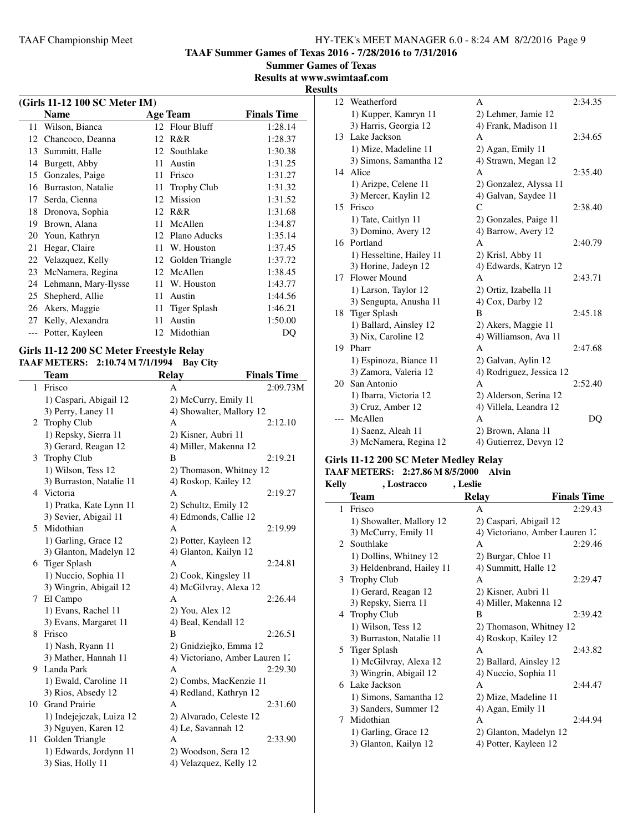**TAAF Summer Games of Texas 2016 - 7/28/2016 to 7/31/2016**

**Summer Games of Texas**

**Results at www.swimtaaf.com Results**

|    | (Girls 11-12 100 SC Meter IM) |     |                    |                    |  |
|----|-------------------------------|-----|--------------------|--------------------|--|
|    | <b>Name</b>                   |     | <b>Age Team</b>    | <b>Finals Time</b> |  |
| 11 | Wilson, Bianca                |     | 12 Flour Bluff     | 1:28.14            |  |
| 12 | Chancoco, Deanna              | 12  | R&R                | 1:28.37            |  |
| 13 | Summitt, Halle                | 12  | Southlake          | 1:30.38            |  |
| 14 | Burgett, Abby                 | 11  | Austin             | 1:31.25            |  |
| 15 | Gonzales, Paige               | 11  | Frisco             | 1:31.27            |  |
| 16 | Burraston, Natalie            | 11  | <b>Trophy Club</b> | 1:31.32            |  |
| 17 | Serda, Cienna                 | 12  | <b>Mission</b>     | 1:31.52            |  |
| 18 | Dronova, Sophia               | 12  | R&R                | 1:31.68            |  |
| 19 | Brown, Alana                  | 11  | McAllen            | 1:34.87            |  |
| 20 | Youn, Kathryn                 | 12. | Plano Aducks       | 1:35.14            |  |
| 21 | Hegar, Claire                 | 11  | W. Houston         | 1:37.45            |  |
| 22 | Velazquez, Kelly              |     | 12 Golden Triangle | 1:37.72            |  |
| 23 | McNamera, Regina              | 12  | McAllen            | 1:38.45            |  |
| 24 | Lehmann, Mary-Ilysse          | 11  | W. Houston         | 1:43.77            |  |
| 25 | Shepherd, Allie               | 11  | Austin             | 1:44.56            |  |
| 26 | Akers, Maggie                 | 11  | Tiger Splash       | 1:46.21            |  |
| 27 | Kelly, Alexandra              | 11  | Austin             | 1:50.00            |  |
|    | Potter, Kayleen               |     | 12 Midothian       | DQ                 |  |

#### **Girls 11-12 200 SC Meter Freestyle Relay TAAF METERS: 2:10.74 M 7/1/1994 Bay City**

|    | Team                     | <b>Relay</b>                   | <b>Finals Time</b> |
|----|--------------------------|--------------------------------|--------------------|
| 1  | Frisco                   | A                              | 2:09.73M           |
|    | 1) Caspari, Abigail 12   | 2) McCurry, Emily 11           |                    |
|    | 3) Perry, Laney 11       | 4) Showalter, Mallory 12       |                    |
| 2  | <b>Trophy Club</b>       | A                              | 2:12.10            |
|    | 1) Repsky, Sierra 11     | 2) Kisner, Aubri 11            |                    |
|    | 3) Gerard, Reagan 12     | 4) Miller, Makenna 12          |                    |
| 3  | <b>Trophy Club</b>       | B                              | 2:19.21            |
|    | 1) Wilson, Tess 12       | 2) Thomason, Whitney 12        |                    |
|    | 3) Burraston, Natalie 11 | 4) Roskop, Kailey 12           |                    |
| 4  | Victoria                 | A                              | 2:19.27            |
|    | 1) Pratka, Kate Lynn 11  | 2) Schultz, Emily 12           |                    |
|    | 3) Sevier, Abigail 11    | 4) Edmonds, Callie 12          |                    |
| 5  | Midothian                | A                              | 2:19.99            |
|    | 1) Garling, Grace 12     | 2) Potter, Kayleen 12          |                    |
|    | 3) Glanton, Madelyn 12   | 4) Glanton, Kailyn 12          |                    |
| 6  | Tiger Splash             | A                              | 2:24.81            |
|    | 1) Nuccio, Sophia 11     | 2) Cook, Kingsley 11           |                    |
|    | 3) Wingrin, Abigail 12   | 4) McGilvray, Alexa 12         |                    |
| 7  | El Campo                 | A                              | 2:26.44            |
|    | 1) Evans, Rachel 11      | 2) You, Alex 12                |                    |
|    | 3) Evans, Margaret 11    | 4) Beal, Kendall 12            |                    |
| 8  | Frisco                   | B                              | 2:26.51            |
|    | 1) Nash, Ryann 11        | 2) Gnidziejko, Emma 12         |                    |
|    | 3) Mather, Hannah 11     | 4) Victoriano, Amber Lauren 12 |                    |
| 9. | Landa Park               | A                              | 2:29.30            |
|    | 1) Ewald, Caroline 11    | 2) Combs, MacKenzie 11         |                    |
|    | 3) Rios, Absedy 12       | 4) Redland, Kathryn 12         |                    |
| 10 | <b>Grand Prairie</b>     | A                              | 2:31.60            |
|    | 1) Indejejczak, Luiza 12 | 2) Alvarado, Celeste 12        |                    |
|    | 3) Nguyen, Karen 12      | 4) Le, Savannah 12             |                    |
| 11 | Golden Triangle          | A                              | 2:33.90            |
|    | 1) Edwards, Jordynn 11   | 2) Woodson, Sera 12            |                    |
|    | 3) Sias, Holly 11        | 4) Velazquez, Kelly 12         |                    |

| 12 | Weatherford              | A                        | 2:34.35 |
|----|--------------------------|--------------------------|---------|
|    | 1) Kupper, Kamryn 11     | 2) Lehmer, Jamie 12      |         |
|    | 3) Harris, Georgia 12    | 4) Frank, Madison 11     |         |
| 13 | Lake Jackson             | A                        | 2:34.65 |
|    | 1) Mize, Madeline 11     | 2) Agan, Emily 11        |         |
|    | 3) Simons, Samantha 12   | 4) Strawn, Megan 12      |         |
| 14 | Alice                    | A                        | 2:35.40 |
|    | 1) Arizpe, Celene 11     | 2) Gonzalez, Alyssa 11   |         |
|    | 3) Mercer, Kaylin 12     | 4) Galvan, Saydee 11     |         |
| 15 | Frisco                   | C                        | 2:38.40 |
|    | 1) Tate, Caitlyn 11      | 2) Gonzales, Paige 11    |         |
|    | 3) Domino, Avery 12      | 4) Barrow, Avery 12      |         |
|    | 16 Portland              | A                        | 2:40.79 |
|    | 1) Hesseltine, Hailey 11 | 2) Krisl, Abby 11        |         |
|    | 3) Horine, Jadeyn 12     | 4) Edwards, Katryn 12    |         |
| 17 | Flower Mound             | A                        | 2:43.71 |
|    | 1) Larson, Taylor 12     | 2) Ortiz, Izabella 11    |         |
|    | 3) Sengupta, Anusha 11   | 4) Cox, Darby 12         |         |
| 18 | Tiger Splash             | B                        | 2:45.18 |
|    | 1) Ballard, Ainsley 12   | 2) Akers, Maggie 11      |         |
|    | 3) Nix, Caroline 12      | 4) Williamson, Ava 11    |         |
| 19 | Pharr                    | А                        | 2:47.68 |
|    | 1) Espinoza, Biance 11   | 2) Galvan, Aylin 12      |         |
|    | 3) Zamora, Valeria 12    | 4) Rodriguez, Jessica 12 |         |
| 20 | San Antonio              | А                        | 2:52.40 |
|    | 1) Ibarra, Victoria 12   | 2) Alderson, Serina 12   |         |
|    | 3) Cruz, Amber 12        | 4) Villela, Leandra 12   |         |
|    | McAllen                  | A                        | DQ      |
|    | 1) Saenz, Aleah 11       | 2) Brown, Alana 11       |         |
|    | 3) McNamera, Regina 12   | 4) Gutierrez, Devyn 12   |         |

#### **Girls 11-12 200 SC Meter Medley Relay**

# **TAAF METERS: 2:27.86 M 8/5/2000 Alvin**

| Kelly | , Lostracco               | , Leslie                       |                    |
|-------|---------------------------|--------------------------------|--------------------|
|       | Team                      | <b>Relay</b>                   | <b>Finals Time</b> |
| 1.    | Frisco                    | A                              | 2:29.43            |
|       | 1) Showalter, Mallory 12  | 2) Caspari, Abigail 12         |                    |
|       | 3) McCurry, Emily 11      | 4) Victoriano, Amber Lauren 12 |                    |
|       | 2 Southlake               | A                              | 2:29.46            |
|       | 1) Dollins, Whitney 12    | 2) Burgar, Chloe 11            |                    |
|       | 3) Heldenbrand, Hailey 11 | 4) Summitt, Halle 12           |                    |
|       | 3 Trophy Club             | A                              | 2:29.47            |
|       | 1) Gerard, Reagan 12      | 2) Kisner, Aubri 11            |                    |
|       | 3) Repsky, Sierra 11      | 4) Miller, Makenna 12          |                    |
|       | 4 Trophy Club             | B                              | 2:39.42            |
|       | 1) Wilson, Tess 12        | 2) Thomason, Whitney 12        |                    |
|       | 3) Burraston, Natalie 11  | 4) Roskop, Kailey 12           |                    |
|       | 5 Tiger Splash            | A                              | 2:43.82            |
|       | 1) McGilvray, Alexa 12    | 2) Ballard, Ainsley 12         |                    |
|       | 3) Wingrin, Abigail 12    | 4) Nuccio, Sophia 11           |                    |
|       | 6 Lake Jackson            | A                              | 2:44.47            |
|       | 1) Simons, Samantha 12    | 2) Mize, Madeline 11           |                    |
|       | 3) Sanders, Summer 12     | 4) Agan, Emily 11              |                    |
| 7     | Midothian                 | A                              | 2:44.94            |
|       | 1) Garling, Grace 12      | 2) Glanton, Madelyn 12         |                    |
|       | 3) Glanton, Kailyn 12     | 4) Potter, Kayleen 12          |                    |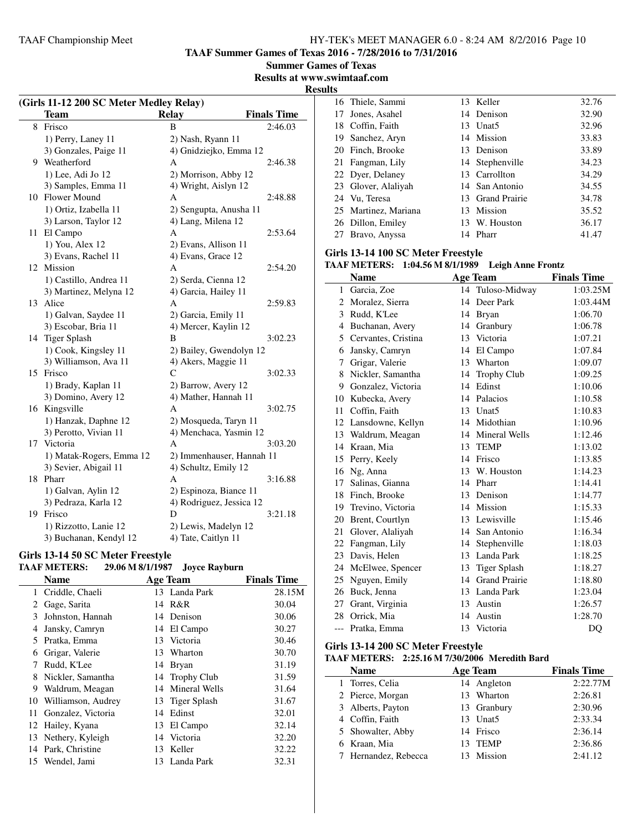**TAAF Summer Games of Texas 2016 - 7/28/2016 to 7/31/2016**

**Summer Games of Texas**

**Results at www.swimtaaf.com**

**Results**

 $\overline{a}$ 

|    | (Girls 11-12 200 SC Meter Medley Relay) |                           |                    |
|----|-----------------------------------------|---------------------------|--------------------|
|    | <b>Team</b>                             | <b>Relay</b>              | <b>Finals Time</b> |
| 8  | Frisco                                  | B                         | 2:46.03            |
|    | 1) Perry, Laney 11                      | 2) Nash, Ryann 11         |                    |
|    | 3) Gonzales, Paige 11                   | 4) Gnidziejko, Emma 12    |                    |
|    | 9 Weatherford                           | A                         | 2:46.38            |
|    | 1) Lee, Adi Jo 12                       | 2) Morrison, Abby 12      |                    |
|    | 3) Samples, Emma 11                     | 4) Wright, Aislyn 12      |                    |
|    | 10 Flower Mound                         | A                         | 2:48.88            |
|    | 1) Ortiz, Izabella 11                   | 2) Sengupta, Anusha 11    |                    |
|    | 3) Larson, Taylor 12                    | 4) Lang, Milena 12        |                    |
|    | 11 El Campo                             | A                         | 2:53.64            |
|    | 1) You, Alex 12                         | 2) Evans, Allison 11      |                    |
|    | 3) Evans, Rachel 11                     | 4) Evans, Grace 12        |                    |
|    | 12 Mission                              | A                         | 2:54.20            |
|    | 1) Castillo, Andrea 11                  | 2) Serda, Cienna 12       |                    |
|    | 3) Martinez, Melyna 12                  | 4) Garcia, Hailey 11      |                    |
|    | 13 Alice                                | A                         | 2:59.83            |
|    | 1) Galvan, Saydee 11                    | 2) Garcia, Emily 11       |                    |
|    | 3) Escobar, Bria 11                     | 4) Mercer, Kaylin 12      |                    |
|    | 14 Tiger Splash                         | В                         | 3:02.23            |
|    | 1) Cook, Kingsley 11                    | 2) Bailey, Gwendolyn 12   |                    |
|    | 3) Williamson, Ava 11                   | 4) Akers, Maggie 11       |                    |
| 15 | Frisco                                  | C                         | 3:02.33            |
|    | 1) Brady, Kaplan 11                     | 2) Barrow, Avery 12       |                    |
|    | 3) Domino, Avery 12                     | 4) Mather, Hannah 11      |                    |
|    | 16 Kingsville                           | A                         | 3:02.75            |
|    | 1) Hanzak, Daphne 12                    | 2) Mosqueda, Taryn 11     |                    |
|    | 3) Perotto, Vivian 11                   | 4) Menchaca, Yasmin 12    |                    |
|    | 17 Victoria                             | А                         | 3:03.20            |
|    | 1) Matak-Rogers, Emma 12                | 2) Immenhauser, Hannah 11 |                    |
|    | 3) Sevier, Abigail 11                   | 4) Schultz, Emily 12      |                    |
|    | 18 Pharr                                | А                         | 3:16.88            |
|    | 1) Galvan, Aylin 12                     | 2) Espinoza, Biance 11    |                    |
|    | 3) Pedraza, Karla 12                    | 4) Rodriguez, Jessica 12  |                    |
|    | 19 Frisco                               | D                         | 3:21.18            |
|    | 1) Rizzotto, Lanie 12                   | 2) Lewis, Madelyn 12      |                    |
|    | 3) Buchanan, Kendyl 12                  | 4) Tate, Caitlyn 11       |                    |

#### **Girls 13-14 50 SC Meter Freestyle**

# **TAAF METERS: 29.06 M 8/1/1987 Joyce Rayburn**

|                       | <b>Name</b>         |    | <b>Age Team</b> | <b>Finals Time</b> |
|-----------------------|---------------------|----|-----------------|--------------------|
| $\mathbf{1}$          | Criddle, Chaeli     |    | 13 Landa Park   | 28.15M             |
| $\mathbf{2}^{\prime}$ | Gage, Sarita        |    | 14 R&R          | 30.04              |
| 3                     | Johnston, Hannah    |    | 14 Denison      | 30.06              |
| 4                     | Jansky, Camryn      |    | 14 El Campo     | 30.27              |
| 5.                    | Pratka, Emma        |    | 13 Victoria     | 30.46              |
| 6                     | Grigar, Valerie     | 13 | Wharton         | 30.70              |
| 7                     | Rudd, K'Lee         |    | 14 Bryan        | 31.19              |
| 8                     | Nickler, Samantha   |    | 14 Trophy Club  | 31.59              |
| 9                     | Waldrum, Meagan     | 14 | Mineral Wells   | 31.64              |
| 10                    | Williamson, Audrey  |    | 13 Tiger Splash | 31.67              |
| 11                    | Gonzalez, Victoria  | 14 | Edinst          | 32.01              |
|                       | 12 Hailey, Kyana    | 13 | El Campo        | 32.14              |
|                       | 13 Nethery, Kyleigh | 14 | Victoria        | 32.20              |
|                       | 14 Park, Christine  | 13 | Keller          | 32.22              |
|                       | 15 Wendel, Jami     |    | 13 Landa Park   | 32.31              |

|    | 16 Thiele, Sammi     | 13 Keller        | 32.76 |
|----|----------------------|------------------|-------|
| 17 | Jones, Asahel        | 14 Denison       | 32.90 |
|    | 18 Coffin, Faith     | 13 Unat5         | 32.96 |
|    | 19 Sanchez, Aryn     | 14 Mission       | 33.83 |
|    | 20 Finch, Brooke     | 13 Denison       | 33.89 |
|    | 21 Fangman, Lily     | 14 Stephenville  | 34.23 |
|    | 22 Dyer, Delaney     | 13 Carrollton    | 34.29 |
|    | 23 Glover, Alaliyah  | 14 San Antonio   | 34.55 |
|    | 24 Vu, Teresa        | 13 Grand Prairie | 34.78 |
|    | 25 Martinez, Mariana | 13 Mission       | 35.52 |
|    | 26 Dillon, Emiley    | 13 W. Houston    | 36.17 |
|    | 27 Bravo, Anyssa     | 14 Pharr         | 41.47 |
|    |                      |                  |       |

#### **Girls 13-14 100 SC Meter Freestyle**

#### **TAAF METERS: 1:04.56 M 8/1/1989 Leigh Anne Frontz**

|       | <b>Name</b>         |    | <b>Age Team</b>      | <b>Finals Time</b> |
|-------|---------------------|----|----------------------|--------------------|
| 1     | Garcia, Zoe         |    | 14 Tuloso-Midway     | 1:03.25M           |
| 2     | Moralez, Sierra     | 14 | Deer Park            | 1:03.44M           |
| 3     | Rudd, K'Lee         | 14 | <b>Bryan</b>         | 1:06.70            |
| 4     | Buchanan, Avery     | 14 | Granbury             | 1:06.78            |
| 5.    | Cervantes, Cristina | 13 | Victoria             | 1:07.21            |
| 6     | Jansky, Camryn      | 14 | El Campo             | 1:07.84            |
| 7     | Grigar, Valerie     | 13 | Wharton              | 1:09.07            |
| 8     | Nickler, Samantha   | 14 | <b>Trophy Club</b>   | 1:09.25            |
| 9     | Gonzalez, Victoria  | 14 | Edinst               | 1:10.06            |
| 10    | Kubecka, Avery      | 14 | Palacios             | 1:10.58            |
| 11    | Coffin, Faith       | 13 | Unat <sub>5</sub>    | 1:10.83            |
| 12    | Lansdowne, Kellyn   |    | 14 Midothian         | 1:10.96            |
| 13    | Waldrum, Meagan     |    | 14 Mineral Wells     | 1:12.46            |
| 14    | Kraan, Mia          | 13 | <b>TEMP</b>          | 1:13.02            |
| 15    | Perry, Keely        | 14 | Frisco               | 1:13.85            |
| 16    | Ng, Anna            | 13 | W. Houston           | 1:14.23            |
| 17    | Salinas, Gianna     |    | 14 Pharr             | 1:14.41            |
| 18    | Finch, Brooke       | 13 | Denison              | 1:14.77            |
| 19    | Trevino, Victoria   | 14 | Mission              | 1:15.33            |
| 20    | Brent, Courtlyn     | 13 | Lewisville           | 1:15.46            |
| 21    | Glover, Alaliyah    |    | 14 San Antonio       | 1:16.34            |
| 22    | Fangman, Lily       | 14 | Stephenville         | 1:18.03            |
| 23    | Davis, Helen        | 13 | Landa Park           | 1:18.25            |
| 24    | McElwee, Spencer    | 13 | <b>Tiger Splash</b>  | 1:18.27            |
| 25    | Nguyen, Emily       | 14 | <b>Grand Prairie</b> | 1:18.80            |
| 26    | Buck, Jenna         | 13 | Landa Park           | 1:23.04            |
| 27    | Grant, Virginia     | 13 | Austin               | 1:26.57            |
| 28    | Orrick, Mia         | 14 | Austin               | 1:28.70            |
| $---$ | Pratka, Emma        | 13 | Victoria             | D <sub>O</sub>     |

#### **Girls 13-14 200 SC Meter Freestyle**

#### **TAAF METERS: 2:25.16 M 7/30/2006 Meredith Bard**

| <b>Name</b>          | Age Team    | <b>Finals Time</b> |
|----------------------|-------------|--------------------|
| 1 Torres, Celia      | 14 Angleton | 2:22.77M           |
| 2 Pierce, Morgan     | 13 Wharton  | 2:26.81            |
| 3 Alberts, Payton    | 13 Granbury | 2:30.96            |
| 4 Coffin, Faith      | 13 Unat5    | 2:33.34            |
| 5 Showalter, Abby    | 14 Frisco   | 2:36.14            |
| 6 Kraan, Mia         | 13 TEMP     | 2:36.86            |
| 7 Hernandez, Rebecca | Mission     | 2:41.12            |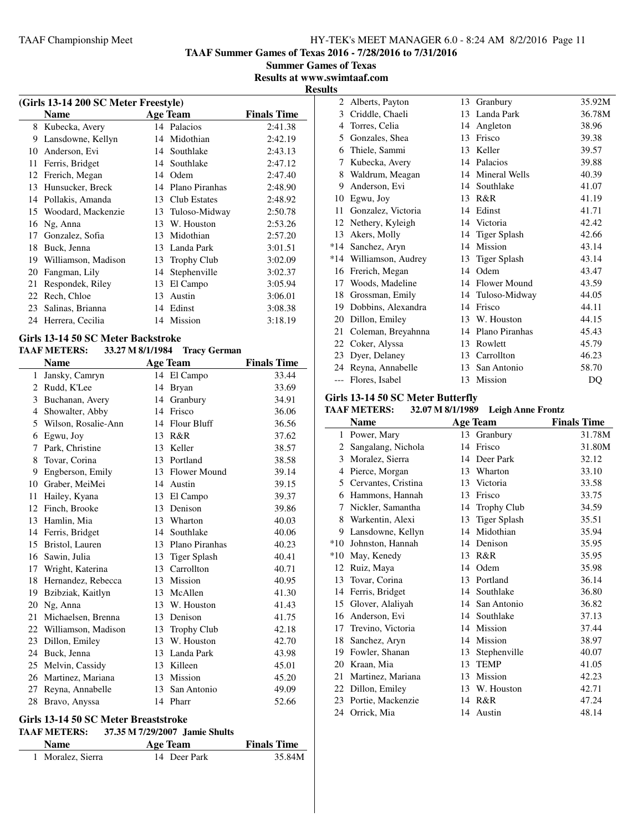**TAAF Summer Games of Texas 2016 - 7/28/2016 to 7/31/2016**

**Summer Games of Texas Results at www.swimtaaf.com**

#### **Results**

| (Girls 13-14 200 SC Meter Freestyle) |                     |    |                    |                    |  |
|--------------------------------------|---------------------|----|--------------------|--------------------|--|
|                                      | <b>Name</b>         |    | Age Team           | <b>Finals Time</b> |  |
| 8                                    | Kubecka, Avery      |    | 14 Palacios        | 2:41.38            |  |
| 9                                    | Lansdowne, Kellyn   | 14 | Midothian          | 2:42.19            |  |
| 10                                   | Anderson, Evi       | 14 | Southlake          | 2:43.13            |  |
| 11                                   | Ferris, Bridget     | 14 | Southlake          | 2:47.12            |  |
| 12                                   | Frerich, Megan      | 14 | Odem               | 2:47.40            |  |
| 13                                   | Hunsucker, Breck    | 14 | Plano Piranhas     | 2:48.90            |  |
| 14                                   | Pollakis, Amanda    | 13 | Club Estates       | 2:48.92            |  |
| 15                                   | Woodard, Mackenzie  | 13 | Tuloso-Midway      | 2:50.78            |  |
| 16                                   | Ng, Anna            | 13 | W. Houston         | 2:53.26            |  |
| 17                                   | Gonzalez, Sofia     | 13 | Midothian          | 2:57.20            |  |
| 18                                   | Buck, Jenna         | 13 | Landa Park         | 3:01.51            |  |
| 19                                   | Williamson, Madison | 13 | <b>Trophy Club</b> | 3:02.09            |  |
| 20                                   | Fangman, Lily       | 14 | Stephenville       | 3:02.37            |  |
| 21                                   | Respondek, Riley    | 13 | El Campo           | 3:05.94            |  |
| 22                                   | Rech, Chloe         | 13 | Austin             | 3:06.01            |  |
| 23                                   | Salinas, Brianna    | 14 | Edinst             | 3:08.38            |  |
| 24                                   | Herrera, Cecilia    | 14 | Mission            | 3:18.19            |  |
|                                      |                     |    |                    |                    |  |

#### **Girls 13-14 50 SC Meter Backstroke**

#### **TAAF METERS: 33.27 M 8/1/1984 Tracy German**

|    | <b>Name</b>            |    | <b>Age Team</b>     | <b>Finals Time</b> |
|----|------------------------|----|---------------------|--------------------|
| 1  | Jansky, Camryn         |    | 14 El Campo         | 33.44              |
| 2  | Rudd, K'Lee            | 14 | <b>Bryan</b>        | 33.69              |
| 3  | Buchanan, Avery        | 14 | Granbury            | 34.91              |
| 4  | Showalter, Abby        | 14 | Frisco              | 36.06              |
| 5  | Wilson, Rosalie-Ann    | 14 | <b>Flour Bluff</b>  | 36.56              |
| 6  | Egwu, Joy              | 13 | R&R                 | 37.62              |
| 7  | Park, Christine        | 13 | Keller              | 38.57              |
| 8  | Tovar, Corina          |    | 13 Portland         | 38.58              |
| 9  | Engberson, Emily       | 13 | <b>Flower Mound</b> | 39.14              |
| 10 | Graber, MeiMei         | 14 | Austin              | 39.15              |
| 11 | Hailey, Kyana          |    | 13 El Campo         | 39.37              |
| 12 | Finch, Brooke          | 13 | Denison             | 39.86              |
| 13 | Hamlin, Mia            | 13 | Wharton             | 40.03              |
| 14 | Ferris, Bridget        | 14 | Southlake           | 40.06              |
| 15 | Bristol, Lauren        |    | 13 Plano Piranhas   | 40.23              |
| 16 | Sawin, Julia           | 13 | <b>Tiger Splash</b> | 40.41              |
| 17 | Wright, Katerina       |    | 13 Carrollton       | 40.71              |
| 18 | Hernandez, Rebecca     |    | 13 Mission          | 40.95              |
| 19 | Bzibziak, Kaitlyn      | 13 | McAllen             | 41.30              |
| 20 | Ng, Anna               | 13 | W. Houston          | 41.43              |
| 21 | Michaelsen, Brenna     | 13 | Denison             | 41.75              |
|    | 22 Williamson, Madison | 13 | Trophy Club         | 42.18              |
| 23 | Dillon, Emiley         | 13 | W. Houston          | 42.70              |
| 24 | Buck, Jenna            | 13 | Landa Park          | 43.98              |
| 25 | Melvin, Cassidy        | 13 | Killeen             | 45.01              |
| 26 | Martinez, Mariana      | 13 | Mission             | 45.20              |
| 27 | Reyna, Annabelle       | 13 | San Antonio         | 49.09              |
| 28 | Bravo, Anyssa          |    | 14 Pharr            | 52.66              |
|    |                        |    |                     |                    |

#### **Girls 13-14 50 SC Meter Breaststroke**

#### **TAAF METERS: 37.35 M 7/29/2007 Jamie Shults**

| <b>Name</b>       | Age Team     | <b>Finals Time</b> |
|-------------------|--------------|--------------------|
| 1 Moralez, Sierra | 14 Deer Park | 35.84M             |

| 2     | Alberts, Payton    | 13 | Granbury             | 35.92M |
|-------|--------------------|----|----------------------|--------|
| 3     | Criddle, Chaeli    | 13 | Landa Park           | 36.78M |
| 4     | Torres, Celia      | 14 | Angleton             | 38.96  |
| 5     | Gonzales, Shea     | 13 | Frisco               | 39.38  |
| 6     | Thiele, Sammi      | 13 | Keller               | 39.57  |
| 7     | Kubecka, Avery     | 14 | Palacios             | 39.88  |
| 8     | Waldrum, Meagan    | 14 | <b>Mineral Wells</b> | 40.39  |
| 9     | Anderson, Evi      | 14 | Southlake            | 41.07  |
| 10    | Egwu, Joy          | 13 | R&R                  | 41.19  |
| 11    | Gonzalez, Victoria | 14 | Edinst               | 41.71  |
| 12    | Nethery, Kyleigh   | 14 | Victoria             | 42.42  |
| 13    | Akers, Molly       | 14 | <b>Tiger Splash</b>  | 42.66  |
| *14   | Sanchez, Aryn      | 14 | Mission              | 43.14  |
| *14   | Williamson, Audrey | 13 | Tiger Splash         | 43.14  |
| 16    | Frerich, Megan     | 14 | Odem                 | 43.47  |
| 17    | Woods, Madeline    | 14 | Flower Mound         | 43.59  |
| 18    | Grossman, Emily    | 14 | Tuloso-Midway        | 44.05  |
| 19    | Dobbins, Alexandra | 14 | Frisco               | 44.11  |
| 20    | Dillon, Emiley     | 13 | W. Houston           | 44.15  |
| 21    | Coleman, Breyahnna | 14 | Plano Piranhas       | 45.43  |
| 22    | Coker, Alyssa      | 13 | Rowlett              | 45.79  |
| 23    | Dyer, Delaney      | 13 | Carrollton           | 46.23  |
| 24    | Reyna, Annabelle   | 13 | San Antonio          | 58.70  |
| $---$ | Flores, Isabel     | 13 | Mission              | DQ     |

#### **Girls 13-14 50 SC Meter Butterfly**

#### **TAAF METERS: 32.07 M 8/1/1989 Leigh Anne Frontz**

|       | <b>Name</b>         |    | <b>Age Team</b>     | <b>Finals Time</b> |
|-------|---------------------|----|---------------------|--------------------|
| 1     | Power, Mary         | 13 | Granbury            | 31.78M             |
| 2     | Sangalang, Nichola  | 14 | Frisco              | 31.80M             |
| 3     | Moralez, Sierra     | 14 | Deer Park           | 32.12              |
| 4     | Pierce, Morgan      | 13 | Wharton             | 33.10              |
| 5     | Cervantes, Cristina | 13 | Victoria            | 33.58              |
| 6     | Hammons, Hannah     | 13 | Frisco              | 33.75              |
| 7     | Nickler, Samantha   | 14 | <b>Trophy Club</b>  | 34.59              |
| 8     | Warkentin, Alexi    | 13 | <b>Tiger Splash</b> | 35.51              |
| 9     | Lansdowne, Kellyn   | 14 | Midothian           | 35.94              |
| $*10$ | Johnston, Hannah    | 14 | Denison             | 35.95              |
| $*10$ | May, Kenedy         | 13 | R&R                 | 35.95              |
| 12    | Ruiz, Maya          | 14 | Odem                | 35.98              |
| 13    | Tovar, Corina       | 13 | Portland            | 36.14              |
| 14    | Ferris, Bridget     |    | 14 Southlake        | 36.80              |
| 15    | Glover, Alaliyah    | 14 | San Antonio         | 36.82              |
| 16    | Anderson, Evi       | 14 | Southlake           | 37.13              |
| 17    | Trevino, Victoria   | 14 | Mission             | 37.44              |
| 18    | Sanchez, Aryn       | 14 | Mission             | 38.97              |
| 19    | Fowler, Shanan      | 13 | Stephenville        | 40.07              |
| 20    | Kraan, Mia          | 13 | <b>TEMP</b>         | 41.05              |
| 21    | Martinez, Mariana   | 13 | Mission             | 42.23              |
| 22    | Dillon, Emiley      | 13 | W. Houston          | 42.71              |
| 23    | Portie, Mackenzie   | 14 | R&R                 | 47.24              |
|       | 24 Orrick, Mia      | 14 | Austin              | 48.14              |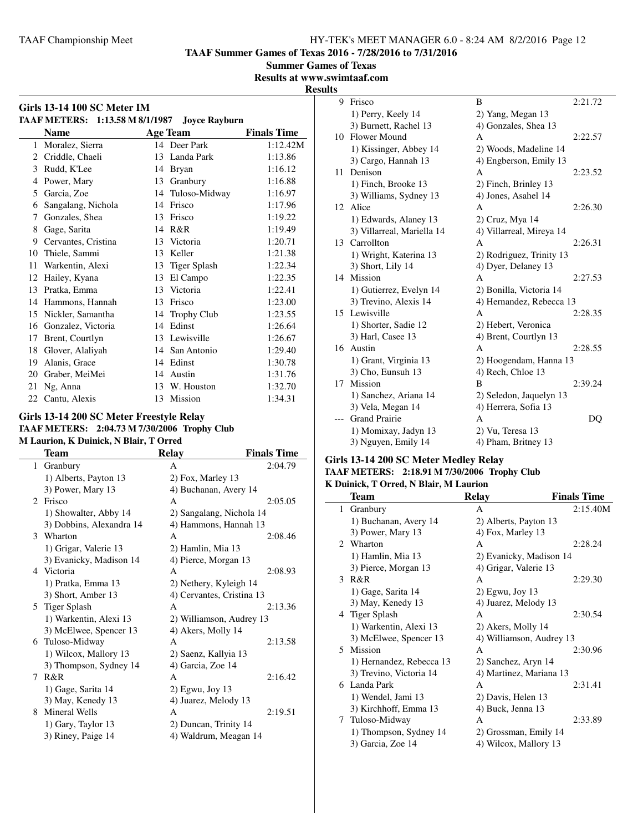**TAAF Summer Games of Texas 2016 - 7/28/2016 to 7/31/2016**

**Summer Games of Texas**

**Results at www.swimtaaf.com**

**Results**

|                | <b>Girls 13-14 100 SC Meter IM</b><br>TAAF METERS: 1:13.58 M 8/1/1987 |    | <b>Joyce Rayburn</b> |                    |
|----------------|-----------------------------------------------------------------------|----|----------------------|--------------------|
|                | <b>Name</b>                                                           |    | <b>Age Team</b>      | <b>Finals Time</b> |
| 1              | Moralez, Sierra                                                       |    | 14 Deer Park         | 1:12.42M           |
| $\overline{c}$ | Criddle, Chaeli                                                       |    | 13 Landa Park        | 1:13.86            |
| 3              | Rudd, K'Lee                                                           | 14 | <b>Bryan</b>         | 1:16.12            |
| 4              | Power, Mary                                                           | 13 | Granbury             | 1:16.88            |
| 5              | Garcia, Zoe                                                           | 14 | Tuloso-Midway        | 1:16.97            |
| 6              | Sangalang, Nichola                                                    | 14 | Frisco               | 1:17.96            |
| 7              | Gonzales, Shea                                                        | 13 | Frisco               | 1:19.22            |
| 8              | Gage, Sarita                                                          | 14 | R&R                  | 1:19.49            |
| 9              | Cervantes, Cristina                                                   | 13 | Victoria             | 1:20.71            |
| 10             | Thiele, Sammi                                                         | 13 | Keller               | 1:21.38            |
| 11             | Warkentin, Alexi                                                      | 13 | <b>Tiger Splash</b>  | 1:22.34            |
| 12             | Hailey, Kyana                                                         | 13 | El Campo             | 1:22.35            |
| 13             | Pratka, Emma                                                          | 13 | Victoria             | 1:22.41            |
| 14             | Hammons, Hannah                                                       | 13 | Frisco               | 1:23.00            |
| 15             | Nickler, Samantha                                                     | 14 | Trophy Club          | 1:23.55            |
| 16             | Gonzalez, Victoria                                                    | 14 | Edinst               | 1:26.64            |
| 17             | Brent, Courtlyn                                                       | 13 | Lewisville           | 1:26.67            |
| 18             | Glover, Alaliyah                                                      | 14 | San Antonio          | 1:29.40            |
| 19             | Alanis, Grace                                                         | 14 | Edinst               | 1:30.78            |
| 20             | Graber, MeiMei                                                        | 14 | Austin               | 1:31.76            |
| 21             | Ng, Anna                                                              | 13 | W. Houston           | 1:32.70            |
|                | 22 Cantu, Alexis                                                      | 13 | Mission              | 1:34.31            |

#### **Girls 13-14 200 SC Meter Freestyle Relay TAAF METERS: 2:04.73 M 7/30/2006 Trophy Club M Laurion, K Duinick, N Blair, T Orred**

|              | <b>Team</b>              | <b>Relay</b>              | <b>Finals Time</b> |
|--------------|--------------------------|---------------------------|--------------------|
| $\mathbf{1}$ | Granbury                 | $\mathsf{A}$              | 2:04.79            |
|              | 1) Alberts, Payton 13    | 2) Fox, Marley 13         |                    |
|              | 3) Power, Mary 13        | 4) Buchanan, Avery 14     |                    |
|              | 2 Frisco                 | A                         | 2:05.05            |
|              | 1) Showalter, Abby 14    | 2) Sangalang, Nichola 14  |                    |
|              | 3) Dobbins, Alexandra 14 | 4) Hammons, Hannah 13     |                    |
|              | 3 Wharton                | A                         | 2:08.46            |
|              | 1) Grigar, Valerie 13    | 2) Hamlin, Mia 13         |                    |
|              | 3) Evanicky, Madison 14  | 4) Pierce, Morgan 13      |                    |
|              | 4 Victoria               | $\mathsf{A}$              | 2:08.93            |
|              | 1) Pratka, Emma 13       | 2) Nethery, Kyleigh 14    |                    |
|              | 3) Short, Amber 13       | 4) Cervantes, Cristina 13 |                    |
|              | 5 Tiger Splash           | A                         | 2:13.36            |
|              | 1) Warkentin, Alexi 13   | 2) Williamson, Audrey 13  |                    |
|              | 3) McElwee, Spencer 13   | 4) Akers, Molly 14        |                    |
|              | 6 Tuloso-Midway          | A                         | 2:13.58            |
|              | 1) Wilcox, Mallory 13    | 2) Saenz, Kallyia 13      |                    |
|              | 3) Thompson, Sydney 14   | 4) Garcia, Zoe 14         |                    |
| 7            | R&R                      | A                         | 2:16.42            |
|              | 1) Gage, Sarita 14       | $2)$ Egwu, Joy 13         |                    |
|              | 3) May, Kenedy 13        | 4) Juarez, Melody 13      |                    |
| 8            | Mineral Wells            | A                         | 2:19.51            |
|              | 1) Gary, Taylor 13       | 2) Duncan, Trinity 14     |                    |
|              | 3) Riney, Paige 14       | 4) Waldrum, Meagan 14     |                    |
|              |                          |                           |                    |

| 9  | Frisco                     | B                        | 2:21.72 |
|----|----------------------------|--------------------------|---------|
|    | 1) Perry, Keely 14         | 2) Yang, Megan 13        |         |
|    | 3) Burnett, Rachel 13      | 4) Gonzales, Shea 13     |         |
|    | 10 Flower Mound            | A                        | 2:22.57 |
|    | 1) Kissinger, Abbey 14     | 2) Woods, Madeline 14    |         |
|    | 3) Cargo, Hannah 13        | 4) Engberson, Emily 13   |         |
| 11 | Denison                    | A                        | 2:23.52 |
|    | 1) Finch, Brooke 13        | 2) Finch, Brinley 13     |         |
|    | 3) Williams, Sydney 13     | 4) Jones, Asahel 14      |         |
| 12 | Alice                      | A                        | 2:26.30 |
|    | 1) Edwards, Alaney 13      | 2) Cruz, Mya 14          |         |
|    | 3) Villarreal, Mariella 14 | 4) Villarreal, Mireya 14 |         |
| 13 | Carrollton                 | A                        | 2:26.31 |
|    | 1) Wright, Katerina 13     | 2) Rodriguez, Trinity 13 |         |
|    | 3) Short, Lily 14          | 4) Dyer, Delaney 13      |         |
| 14 | Mission                    | A                        | 2:27.53 |
|    | 1) Gutierrez, Evelyn 14    | 2) Bonilla, Victoria 14  |         |
|    | 3) Trevino, Alexis 14      | 4) Hernandez, Rebecca 13 |         |
|    | 15 Lewisville              | A                        | 2:28.35 |
|    | 1) Shorter, Sadie 12       | 2) Hebert, Veronica      |         |
|    | 3) Harl, Casee 13          | 4) Brent, Courtlyn 13    |         |
|    | 16 Austin                  | A                        | 2:28.55 |
|    | 1) Grant, Virginia 13      | 2) Hoogendam, Hanna 13   |         |
|    | 3) Cho, Eunsuh 13          | 4) Rech, Chloe 13        |         |
| 17 | Mission                    | B                        | 2:39.24 |
|    | 1) Sanchez, Ariana 14      | 2) Seledon, Jaquelyn 13  |         |
|    | 3) Vela, Megan 14          | 4) Herrera, Sofia 13     |         |
|    | <b>Grand Prairie</b>       | A                        | DQ      |
|    | 1) Momixay, Jadyn 13       | 2) Vu, Teresa 13         |         |
|    | 3) Nguyen, Emily 14        | 4) Pham, Britney 13      |         |

#### **Girls 13-14 200 SC Meter Medley Relay TAAF METERS: 2:18.91 M 7/30/2006 Trophy Club K Duinick, T Orred, N Blair, M Laurion**

|   | <b>Team</b>              | Relay                    | <b>Finals Time</b> |
|---|--------------------------|--------------------------|--------------------|
|   | 1 Granbury               | A                        | 2:15.40M           |
|   | 1) Buchanan, Avery 14    | 2) Alberts, Payton 13    |                    |
|   | 3) Power, Mary 13        | 4) Fox, Marley 13        |                    |
|   | 2 Wharton                | A                        | 2:28.24            |
|   | 1) Hamlin, Mia 13        | 2) Evanicky, Madison 14  |                    |
|   | 3) Pierce, Morgan 13     | 4) Grigar, Valerie 13    |                    |
|   | 3 R&R                    | A                        | 2:29.30            |
|   | 1) Gage, Sarita 14       | $2)$ Egwu, Joy 13        |                    |
|   | 3) May, Kenedy 13        | 4) Juarez, Melody 13     |                    |
|   | 4 Tiger Splash           | A                        | 2:30.54            |
|   | 1) Warkentin, Alexi 13   | 2) Akers, Molly 14       |                    |
|   | 3) McElwee, Spencer 13   | 4) Williamson, Audrey 13 |                    |
|   | 5 Mission                | A                        | 2:30.96            |
|   | 1) Hernandez, Rebecca 13 | 2) Sanchez, Aryn 14      |                    |
|   | 3) Trevino, Victoria 14  | 4) Martinez, Mariana 13  |                    |
|   | 6 Landa Park             | A                        | 2:31.41            |
|   | 1) Wendel, Jami 13       | 2) Davis, Helen 13       |                    |
|   | 3) Kirchhoff, Emma 13    | 4) Buck, Jenna 13        |                    |
| 7 | Tuloso-Midway            | A                        | 2:33.89            |
|   | 1) Thompson, Sydney 14   | 2) Grossman, Emily 14    |                    |
|   | 3) Garcia, Zoe 14        | 4) Wilcox, Mallory 13    |                    |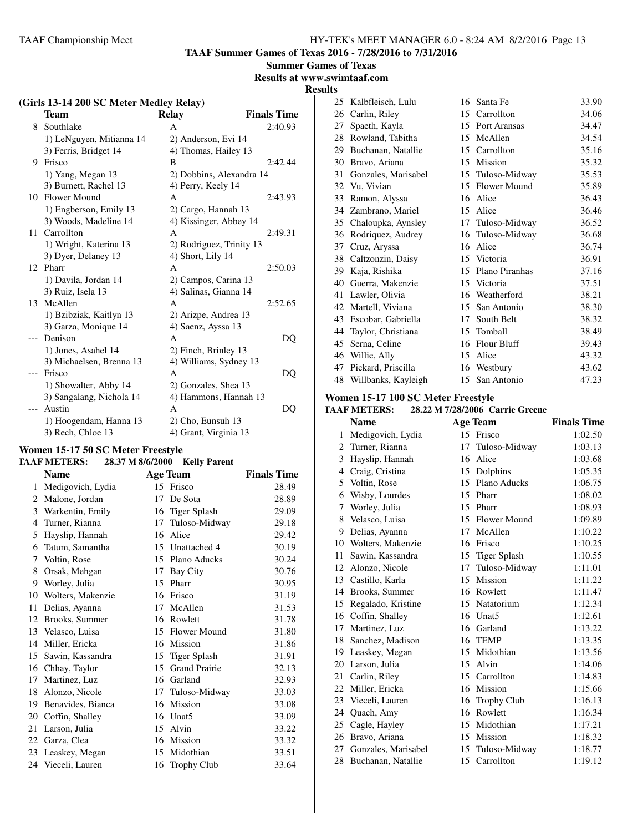**TAAF Summer Games of Texas 2016 - 7/28/2016 to 7/31/2016**

**Summer Games of Texas**

# **Results at www.swimtaaf.com**

**Results**

| (Girls 13-14 200 SC Meter Medley Relay) |                          |                          |                    |  |
|-----------------------------------------|--------------------------|--------------------------|--------------------|--|
|                                         | Team                     | <b>Relay</b>             | <b>Finals Time</b> |  |
|                                         | 8 Southlake              | A                        | 2:40.93            |  |
|                                         | 1) LeNguyen, Mitianna 14 | 2) Anderson, Evi 14      |                    |  |
|                                         | 3) Ferris, Bridget 14    | 4) Thomas, Hailey 13     |                    |  |
| 9                                       | Frisco                   | B                        | 2:42.44            |  |
|                                         | 1) Yang, Megan 13        | 2) Dobbins, Alexandra 14 |                    |  |
|                                         | 3) Burnett, Rachel 13    | 4) Perry, Keely 14       |                    |  |
| 10                                      | <b>Flower Mound</b>      | A                        | 2:43.93            |  |
|                                         | 1) Engberson, Emily 13   | 2) Cargo, Hannah 13      |                    |  |
|                                         | 3) Woods, Madeline 14    | 4) Kissinger, Abbey 14   |                    |  |
| 11                                      | Carrollton               | A                        | 2:49.31            |  |
|                                         | 1) Wright, Katerina 13   | 2) Rodriguez, Trinity 13 |                    |  |
|                                         | 3) Dyer, Delaney 13      | 4) Short, Lily 14        |                    |  |
| 12.                                     | Pharr                    | A                        | 2:50.03            |  |
|                                         | 1) Davila, Jordan 14     | 2) Campos, Carina 13     |                    |  |
|                                         | 3) Ruiz, Isela 13        | 4) Salinas, Gianna 14    |                    |  |
| 13                                      | McAllen                  | A                        | 2:52.65            |  |
|                                         | 1) Bzibziak, Kaitlyn 13  | 2) Arizpe, Andrea 13     |                    |  |
|                                         | 3) Garza, Monique 14     | 4) Saenz, Ayssa 13       |                    |  |
| $---$                                   | Denison                  | A                        | DQ                 |  |
|                                         | 1) Jones, Asahel 14      | 2) Finch, Brinley 13     |                    |  |
|                                         | 3) Michaelsen, Brenna 13 | 4) Williams, Sydney 13   |                    |  |
| $---$                                   | Frisco                   | A                        | DQ                 |  |
|                                         | 1) Showalter, Abby 14    | 2) Gonzales, Shea 13     |                    |  |
|                                         | 3) Sangalang, Nichola 14 | 4) Hammons, Hannah 13    |                    |  |
| $---$                                   | Austin                   | A                        | DQ                 |  |
|                                         | 1) Hoogendam, Hanna 13   | 2) Cho, Eunsuh 13        |                    |  |
|                                         | 3) Rech, Chloe 13        | 4) Grant, Virginia 13    |                    |  |

#### **Women 15-17 50 SC Meter Freestyle TAAF METERS: 28.37 M 8/6/2000 Kelly Parent**

|    | Name              |    | <b>Age Team</b>      | <b>Finals Time</b> |
|----|-------------------|----|----------------------|--------------------|
| 1  | Medigovich, Lydia |    | 15 Frisco            | 28.49              |
| 2  | Malone, Jordan    | 17 | De Sota              | 28.89              |
| 3  | Warkentin, Emily  | 16 | <b>Tiger Splash</b>  | 29.09              |
| 4  | Turner, Rianna    | 17 | Tuloso-Midway        | 29.18              |
| 5  | Hayslip, Hannah   | 16 | Alice                | 29.42              |
| 6  | Tatum, Samantha   | 15 | Unattached 4         | 30.19              |
| 7  | Voltin, Rose      | 15 | Plano Aducks         | 30.24              |
| 8  | Orsak, Mehgan     | 17 | Bay City             | 30.76              |
| 9  | Worley, Julia     | 15 | Pharr                | 30.95              |
| 10 | Wolters, Makenzie | 16 | Frisco               | 31.19              |
| 11 | Delias, Ayanna    | 17 | McAllen              | 31.53              |
| 12 | Brooks, Summer    | 16 | Rowlett              | 31.78              |
| 13 | Velasco, Luisa    | 15 | Flower Mound         | 31.80              |
| 14 | Miller, Ericka    | 16 | Mission              | 31.86              |
| 15 | Sawin, Kassandra  | 15 | <b>Tiger Splash</b>  | 31.91              |
| 16 | Chhay, Taylor     | 15 | <b>Grand Prairie</b> | 32.13              |
| 17 | Martinez, Luz     | 16 | Garland              | 32.93              |
| 18 | Alonzo, Nicole    | 17 | Tuloso-Midway        | 33.03              |
| 19 | Benavides, Bianca | 16 | Mission              | 33.08              |
| 20 | Coffin, Shalley   | 16 | Unat <sub>5</sub>    | 33.09              |
| 21 | Larson, Julia     | 15 | Alvin                | 33.22              |
| 22 | Garza, Clea       | 16 | Mission              | 33.32              |
| 23 | Leaskey, Megan    | 15 | Midothian            | 33.51              |
| 24 | Vieceli, Lauren   | 16 | Trophy Club          | 33.64              |

| 25 | Kalbfleisch, Lulu      |    | 16 Santa Fe        | 33.90 |
|----|------------------------|----|--------------------|-------|
| 26 | Carlin, Riley          | 15 | Carrollton         | 34.06 |
| 27 | Spaeth, Kayla          | 15 | Port Aransas       | 34.47 |
| 28 | Rowland, Tabitha       | 15 | McAllen            | 34.54 |
| 29 | Buchanan, Natallie     | 15 | Carrollton         | 35.16 |
| 30 | Bravo, Ariana          | 15 | Mission            | 35.32 |
| 31 | Gonzales, Marisabel    |    | 15 Tuloso-Midway   | 35.53 |
|    | 32 Vu, Vivian          | 15 | Flower Mound       | 35.89 |
| 33 | Ramon, Alyssa          | 16 | Alice              | 36.43 |
| 34 | Zambrano, Mariel       | 15 | Alice              | 36.46 |
|    | 35 Chaloupka, Aynsley  | 17 | Tuloso-Midway      | 36.52 |
| 36 | Rodriquez, Audrey      | 16 | Tuloso-Midway      | 36.68 |
| 37 | Cruz, Aryssa           | 16 | Alice              | 36.74 |
| 38 | Caltzonzin, Daisy      | 15 | Victoria           | 36.91 |
| 39 | Kaja, Rishika          | 15 | Plano Piranhas     | 37.16 |
| 40 | Guerra, Makenzie       | 15 | Victoria           | 37.51 |
| 41 | Lawler, Olivia         | 16 | Weatherford        | 38.21 |
| 42 | Martell, Viviana       | 15 | San Antonio        | 38.30 |
| 43 | Escobar, Gabriella     | 17 | South Belt         | 38.32 |
| 44 | Taylor, Christiana     | 15 | Tomball            | 38.49 |
| 45 | Serna, Celine          | 16 | <b>Flour Bluff</b> | 39.43 |
| 46 | Willie, Ally           | 15 | Alice              | 43.32 |
| 47 | Pickard, Priscilla     | 16 | Westbury           | 43.62 |
|    | 48 Willbanks, Kayleigh | 15 | San Antonio        | 47.23 |

#### **Women 15-17 100 SC Meter Freestyle**

| <b>TAAF METERS:</b> | 28.22 M 7/28/2006 Carrie Greene |  |
|---------------------|---------------------------------|--|
|---------------------|---------------------------------|--|

|              | <b>Name</b>           |         | <b>Age Team</b>    | <b>Finals Time</b> |
|--------------|-----------------------|---------|--------------------|--------------------|
| $\mathbf{1}$ | Medigovich, Lydia     |         | 15 Frisco          | 1:02.50            |
| 2            | Turner, Rianna        | 17      | Tuloso-Midway      | 1:03.13            |
| 3            | Hayslip, Hannah       | 16      | Alice              | 1:03.68            |
| 4            | Craig, Cristina       | 15      | Dolphins           | 1:05.35            |
| 5            | Voltin, Rose          |         | 15 Plano Aducks    | 1:06.75            |
| 6            | Wisby, Lourdes        | 15      | Pharr              | 1:08.02            |
| 7            | Worley, Julia         |         | 15 Pharr           | 1:08.93            |
| 8            | Velasco, Luisa        | $15-15$ | Flower Mound       | 1:09.89            |
| 9            | Delias, Ayanna        |         | 17 McAllen         | 1:10.22            |
|              | 10 Wolters, Makenzie  |         | 16 Frisco          | 1:10.25            |
| 11           | Sawin, Kassandra      | 15      | Tiger Splash       | 1:10.55            |
| 12           | Alonzo, Nicole        | 17      | Tuloso-Midway      | 1:11.01            |
|              | 13 Castillo, Karla    |         | 15 Mission         | 1:11.22            |
|              | 14 Brooks, Summer     |         | 16 Rowlett         | 1:11.47            |
| 15           | Regalado, Kristine    |         | 15 Natatorium      | 1:12.34            |
| 16           | Coffin, Shalley       |         | 16 Unat5           | 1:12.61            |
| 17           | Martinez, Luz         | 16      | Garland            | 1:13.22            |
|              | 18 Sanchez, Madison   |         | 16 TEMP            | 1:13.35            |
| 19           | Leaskey, Megan        | 15      | Midothian          | 1:13.56            |
|              | 20 Larson, Julia      | 15      | Alvin              | 1:14.06            |
| 21           | Carlin, Riley         | 15      | Carrollton         | 1:14.83            |
| 22           | Miller, Ericka        |         | 16 Mission         | 1:15.66            |
| 23           | Vieceli, Lauren       | 16      | <b>Trophy Club</b> | 1:16.13            |
| 24           | Quach, Amy            |         | 16 Rowlett         | 1:16.34            |
| 25           | Cagle, Hayley         | 15      | Midothian          | 1:17.21            |
| 26           | Bravo, Ariana         |         | 15 Mission         | 1:18.32            |
| 27           | Gonzales, Marisabel   | 15      | Tuloso-Midway      | 1:18.77            |
|              | 28 Buchanan, Natallie |         | 15 Carrollton      | 1:19.12            |
|              |                       |         |                    |                    |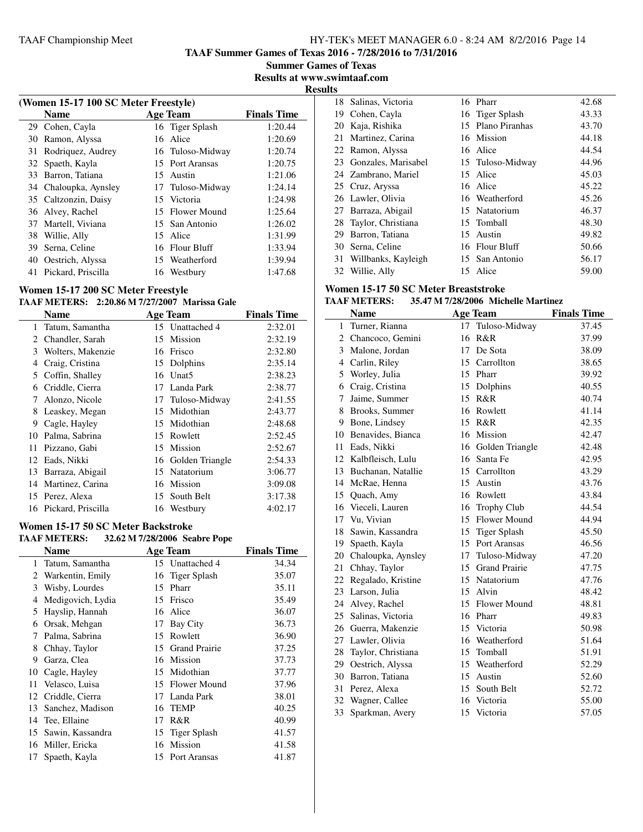**TAAF Summer Games of Texas 2016 - 7/28/2016 to 7/31/2016**

**Summer Games of Texas Results at www.swimtaaf.com**

**Results**

 $\overline{\phantom{0}}$ 

|    | (Women 15-17 100 SC Meter Freestyle) |     |                     |                    |  |  |
|----|--------------------------------------|-----|---------------------|--------------------|--|--|
|    | <b>Name</b>                          |     | <b>Age Team</b>     | <b>Finals Time</b> |  |  |
|    | 29 Cohen, Cayla                      |     | 16 Tiger Splash     | 1:20.44            |  |  |
| 30 | Ramon, Alyssa                        | 16  | Alice               | 1:20.69            |  |  |
| 31 | Rodriquez, Audrey                    |     | 16 Tuloso-Midway    | 1:20.74            |  |  |
|    | 32 Spaeth, Kayla                     |     | 15 Port Aransas     | 1:20.75            |  |  |
| 33 | Barron, Tatiana                      |     | 15 Austin           | 1:21.06            |  |  |
|    | 34 Chaloupka, Aynsley                |     | 17 Tuloso-Midway    | 1:24.14            |  |  |
|    | 35 Caltzonzin, Daisy                 |     | 15 Victoria         | 1:24.98            |  |  |
|    | 36 Alvey, Rachel                     | 15. | <b>Flower Mound</b> | 1:25.64            |  |  |
| 37 | Martell, Viviana                     |     | 15 San Antonio      | 1:26.02            |  |  |
| 38 | Willie, Ally                         | 15. | Alice               | 1:31.99            |  |  |
| 39 | Serna, Celine                        |     | 16 Flour Bluff      | 1:33.94            |  |  |
| 40 | Oestrich, Alyssa                     |     | 15 Weatherford      | 1:39.94            |  |  |
| 41 | Pickard, Priscilla                   |     | 16 Westbury         | 1:47.68            |  |  |

# **Women 15-17 200 SC Meter Freestyle**

#### **TAAF METERS: 2:20.86 M 7/27/2007 Marissa Gale**

|              | Name                  |     | <b>Age Team</b>   | <b>Finals Time</b> |
|--------------|-----------------------|-----|-------------------|--------------------|
| $\mathbf{1}$ | Tatum, Samantha       |     | 15 Unattached 4   | 2:32.01            |
|              | 2 Chandler, Sarah     |     | 15 Mission        | 2:32.19            |
| 3            | Wolters, Makenzie     |     | 16 Frisco         | 2:32.80            |
| 4            | Craig, Cristina       |     | 15 Dolphins       | 2:35.14            |
| 5            | Coffin, Shalley       | 16  | Unat <sub>5</sub> | 2:38.23            |
| 6            | Criddle, Cierra       | 17  | Landa Park        | 2:38.77            |
| 7            | Alonzo, Nicole        |     | 17 Tuloso-Midway  | 2:41.55            |
| 8            | Leaskey, Megan        | 15  | Midothian         | 2:43.77            |
| 9            | Cagle, Hayley         |     | 15 Midothian      | 2:48.68            |
| 10           | Palma, Sabrina        | 15. | Rowlett           | 2:52.45            |
| 11           | Pizzano, Gabi         |     | 15 Mission        | 2:52.67            |
|              | 12 Eads, Nikki        | 16  | Golden Triangle   | 2:54.33            |
| 13           | Barraza, Abigail      |     | 15 Natatorium     | 3:06.77            |
| 14           | Martinez, Carina      | 16  | Mission           | 3:09.08            |
|              | 15 Perez, Alexa       | 15  | South Belt        | 3:17.38            |
|              | 16 Pickard, Priscilla |     | 16 Westbury       | 4:02.17            |

#### **Women 15-17 50 SC Meter Backstroke**

|    | <b>TAAF METERS:</b> |    | 32.62 M 7/28/2006 Seabre Pope |                    |
|----|---------------------|----|-------------------------------|--------------------|
|    | Name                |    | <b>Age Team</b>               | <b>Finals Time</b> |
| 1  | Tatum, Samantha     |    | 15 Unattached 4               | 34.34              |
| 2  | Warkentin, Emily    |    | 16 Tiger Splash               | 35.07              |
| 3  | Wisby, Lourdes      | 15 | Pharr                         | 35.11              |
| 4  | Medigovich, Lydia   | 15 | Frisco                        | 35.49              |
| 5  | Hayslip, Hannah     | 16 | Alice                         | 36.07              |
| 6  | Orsak, Mehgan       | 17 | Bay City                      | 36.73              |
| 7  | Palma, Sabrina      | 15 | Rowlett                       | 36.90              |
| 8  | Chhay, Taylor       | 15 | <b>Grand Prairie</b>          | 37.25              |
| 9  | Garza, Clea         | 16 | Mission                       | 37.73              |
| 10 | Cagle, Hayley       | 15 | Midothian                     | 37.77              |
| 11 | Velasco, Luisa      | 15 | Flower Mound                  | 37.96              |
| 12 | Criddle, Cierra     | 17 | Landa Park                    | 38.01              |
| 13 | Sanchez, Madison    | 16 | <b>TEMP</b>                   | 40.25              |
| 14 | Tee, Ellaine        | 17 | R&R                           | 40.99              |
| 15 | Sawin, Kassandra    | 15 | Tiger Splash                  | 41.57              |
| 16 | Miller, Ericka      | 16 | Mission                       | 41.58              |
| 17 | Spaeth, Kayla       | 15 | Port Aransas                  | 41.87              |
|    |                     |    |                               |                    |

| 18 | Salinas, Victoria      |    | 16 Pharr          | 42.68 |
|----|------------------------|----|-------------------|-------|
| 19 | Cohen, Cayla           |    | 16 Tiger Splash   | 43.33 |
| 20 | Kaja, Rishika          |    | 15 Plano Piranhas | 43.70 |
| 21 | Martinez, Carina       |    | 16 Mission        | 44.18 |
|    | 22 Ramon, Alyssa       |    | 16 Alice          | 44.54 |
|    | 23 Gonzales, Marisabel |    | 15 Tuloso-Midway  | 44.96 |
|    | 24 Zambrano, Mariel    |    | 15 Alice          | 45.03 |
|    | 25 Cruz, Aryssa        |    | 16 Alice          | 45.22 |
|    | 26 Lawler, Olivia      |    | 16 Weatherford    | 45.26 |
|    | 27 Barraza, Abigail    |    | 15 Natatorium     | 46.37 |
|    | 28 Taylor, Christiana  |    | 15 Tomball        | 48.30 |
|    | 29 Barron, Tatiana     |    | 15 Austin         | 49.82 |
|    | 30 Serna, Celine       |    | 16 Flour Bluff    | 50.66 |
|    | 31 Willbanks, Kayleigh |    | 15 San Antonio    | 56.17 |
|    | 32 Willie, Ally        | 15 | Alice             | 59.00 |

# **Women 15-17 50 SC Meter Breaststroke**

# **TAAF METERS: 35.47 M 7/28/2006 Michelle Martinez**

|                | <b>Name</b>           |    | <b>Age Team</b>      | <b>Finals Time</b> |
|----------------|-----------------------|----|----------------------|--------------------|
| 1              | Turner, Rianna        | 17 | Tuloso-Midway        | 37.45              |
| $\overline{2}$ | Chancoco, Gemini      | 16 | R&R                  | 37.99              |
| 3              | Malone, Jordan        | 17 | De Sota              | 38.09              |
|                | 4 Carlin, Riley       | 15 | Carrollton           | 38.65              |
| 5              | Worley, Julia         | 15 | Pharr                | 39.92              |
| 6              | Craig, Cristina       | 15 | Dolphins             | 40.55              |
| 7              | Jaime, Summer         | 15 | R&R                  | 40.74              |
| 8              | Brooks, Summer        | 16 | Rowlett              | 41.14              |
| 9              | Bone, Lindsey         | 15 | R&R                  | 42.35              |
| 10             | Benavides, Bianca     | 16 | Mission              | 42.47              |
| 11             | Eads, Nikki           | 16 | Golden Triangle      | 42.48              |
| 12             | Kalbfleisch, Lulu     | 16 | Santa Fe             | 42.95              |
| 13             | Buchanan, Natallie    | 15 | Carrollton           | 43.29              |
| 14             | McRae, Henna          | 15 | Austin               | 43.76              |
| 15             | Quach, Amy            | 16 | Rowlett              | 43.84              |
| 16             | Vieceli, Lauren       | 16 | <b>Trophy Club</b>   | 44.54              |
| 17             | Vu, Vivian            | 15 | <b>Flower Mound</b>  | 44.94              |
| 18             | Sawin, Kassandra      | 15 | <b>Tiger Splash</b>  | 45.50              |
| 19             | Spaeth, Kayla         |    | 15 Port Aransas      | 46.56              |
|                | 20 Chaloupka, Aynsley | 17 | Tuloso-Midway        | 47.20              |
| 21             | Chhay, Taylor         | 15 | <b>Grand Prairie</b> | 47.75              |
| 22             | Regalado, Kristine    | 15 | Natatorium           | 47.76              |
| 23             | Larson, Julia         | 15 | Alvin                | 48.42              |
| 24             | Alvey, Rachel         | 15 | <b>Flower Mound</b>  | 48.81              |
| 25             | Salinas, Victoria     |    | 16 Pharr             | 49.83              |
| 26             | Guerra, Makenzie      | 15 | Victoria             | 50.98              |
| 27             | Lawler, Olivia        | 16 | Weatherford          | 51.64              |
| 28             | Taylor, Christiana    | 15 | Tomball              | 51.91              |
| 29             | Oestrich, Alyssa      | 15 | Weatherford          | 52.29              |
| 30             | Barron, Tatiana       | 15 | Austin               | 52.60              |
| 31             | Perez, Alexa          | 15 | South Belt           | 52.72              |
| 32             | Wagner, Callee        | 16 | Victoria             | 55.00              |
| 33             | Sparkman, Avery       | 15 | Victoria             | 57.05              |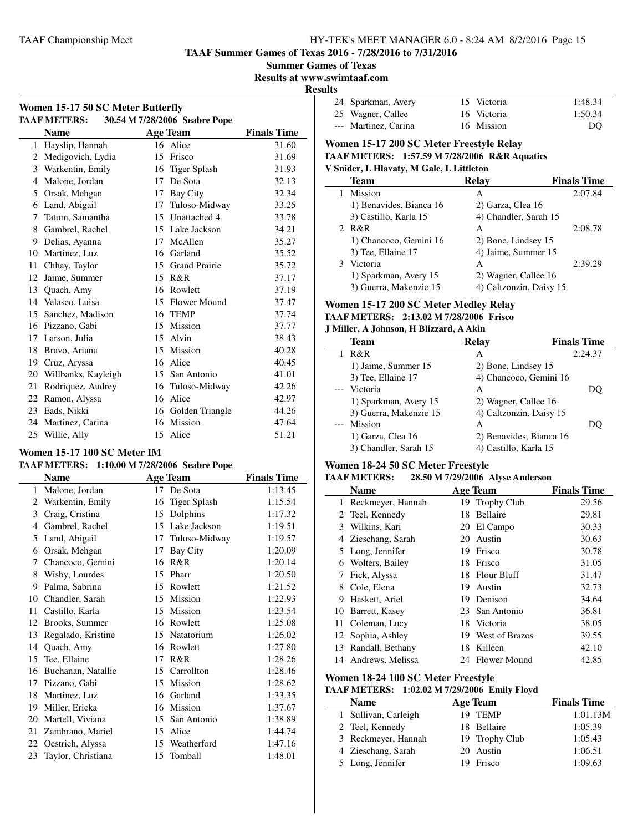**Women 15-17 50 SC Meter Butterfly**

#### TAAF Championship Meet HY-TEK's MEET MANAGER 6.0 - 8:24 AM 8/2/2016 Page 15

**TAAF Summer Games of Texas 2016 - 7/28/2016 to 7/31/2016**

**Summer Games of Texas**

**Results at www.swimtaaf.com**

**Results**

| 24 Sparkman, Avery   | 15 Victoria | 1:48.34 |
|----------------------|-------------|---------|
| 25 Wagner, Callee    | 16 Victoria | 1:50.34 |
| --- Martinez, Carina | 16 Mission  | DO      |

#### **TAAF METERS: 30.54 M 7/28/2006 Seabre Pope Name Age Team Finals Time**  Hayslip, Hannah 16 Alice 31.60 Medigovich, Lydia 15 Frisco 31.69 Warkentin, Emily 16 Tiger Splash 31.93 Malone, Jordan 17 De Sota 32.13 Orsak, Mehgan 17 Bay City 32.34 Land, Abigail 17 Tuloso-Midway 33.25 Tatum, Samantha 15 Unattached 4 33.78 Gambrel, Rachel 15 Lake Jackson 34.21 Delias, Ayanna 17 McAllen 35.27 Martinez, Luz 16 Garland 35.52 Chhay, Taylor 15 Grand Prairie 35.72 Jaime, Summer 15 R&R 37.17 Quach, Amy 16 Rowlett 37.19 Velasco, Luisa 15 Flower Mound 37.47 Sanchez, Madison 16 TEMP 37.74 Pizzano, Gabi 15 Mission 37.77 Larson, Julia 15 Alvin 38.43 Bravo, Ariana 15 Mission 40.28 Cruz, Aryssa 16 Alice 40.45 Willbanks, Kayleigh 15 San Antonio 41.01 Rodriquez, Audrey 16 Tuloso-Midway 42.26 Ramon, Alyssa 16 Alice 42.97 Eads, Nikki 16 Golden Triangle 44.26 Martinez, Carina 16 Mission 47.64 Willie, Ally 15 Alice 51.21

# **Women 15-17 100 SC Meter IM**

#### **TAAF METERS: 1:10.00 M 7/28/2006 Seabre Pope**

|                | Name               |    | <b>Age Team</b>     | <b>Finals Time</b> |
|----------------|--------------------|----|---------------------|--------------------|
| $\mathbf{1}$   | Malone, Jordan     | 17 | De Sota             | 1:13.45            |
| $\mathfrak{D}$ | Warkentin, Emily   | 16 | <b>Tiger Splash</b> | 1:15.54            |
| 3              | Craig, Cristina    | 15 | Dolphins            | 1:17.32            |
| 4              | Gambrel, Rachel    | 15 | Lake Jackson        | 1:19.51            |
| 5              | Land, Abigail      | 17 | Tuloso-Midway       | 1:19.57            |
| 6              | Orsak, Mehgan      | 17 | Bay City            | 1:20.09            |
| 7              | Chancoco, Gemini   | 16 | R&R                 | 1:20.14            |
| 8              | Wisby, Lourdes     | 15 | Pharr               | 1:20.50            |
| 9              | Palma, Sabrina     | 15 | Rowlett             | 1:21.52            |
| 10             | Chandler, Sarah    | 15 | Mission             | 1:22.93            |
| 11             | Castillo, Karla    | 15 | Mission             | 1:23.54            |
| 12             | Brooks, Summer     | 16 | Rowlett             | 1:25.08            |
| 13             | Regalado, Kristine | 15 | Natatorium          | 1:26.02            |
| 14             | Quach, Amy         | 16 | Rowlett             | 1:27.80            |
| 15             | Tee, Ellaine       | 17 | R&R                 | 1:28.26            |
| 16             | Buchanan, Natallie | 15 | Carrollton          | 1:28.46            |
| 17             | Pizzano, Gabi      | 15 | Mission             | 1:28.62            |
| 18             | Martinez, Luz      | 16 | Garland             | 1:33.35            |
| 19             | Miller, Ericka     | 16 | Mission             | 1:37.67            |
| 20             | Martell, Viviana   | 15 | San Antonio         | 1:38.89            |
| 21             | Zambrano, Mariel   | 15 | Alice               | 1:44.74            |
| 22             | Oestrich, Alyssa   | 15 | Weatherford         | 1:47.16            |
| 23             | Taylor, Christiana | 15 | Tomball             | 1:48.01            |

# **Women 15-17 200 SC Meter Freestyle Relay**

## **TAAF METERS: 1:57.59 M 7/28/2006 R&R Aquatics**

#### **V Snider, L Hlavaty, M Gale, L Littleton**

|   | Team                    | Relav                   | <b>Finals Time</b> |
|---|-------------------------|-------------------------|--------------------|
|   | Mission                 | A                       | 2:07.84            |
|   | 1) Benavides, Bianca 16 | 2) Garza, Clea 16       |                    |
|   | 3) Castillo, Karla 15   | 4) Chandler, Sarah 15   |                    |
|   | R&R                     | A                       | 2:08.78            |
|   | 1) Chancoco, Gemini 16  | 2) Bone, Lindsey 15     |                    |
|   | 3) Tee, Ellaine 17      | 4) Jaime, Summer 15     |                    |
| 3 | Victoria                | A                       | 2:39.29            |
|   | 1) Sparkman, Avery 15   | 2) Wagner, Callee 16    |                    |
|   | 3) Guerra, Makenzie 15  | 4) Caltzonzin, Daisy 15 |                    |

#### **Women 15-17 200 SC Meter Medley Relay**

# **TAAF METERS: 2:13.02 M 7/28/2006 Frisco**

# **J Miller, A Johnson, H Blizzard, A Akin**

| Team                   | Relav                   | <b>Finals Time</b> |
|------------------------|-------------------------|--------------------|
| R&R                    | А                       | 2:24.37            |
| 1) Jaime, Summer 15    | 2) Bone, Lindsey 15     |                    |
| 3) Tee, Ellaine 17     | 4) Chancoco, Gemini 16  |                    |
| --- Victoria           | A                       | DO)                |
| 1) Sparkman, Avery 15  | 2) Wagner, Callee 16    |                    |
| 3) Guerra, Makenzie 15 | 4) Caltzonzin, Daisy 15 |                    |
| --- Mission            | А                       | DO                 |
| 1) Garza, Clea 16      | 2) Benavides, Bianca 16 |                    |
| 3) Chandler, Sarah 15  | 4) Castillo, Karla 15   |                    |

#### **Women 18-24 50 SC Meter Freestyle**

#### **TAAF METERS: 28.50 M 7/29/2006 Alyse Anderson**

|    | <b>Name</b>         |     | <b>Age Team</b>    | <b>Finals Time</b> |
|----|---------------------|-----|--------------------|--------------------|
| 1  | Reckmeyer, Hannah   | 19  | <b>Trophy Club</b> | 29.56              |
|    | 2 Teel, Kennedy     | 18  | <b>Bellaire</b>    | 29.81              |
| 3  | Wilkins, Kari       | 20  | El Campo           | 30.33              |
|    | 4 Zieschang, Sarah  | 20  | Austin             | 30.63              |
|    | 5 Long, Jennifer    | 19  | Frisco             | 30.78              |
| 6  | Wolters, Bailey     | 18  | Frisco             | 31.05              |
| 7  | Fick, Alyssa        | 18  | <b>Flour Bluff</b> | 31.47              |
| 8  | Cole, Elena         | 19  | Austin             | 32.73              |
| 9  | Haskett, Ariel      | 19. | Denison            | 34.64              |
| 10 | Barrett, Kasey      |     | 23 San Antonio     | 36.81              |
|    | 11 Coleman, Lucy    | 18  | Victoria           | 38.05              |
|    | 12 Sophia, Ashley   | 19. | West of Brazos     | 39.55              |
| 13 | Randall, Bethany    | 18  | Killeen            | 42.10              |
|    | 14 Andrews, Melissa |     | 24 Flower Mound    | 42.85              |

#### **Women 18-24 100 SC Meter Freestyle**

 $\overline{\phantom{0}}$ 

## **TAAF METERS: 1:02.02 M 7/29/2006 Emily Floyd**

| <b>Name</b>          | Age Team       | <b>Finals Time</b> |
|----------------------|----------------|--------------------|
| 1 Sullivan, Carleigh | 19 TEMP        | 1:01.13M           |
| 2 Teel, Kennedy      | 18 Bellaire    | 1:05.39            |
| 3 Reckmeyer, Hannah  | 19 Trophy Club | 1:05.43            |
| 4 Zieschang, Sarah   | 20 Austin      | 1:06.51            |
| 5 Long, Jennifer     | 19 Frisco      | 1:09.63            |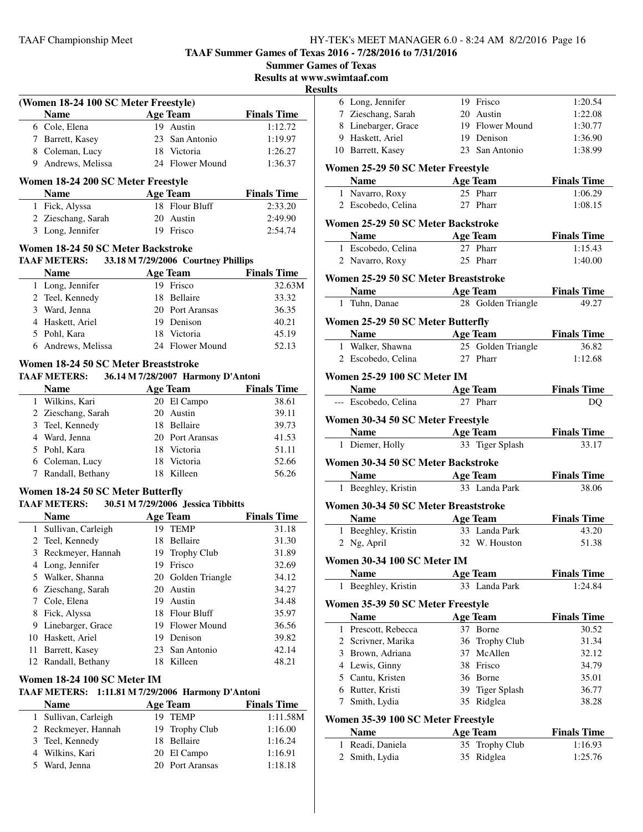**TAAF Summer Games of Texas 2016 - 7/28/2016 to 7/31/2016**

| <b>Summer Games of Texas</b> |  |  |  |
|------------------------------|--|--|--|
|------------------------------|--|--|--|

**Results at www.s** 

#### **Resul**

| (Women 18-24 100 SC Meter Freestyle) |                                    |  |                 |                    |
|--------------------------------------|------------------------------------|--|-----------------|--------------------|
|                                      | <b>Name</b>                        |  | <b>Age Team</b> | <b>Finals Time</b> |
|                                      | 6 Cole, Elena                      |  | 19 Austin       | 1:12.72            |
|                                      | Barrett, Kasey                     |  | 23 San Antonio  | 1:19.97            |
| 8                                    | Coleman, Lucy                      |  | 18 Victoria     | 1:26.27            |
| 9                                    | Andrews, Melissa                   |  | 24 Flower Mound | 1:36.37            |
|                                      |                                    |  |                 |                    |
|                                      | Women 18-24 200 SC Meter Freestyle |  |                 |                    |
|                                      | <b>Name</b>                        |  | <b>Age Team</b> | <b>Finals Time</b> |
| 1                                    | Fick, Alyssa                       |  | 18 Flour Bluff  | 2:33.20            |
|                                      | 2 Zieschang, Sarah                 |  | 20 Austin       | 2:49.90            |

# **Name Age Team Finals Time** 1 Long, Jennifer 19 Frisco 32.63M 2 Teel, Kennedy 18 Bellaire 33.32<br>3 Ward Jenna 20 Port Aransas 36.35 20 Port Aransas

| $J$ waru, Julia    | $20 \pm 01$ cm alload | JU.JJ |
|--------------------|-----------------------|-------|
| 4 Haskett, Ariel   | 19 Denison            | 40.21 |
| 5 Pohl, Kara       | 18 Victoria           | 45.19 |
| 6 Andrews, Melissa | 24 Flower Mound       | 52.13 |
|                    |                       |       |

# **Women 18-24 50 SC Meter Breaststroke**

#### **TAAF METERS: 36.14 M 7/28/2007 Harmony D'Antoni**

| <b>Name</b>        |     | <b>Age Team</b> | <b>Finals Time</b> |
|--------------------|-----|-----------------|--------------------|
| 1 Wilkins, Kari    |     | 20 El Campo     | 38.61              |
| 2 Zieschang, Sarah |     | 20 Austin       | 39.11              |
| 3 Teel, Kennedy    |     | 18 Bellaire     | 39.73              |
| 4 Ward, Jenna      |     | 20 Port Aransas | 41.53              |
| 5 Pohl, Kara       |     | 18 Victoria     | 51.11              |
| 6 Coleman, Lucy    |     | 18 Victoria     | 52.66              |
| 7 Randall, Bethany | 18. | Killeen         | 56.26              |

#### **Women 18-24 50 SC Meter Butterfly**

#### **TAAF METERS: 30.51 M 7/29/2006 Jessica Tibbitts**

|    | <b>Name</b>         |     | <b>Age Team</b>     | <b>Finals Time</b> |
|----|---------------------|-----|---------------------|--------------------|
| 1  | Sullivan, Carleigh  | 19  | <b>TEMP</b>         | 31.18              |
|    | 2 Teel, Kennedy     | 18  | Bellaire            | 31.30              |
| 3  | Reckmeyer, Hannah   |     | 19 Trophy Club      | 31.89              |
| 4  | Long, Jennifer      | 19  | Frisco              | 32.69              |
| 5. | Walker, Shanna      |     | 20 Golden Triangle  | 34.12              |
|    | 6 Zieschang, Sarah  | 20  | Austin              | 34.27              |
|    | Cole, Elena         | 19  | Austin              | 34.48              |
| 8  | Fick, Alyssa        | 18. | Flour Bluff         | 35.97              |
| 9  | Linebarger, Grace   | 19  | <b>Flower Mound</b> | 36.56              |
|    | 10 Haskett, Ariel   | 19  | Denison             | 39.82              |
| 11 | Barrett, Kasey      |     | 23 San Antonio      | 42.14              |
|    | 12 Randall, Bethany | 18  | Killeen             | 48.21              |

#### **Women 18-24 100 SC Meter IM**

#### **TAAF METERS: 1:11.81 M 7/29/2006 Harmony D'Antoni**

| <b>Name</b>          | Age Team        | <b>Finals Time</b> |
|----------------------|-----------------|--------------------|
| 1 Sullivan, Carleigh | 19 TEMP         | 1:11.58M           |
| 2 Reckmeyer, Hannah  | 19 Trophy Club  | 1:16.00            |
| 3 Teel, Kennedy      | 18 Bellaire     | 1:16.24            |
| 4 Wilkins, Kari      | 20 El Campo     | 1:16.91            |
| 5 Ward, Jenna        | 20 Port Aransas | 1:18.18            |

|      | swimtaaf.com/                            |    |                                |                    |
|------|------------------------------------------|----|--------------------------------|--------------------|
| ults |                                          |    |                                |                    |
|      | 6 Long, Jennifer                         |    | 19 Frisco                      | 1:20.54            |
|      | 7 Zieschang, Sarah                       |    | 20 Austin                      | 1:22.08            |
|      | 8 Linebarger, Grace                      |    | 19 Flower Mound                | 1:30.77            |
|      | 9 Haskett, Ariel                         |    | 19 Denison                     | 1:36.90            |
|      | 10 Barrett, Kasey                        |    | 23 San Antonio                 | 1:38.99            |
|      | Women 25-29 50 SC Meter Freestyle        |    |                                |                    |
|      | <b>Name</b><br><b>Example 2 Age Team</b> |    |                                | <b>Finals Time</b> |
|      | 1 Navarro, Roxy                          |    | 25 Pharr                       | 1:06.29            |
|      | 2 Escobedo, Celina                       |    | 27 Pharr                       | 1:08.15            |
|      |                                          |    |                                |                    |
|      | Women 25-29 50 SC Meter Backstroke       |    |                                |                    |
|      | <b>Example 2 Age Team</b><br><b>Name</b> |    |                                | <b>Finals Time</b> |
|      | 1 Escobedo, Celina                       |    | 27 Pharr                       | 1:15.43            |
|      | 2 Navarro, Roxy                          |    | 25 Pharr                       | 1:40.00            |
|      | Women 25-29 50 SC Meter Breaststroke     |    |                                |                    |
|      | <b>Example 2</b> Age Team<br><b>Name</b> |    |                                | <b>Finals Time</b> |
|      | 1 Tuhn, Danae                            |    | 28 Golden Triangle             | 49.27              |
|      |                                          |    |                                |                    |
|      | Women 25-29 50 SC Meter Butterfly        |    |                                |                    |
|      | <b>Name</b>                              |    | <b>Age Team</b>                | <b>Finals Time</b> |
|      | 1 Walker, Shawna                         |    | 25 Golden Triangle<br>27 Pharr | 36.82              |
|      | 2 Escobedo, Celina                       |    |                                | 1:12.68            |
|      | Women 25-29 100 SC Meter IM              |    |                                |                    |
|      | <b>Name</b><br><b>Age Team</b>           |    |                                | <b>Finals Time</b> |
|      | --- Escobedo, Celina                     |    | 27 Pharr                       | DO                 |
|      | Women 30-34 50 SC Meter Freestyle        |    |                                |                    |
|      | Name Age Team                            |    |                                | <b>Finals Time</b> |
|      | 1 Diemer, Holly                          |    | 33 Tiger Splash                | 33.17              |
|      |                                          |    |                                |                    |
|      | Women 30-34 50 SC Meter Backstroke       |    |                                |                    |
|      | <b>Age Team</b><br><b>Name</b>           |    |                                | <b>Finals Time</b> |
|      | 1 Beeghley, Kristin 33 Landa Park        |    |                                | 38.06              |
|      | Women 30-34 50 SC Meter Breaststroke     |    |                                |                    |
|      | Name                                     |    | <b>Age Team</b>                | <b>Finals Time</b> |
|      | 1 Beeghley, Kristin                      |    | 33 Landa Park                  | 43.20              |
|      | 2 Ng, April                              |    | 32 W. Houston                  | 51.38              |
|      | Women 30-34 100 SC Meter IM              |    |                                |                    |
|      | <b>Name</b>                              |    | <b>Age Team</b>                | <b>Finals Time</b> |
| 1    | Beeghley, Kristin                        |    | 33 Landa Park                  | 1:24.84            |
|      |                                          |    |                                |                    |
|      | Women 35-39 50 SC Meter Freestyle        |    |                                |                    |
|      | <b>Name</b>                              |    | <b>Age Team</b>                | <b>Finals Time</b> |
|      | 1 Prescott, Rebecca                      |    | 37 Borne                       | 30.52              |
|      | 2 Scrivner, Marika                       | 36 | <b>Trophy Club</b>             | 31.34              |
|      | 3 Brown, Adriana                         | 37 | McAllen                        | 32.12              |
|      | 4 Lewis, Ginny                           |    | 38 Frisco                      | 34.79              |
|      | 5 Cantu, Kristen                         |    | 36 Borne                       | 35.01              |
|      | 6 Rutter, Kristi                         | 39 | <b>Tiger Splash</b>            | 36.77              |
|      | 7 Smith, Lydia                           | 35 | Ridglea                        | 38.28              |
|      | Women 35-39 100 SC Meter Freestyle       |    |                                |                    |
|      | <b>Name</b>                              |    | Age Team                       | <b>Finals Time</b> |
|      | 1 Readi, Daniela                         | 35 | <b>Trophy Club</b>             | 1:16.93            |
|      | 2 Smith, Lydia                           |    | 35 Ridglea                     | 1:25.76            |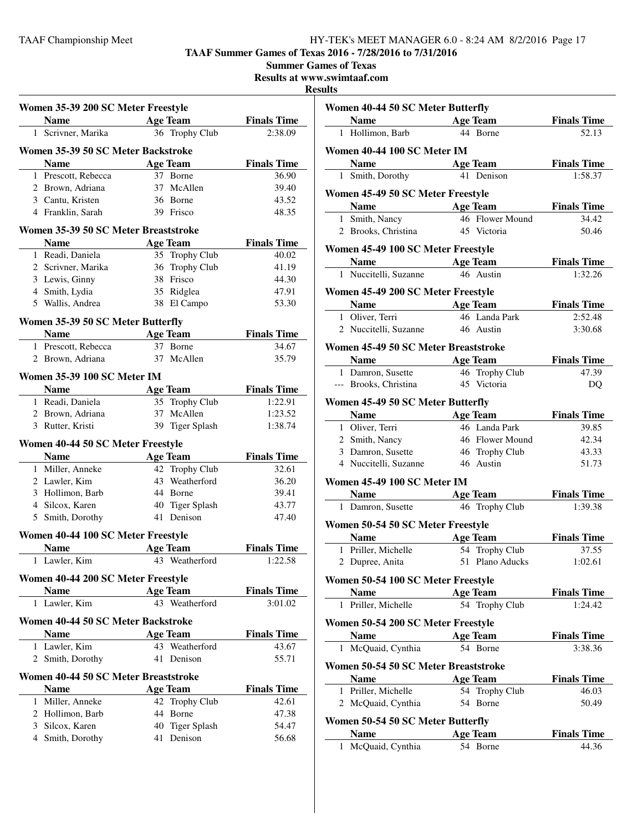**TAAF Summer Games of Texas 2016 - 7/28/2016 to 7/31/2016**

**Summer Games of Texas**

**Results at www.swimtaaf.com**

#### **Results**

| Women 35-39 200 SC Meter Freestyle |                                      |    |                 |                    |
|------------------------------------|--------------------------------------|----|-----------------|--------------------|
|                                    | <b>Name</b>                          |    | Age Team        | <b>Finals Time</b> |
| $\mathbf{1}$                       | Scrivner, Marika                     |    | 36 Trophy Club  | 2:38.09            |
|                                    | Women 35-39 50 SC Meter Backstroke   |    |                 |                    |
|                                    | <b>Name</b>                          |    | <b>Age Team</b> | <b>Finals Time</b> |
|                                    | 1 Prescott, Rebecca                  |    | 37 Borne        | 36.90              |
|                                    | 2 Brown, Adriana                     |    | 37 McAllen      | 39.40              |
|                                    | 3 Cantu, Kristen                     |    | 36 Borne        | 43.52              |
|                                    | 4 Franklin, Sarah                    |    | 39 Frisco       | 48.35              |
|                                    | Women 35-39 50 SC Meter Breaststroke |    |                 |                    |
|                                    | <b>Name</b>                          |    | <b>Age Team</b> | <b>Finals Time</b> |
|                                    | 1 Readi, Daniela                     |    | 35 Trophy Club  | 40.02              |
|                                    | 2 Scrivner, Marika                   |    | 36 Trophy Club  | 41.19              |
|                                    | 3 Lewis, Ginny                       |    | 38 Frisco       | 44.30              |
|                                    | 4 Smith, Lydia                       |    | 35 Ridglea      | 47.91              |
|                                    | 5 Wallis, Andrea                     |    | 38 El Campo     | 53.30              |
|                                    |                                      |    |                 |                    |
|                                    | Women 35-39 50 SC Meter Butterfly    |    |                 |                    |
|                                    | <b>Name</b>                          |    | <b>Age Team</b> | <b>Finals Time</b> |
|                                    | 1 Prescott, Rebecca                  |    | 37 Borne        | 34.67              |
|                                    | 2 Brown, Adriana                     |    | 37 McAllen      | 35.79              |
|                                    | Women 35-39 100 SC Meter IM          |    |                 |                    |
|                                    | <b>Name</b>                          |    | <b>Age Team</b> | <b>Finals Time</b> |
|                                    | 1 Readi, Daniela                     |    | 35 Trophy Club  | 1:22.91            |
|                                    | 2 Brown, Adriana                     |    | 37 McAllen      | 1:23.52            |
|                                    | 3 Rutter, Kristi                     |    | 39 Tiger Splash | 1:38.74            |
|                                    | Women 40-44 50 SC Meter Freestyle    |    |                 |                    |
|                                    | <b>Name</b>                          |    | <b>Age Team</b> | <b>Finals Time</b> |
|                                    | 1 Miller, Anneke                     |    | 42 Trophy Club  | 32.61              |
|                                    | 2 Lawler, Kim                        |    | 43 Weatherford  | 36.20              |
|                                    | 3 Hollimon, Barb                     |    | 44 Borne        | 39.41              |
|                                    | 4 Silcox, Karen                      |    | 40 Tiger Splash | 43.77              |
|                                    | 5 Smith, Dorothy                     |    | 41 Denison      | 47.40              |
|                                    | Women 40-44 100 SC Meter Freestyle   |    |                 |                    |
|                                    | <b>Name</b>                          |    | <b>Age Team</b> | <b>Finals Time</b> |
| 1                                  | Lawler, Kim                          |    | 43 Weatherford  | 1:22.58            |
|                                    | Women 40-44 200 SC Meter Freestyle   |    |                 |                    |
|                                    | <b>Name</b>                          |    | <b>Age Team</b> | <b>Finals Time</b> |
|                                    | 1 Lawler, Kim                        |    | 43 Weatherford  | 3:01.02            |
|                                    | Women 40-44 50 SC Meter Backstroke   |    |                 |                    |
|                                    | <b>Name</b>                          |    | <b>Age Team</b> | <b>Finals Time</b> |
|                                    | 1 Lawler, Kim                        |    | 43 Weatherford  | 43.67              |
|                                    | 2 Smith, Dorothy                     |    | 41 Denison      | 55.71              |
|                                    | Women 40-44 50 SC Meter Breaststroke |    |                 |                    |
|                                    | <b>Name</b>                          |    | <b>Age Team</b> | <b>Finals Time</b> |
|                                    | 1 Miller, Anneke                     |    | 42 Trophy Club  | 42.61              |
|                                    | 2 Hollimon, Barb                     | 44 | Borne           | 47.38              |
|                                    | 3 Silcox, Karen                      |    | 40 Tiger Splash | 54.47              |
|                                    | 4 Smith, Dorothy                     |    | 41 Denison      | 56.68              |
|                                    |                                      |    |                 |                    |

| Women 40-44 50 SC Meter Butterfly |                                            |           |                             |                             |
|-----------------------------------|--------------------------------------------|-----------|-----------------------------|-----------------------------|
|                                   | <b>Example 2 Age Team</b><br><b>Name</b>   |           |                             | <b>Finals Time</b>          |
|                                   | 1 Hollimon, Barb                           |           | 44 Borne                    | 52.13                       |
| Women 40-44 100 SC Meter IM       |                                            |           |                             |                             |
|                                   | <b>Name</b><br><b>Age Team</b>             |           |                             | <b>Finals Time</b>          |
|                                   | 1 Smith, Dorothy                           |           | 41 Denison                  | 1:58.37                     |
|                                   | Women 45-49 50 SC Meter Freestyle          |           |                             |                             |
|                                   | <b>Name</b><br><b>Example 2</b> Age Team   |           |                             | <b>Finals Time</b>          |
|                                   | 1 Smith, Nancy                             |           | 46 Flower Mound             | 34.42                       |
|                                   | 2 Brooks, Christina                        |           | 45 Victoria                 | 50.46                       |
|                                   | Women 45-49 100 SC Meter Freestyle         |           |                             |                             |
|                                   | <b>Solution Secure 2 Secure 2 Age Team</b> |           |                             | <b>Finals Time</b>          |
|                                   | 1 Nuccitelli, Suzanne                      |           | 46 Austin                   | 1:32.26                     |
|                                   | Women 45-49 200 SC Meter Freestyle         |           |                             |                             |
|                                   | <b>Name</b>                                |           | <b>Age Team</b>             | <b>Finals Time</b>          |
|                                   | 1 Oliver, Terri                            |           | 46 Landa Park               | 2:52.48                     |
|                                   | 2 Nuccitelli, Suzanne                      | 46 Austin |                             | 3:30.68                     |
|                                   | Women 45-49 50 SC Meter Breaststroke       |           |                             |                             |
|                                   | <b>Name</b><br><b>Example 2 Age Team</b>   |           |                             | <b>Finals Time</b>          |
|                                   | 1 Damron, Susette                          |           | 46 Trophy Club              | 47.39                       |
|                                   | --- Brooks, Christina                      |           | 45 Victoria                 | DQ                          |
|                                   |                                            |           |                             |                             |
|                                   | Women 45-49 50 SC Meter Butterfly          |           |                             |                             |
|                                   | Name Age Team                              |           | 46 Landa Park               | <b>Finals Time</b>          |
|                                   | 1 Oliver, Terri<br>2 Smith, Nancy          |           | 46 Flower Mound             | 39.85<br>42.34              |
|                                   | 3 Damron, Susette                          |           | 46 Trophy Club              | 43.33                       |
|                                   | 4 Nuccitelli, Suzanne                      |           | 46 Austin                   | 51.73                       |
|                                   |                                            |           |                             |                             |
|                                   | Women 45-49 100 SC Meter IM                |           |                             |                             |
|                                   | <b>Name</b> Age Team                       |           |                             | <b>Finals Time</b>          |
|                                   | 1 Damron, Susette                          |           | 46 Trophy Club              | 1:39.38                     |
|                                   | Women 50-54 50 SC Meter Freestyle          |           |                             |                             |
|                                   | <b>Name</b>                                |           | <b>Age Team</b>             | <b>Finals Time</b>          |
|                                   | 1 Priller, Michelle                        |           | 54 Trophy Club              | 37.55                       |
|                                   | 2 Dupree, Anita                            |           | 51 Plano Aducks             | 1:02.61                     |
|                                   | Women 50-54 100 SC Meter Freestyle         |           |                             |                             |
|                                   | <b>Name</b>                                |           | <b>Age Team</b>             | <b>Finals Time</b>          |
|                                   | 1 Priller, Michelle                        |           | 54 Trophy Club              | 1:24.42                     |
|                                   | Women 50-54 200 SC Meter Freestyle         |           |                             |                             |
|                                   | <b>Name</b>                                |           | <b>Age Team</b>             | <b>Finals Time</b>          |
|                                   | 1 McQuaid, Cynthia                         |           | 54 Borne                    | 3:38.36                     |
|                                   | Women 50-54 50 SC Meter Breaststroke       |           |                             |                             |
|                                   | <b>Name</b>                                |           | <b>Age Team</b>             | <b>Finals Time</b>          |
|                                   | 1 Priller, Michelle                        |           | 54 Trophy Club              | 46.03                       |
|                                   | 2 McQuaid, Cynthia                         |           | 54 Borne                    | 50.49                       |
|                                   |                                            |           |                             |                             |
|                                   | Women 50-54 50 SC Meter Butterfly          |           |                             |                             |
| 1                                 | <b>Name</b><br>McQuaid, Cynthia            |           | <b>Age Team</b><br>54 Borne | <b>Finals Time</b><br>44.36 |
|                                   |                                            |           |                             |                             |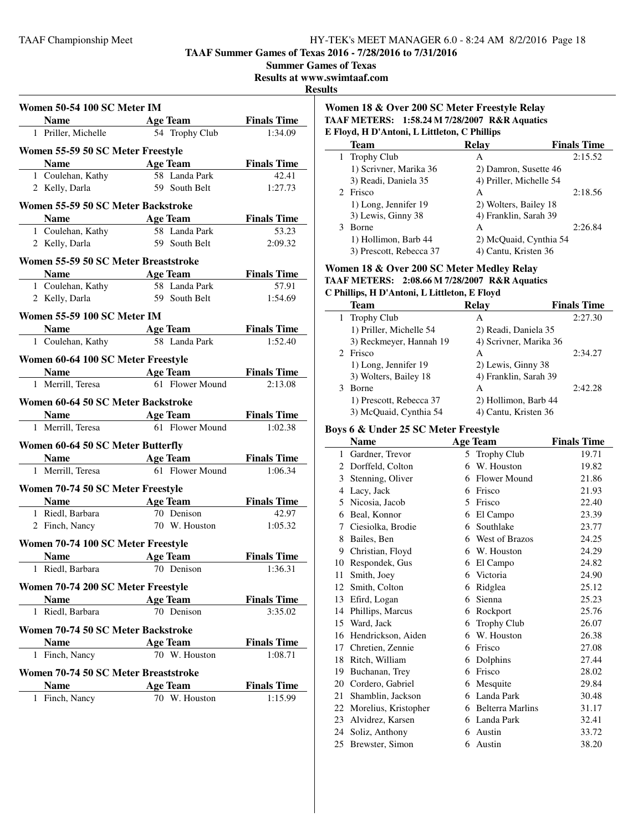**TAAF Summer Games of Texas 2016 - 7/28/2016 to 7/31/2016**

**Summer Games of Texas**

**Results at www.swimtaaf.com**

#### **Results**

| <b>Women 50-54 100 SC Meter IM</b> |                                      |                                   |                               |  |  |
|------------------------------------|--------------------------------------|-----------------------------------|-------------------------------|--|--|
|                                    |                                      | <b>Age Team</b>                   | <b>Finals Time</b>            |  |  |
|                                    | 1 Priller, Michelle                  | 54 Trophy Club                    | 1:34.09                       |  |  |
|                                    |                                      |                                   |                               |  |  |
|                                    | Women 55-59 50 SC Meter Freestyle    |                                   |                               |  |  |
|                                    | <b>Name</b>                          | <b>Example 2</b> Age Team         | <b>Finals Time</b>            |  |  |
|                                    | $\overline{1}$ Coulehan, Kathy       | 58 Landa Park                     | 42.41                         |  |  |
|                                    | 2 Kelly, Darla                       | 59 South Belt                     | 1:27.73                       |  |  |
|                                    | Women 55-59 50 SC Meter Backstroke   |                                   |                               |  |  |
|                                    | <b>Name</b>                          | <b>Example 2</b> Age Team         | <b>Finals Time</b>            |  |  |
|                                    | 1 Coulehan, Kathy                    | 58 Landa Park                     | 53.23                         |  |  |
|                                    | 2 Kelly, Darla                       | 59 South Belt                     | 2:09.32                       |  |  |
|                                    | Women 55-59 50 SC Meter Breaststroke |                                   |                               |  |  |
|                                    |                                      | <b>Solution Security Age Team</b> | <b>Finals Time</b>            |  |  |
|                                    | 1 Coulehan, Kathy                    | 58 Landa Park                     | 57.91                         |  |  |
|                                    | 2 Kelly, Darla                       | 59 South Belt                     | 1:54.69                       |  |  |
|                                    |                                      |                                   |                               |  |  |
|                                    | <b>Women 55-59 100 SC Meter IM</b>   |                                   |                               |  |  |
|                                    |                                      | <b>Name Age Team Finals Time</b>  |                               |  |  |
|                                    |                                      | 1 Coulehan, Kathy 58 Landa Park   | 1:52.40                       |  |  |
|                                    | Women 60-64 100 SC Meter Freestyle   |                                   |                               |  |  |
|                                    | Name Age Team                        |                                   | <b>Finals Time</b>            |  |  |
|                                    | 1 Merrill, Teresa                    | 61 Flower Mound                   | 2:13.08                       |  |  |
|                                    |                                      |                                   |                               |  |  |
|                                    | Women 60-64 50 SC Meter Backstroke   |                                   |                               |  |  |
|                                    | Name Age Team<br>1 Merrill, Teresa   | 61 Flower Mound                   | <b>Finals Time</b><br>1:02.38 |  |  |
|                                    |                                      |                                   |                               |  |  |
|                                    | Women 60-64 50 SC Meter Butterfly    |                                   |                               |  |  |
|                                    |                                      | <b>Name</b> Age Team              | <b>Finals Time</b>            |  |  |
|                                    | 1 Merrill, Teresa                    | 61 Flower Mound                   | 1:06.34                       |  |  |
|                                    | Women 70-74 50 SC Meter Freestyle    |                                   |                               |  |  |
|                                    |                                      | Name Age Team                     | <b>Finals Time</b>            |  |  |
|                                    | 1 Riedl, Barbara                     | 70 Denison                        | 42.97                         |  |  |
|                                    | 2 Finch, Nancy                       | 70 W. Houston                     | 1:05.32                       |  |  |
|                                    |                                      |                                   |                               |  |  |
|                                    | Women 70-74 100 SC Meter Freestyle   |                                   |                               |  |  |
|                                    | <b>Name</b>                          | <b>Age Team</b>                   | <b>Finals Time</b>            |  |  |
| 1                                  | Riedl, Barbara                       | 70 Denison                        | 1:36.31                       |  |  |
|                                    | Women 70-74 200 SC Meter Freestyle   |                                   |                               |  |  |
|                                    | <b>Name</b>                          | Age Team                          | <b>Finals Time</b>            |  |  |
| 1                                  | Riedl, Barbara                       | 70 Denison                        | 3:35.02                       |  |  |
|                                    |                                      |                                   |                               |  |  |
|                                    | Women 70-74 50 SC Meter Backstroke   |                                   |                               |  |  |
|                                    | <b>Name</b>                          | <b>Age Team</b>                   | <b>Finals Time</b>            |  |  |
|                                    | 1 Finch, Nancy                       | 70 W. Houston                     | 1:08.71                       |  |  |
|                                    | Women 70-74 50 SC Meter Breaststroke |                                   |                               |  |  |
|                                    | <b>Name</b>                          | <b>Age Team</b>                   | <b>Finals Time</b>            |  |  |
|                                    | 1 Finch, Nancy                       | 70 W. Houston                     | 1:15.99                       |  |  |
|                                    |                                      |                                   |                               |  |  |

## **Women 18 & Over 200 SC Meter Freestyle Relay TAAF METERS: 1:58.24 M 7/28/2007 R&R Aquatics E Floyd, H D'Antoni, L Littleton, C Phillips**

| Team                    | Relav                   | <b>Finals Time</b> |
|-------------------------|-------------------------|--------------------|
| 1 Trophy Club           | А                       | 2:15.52            |
| 1) Scrivner, Marika 36  | 2) Damron, Susette 46   |                    |
| 3) Readi, Daniela 35    | 4) Priller, Michelle 54 |                    |
| 2 Frisco                | А                       | 2:18.56            |
| 1) Long, Jennifer 19    | 2) Wolters, Bailey 18   |                    |
| 3) Lewis, Ginny 38      | 4) Franklin, Sarah 39   |                    |
| <b>Borne</b>            | А                       | 2:26.84            |
| 1) Hollimon, Barb 44    | 2) McQuaid, Cynthia 54  |                    |
| 3) Prescott, Rebecca 37 | 4) Cantu, Kristen 36    |                    |

#### **Women 18 & Over 200 SC Meter Medley Relay**

**TAAF METERS: 2:08.66 M 7/28/2007 R&R Aquatics**

#### **C Phillips, H D'Antoni, L Littleton, E Floyd**

| <b>Team</b>             | <b>Relay</b>           | <b>Finals Time</b> |
|-------------------------|------------------------|--------------------|
| 1 Trophy Club           | A                      | 2:27.30            |
| 1) Priller, Michelle 54 | 2) Readi, Daniela 35   |                    |
| 3) Reckmeyer, Hannah 19 | 4) Scrivner, Marika 36 |                    |
| 2 Frisco                | А                      | 2:34.27            |
| 1) Long, Jennifer 19    | 2) Lewis, Ginny 38     |                    |
| 3) Wolters, Bailey 18   | 4) Franklin, Sarah 39  |                    |
| <b>Borne</b><br>3       | A                      | 2:42.28            |
| 1) Prescott, Rebecca 37 | 2) Hollimon, Barb 44   |                    |
| 3) McQuaid, Cynthia 54  | 4) Cantu, Kristen 36   |                    |

#### **Boys 6 & Under 25 SC Meter Freestyle**

|    | <b>Name</b>          |   | <b>Age Team</b>         | <b>Finals Time</b> |
|----|----------------------|---|-------------------------|--------------------|
| 1  | Gardner, Trevor      | 5 | <b>Trophy Club</b>      | 19.71              |
| 2  | Dorffeld, Colton     | 6 | W. Houston              | 19.82              |
| 3  | Stenning, Oliver     | 6 | <b>Flower Mound</b>     | 21.86              |
| 4  | Lacy, Jack           | 6 | Frisco                  | 21.93              |
| 5  | Nicosia, Jacob       | 5 | Frisco                  | 22.40              |
| 6  | Beal, Konnor         | 6 | El Campo                | 23.39              |
| 7  | Ciesiolka, Brodie    | 6 | Southlake               | 23.77              |
| 8  | Bailes, Ben          | 6 | West of Brazos          | 24.25              |
| 9  | Christian, Floyd     | 6 | W. Houston              | 24.29              |
| 10 | Respondek, Gus       | 6 | El Campo                | 24.82              |
| 11 | Smith, Joey          | 6 | Victoria                | 24.90              |
| 12 | Smith, Colton        | 6 | Ridglea                 | 25.12              |
| 13 | Efird, Logan         | 6 | Sienna                  | 25.23              |
| 14 | Phillips, Marcus     | 6 | Rockport                | 25.76              |
| 15 | Ward, Jack           | 6 | <b>Trophy Club</b>      | 26.07              |
| 16 | Hendrickson, Aiden   | 6 | W. Houston              | 26.38              |
| 17 | Chretien, Zennie     | 6 | Frisco                  | 27.08              |
| 18 | Ritch, William       | 6 | Dolphins                | 27.44              |
| 19 | Buchanan, Trey       | 6 | Frisco                  | 28.02              |
| 20 | Cordero, Gabriel     | 6 | Mesquite                | 29.84              |
| 21 | Shamblin, Jackson    | 6 | Landa Park              | 30.48              |
| 22 | Morelius, Kristopher | 6 | <b>Belterra Marlins</b> | 31.17              |
| 23 | Alvidrez, Karsen     | 6 | Landa Park              | 32.41              |
| 24 | Soliz, Anthony       | 6 | Austin                  | 33.72              |
| 25 | Brewster, Simon      | 6 | Austin                  | 38.20              |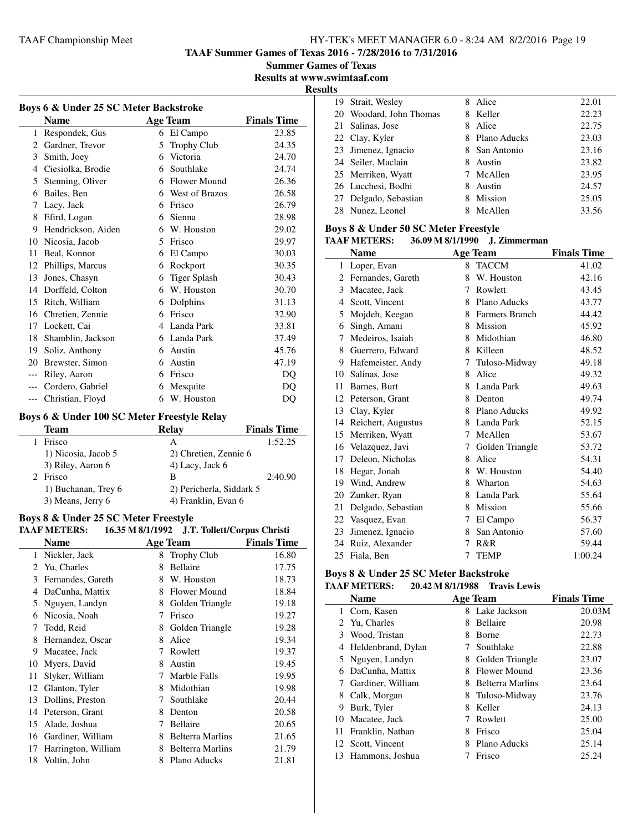**TAAF Summer Games of Texas 2016 - 7/28/2016 to 7/31/2016**

**Summer Games of Texas**

**Results at www.swimtaaf.com**

**Results**

|              | Boys 6 & Under 25 SC Meter Backstroke |   |                     |                    |  |  |
|--------------|---------------------------------------|---|---------------------|--------------------|--|--|
|              | <b>Name</b>                           |   | Age Team            | <b>Finals Time</b> |  |  |
| $\mathbf{1}$ | Respondek, Gus                        | 6 | El Campo            | 23.85              |  |  |
| 2            | Gardner, Trevor                       | 5 | <b>Trophy Club</b>  | 24.35              |  |  |
| 3            | Smith, Joey                           | 6 | Victoria            | 24.70              |  |  |
| 4            | Ciesiolka, Brodie                     | 6 | Southlake           | 24.74              |  |  |
| 5            | Stenning, Oliver                      | 6 | Flower Mound        | 26.36              |  |  |
| 6            | Bailes, Ben                           | 6 | West of Brazos      | 26.58              |  |  |
| 7            | Lacy, Jack                            | 6 | Frisco              | 26.79              |  |  |
| 8            | Efird, Logan                          | 6 | Sienna              | 28.98              |  |  |
| 9            | Hendrickson, Aiden                    | 6 | W. Houston          | 29.02              |  |  |
| 10           | Nicosia, Jacob                        | 5 | Frisco              | 29.97              |  |  |
| 11           | Beal, Konnor                          | 6 | El Campo            | 30.03              |  |  |
| 12           | Phillips, Marcus                      | 6 | Rockport            | 30.35              |  |  |
| 13           | Jones, Chasyn                         | 6 | <b>Tiger Splash</b> | 30.43              |  |  |
| 14           | Dorffeld, Colton                      | 6 | W. Houston          | 30.70              |  |  |
| 15           | Ritch, William                        | 6 | Dolphins            | 31.13              |  |  |
| 16           | Chretien, Zennie                      | 6 | Frisco              | 32.90              |  |  |
| 17           | Lockett, Cai                          | 4 | Landa Park          | 33.81              |  |  |
| 18           | Shamblin, Jackson                     | 6 | Landa Park          | 37.49              |  |  |
| 19           | Soliz, Anthony                        | 6 | Austin              | 45.76              |  |  |
| 20           | Brewster, Simon                       | 6 | Austin              | 47.19              |  |  |
| ---          | Riley, Aaron                          | 6 | Frisco              | DO                 |  |  |
| $---$        | Cordero, Gabriel                      | 6 | Mesquite            | DQ                 |  |  |
| ---          | Christian, Floyd                      | 6 | W. Houston          | DO                 |  |  |

# **Boys 6 & Under 100 SC Meter Freestyle Relay**

| <b>Team</b>         | Relay                    | <b>Finals Time</b> |
|---------------------|--------------------------|--------------------|
| Frisco              | А                        | 1:52.25            |
| 1) Nicosia, Jacob 5 | 2) Chretien, Zennie 6    |                    |
| 3) Riley, Aaron 6   | 4) Lacy, Jack 6          |                    |
| Frisco              | в                        | 2:40.90            |
| 1) Buchanan, Trey 6 | 2) Pericherla, Siddark 5 |                    |
| 3) Means, Jerry 6   | 4) Franklin, Evan 6      |                    |

#### **Boys 8 & Under 25 SC Meter Freestyle**

#### **TAAF METERS: 16.35 M 8/1/1992 J.T. Tollett/Corpus Christi**

|    | Name                |   | <b>Age Team</b>         | <b>Finals Time</b> |
|----|---------------------|---|-------------------------|--------------------|
| 1  | Nickler, Jack       | 8 | <b>Trophy Club</b>      | 16.80              |
| 2  | Yu, Charles         | 8 | <b>Bellaire</b>         | 17.75              |
| 3  | Fernandes, Gareth   | 8 | W. Houston              | 18.73              |
| 4  | DaCunha, Mattix     | 8 | Flower Mound            | 18.84              |
| 5  | Nguyen, Landyn      | 8 | Golden Triangle         | 19.18              |
| 6  | Nicosia, Noah       | 7 | Frisco                  | 19.27              |
| 7  | Todd, Reid          | 8 | Golden Triangle         | 19.28              |
| 8  | Hernandez, Oscar    | 8 | Alice                   | 19.34              |
| 9  | Macatee, Jack       | 7 | Rowlett                 | 19.37              |
| 10 | Myers, David        | 8 | Austin                  | 19.45              |
| 11 | Slyker, William     | 7 | Marble Falls            | 19.95              |
|    | 12 Glanton, Tyler   | 8 | Midothian               | 19.98              |
| 13 | Dollins, Preston    | 7 | Southlake               | 20.44              |
| 14 | Peterson, Grant     | 8 | Denton                  | 20.58              |
| 15 | Alade, Joshua       | 7 | Bellaire                | 20.65              |
| 16 | Gardiner, William   | 8 | <b>Belterra Marlins</b> | 21.65              |
| 17 | Harrington, William | 8 | Belterra Marlins        | 21.79              |
| 18 | Voltin, John        | 8 | Plano Aducks            | 21.81              |

| 19 Strait, Wesley       | 8  | Alice          | 22.01 |
|-------------------------|----|----------------|-------|
| 20 Woodard, John Thomas | 8. | Keller         | 22.23 |
| 21 Salinas, Jose        | 8  | Alice          | 22.75 |
| 22 Clay, Kyler          |    | 8 Plano Aducks | 23.03 |
| 23 Jimenez, Ignacio     |    | 8 San Antonio  | 23.16 |
| 24 Seiler, Maclain      | 8. | Austin         | 23.82 |
| 25 Merriken, Wyatt      | 7  | McAllen        | 23.95 |
| 26 Lucchesi, Bodhi      | 8  | Austin         | 24.57 |
| 27 Delgado, Sebastian   |    | Mission        | 25.05 |
| 28 Nunez, Leonel        |    | McAllen        | 33.56 |

## **Boys 8 & Under 50 SC Meter Freestyle**

#### **TAAF METERS: 36.09 M 8/1/1990 J. Zimmerman**

|    | <b>Name</b>        |    | <b>Age Team</b> | <b>Finals Time</b> |
|----|--------------------|----|-----------------|--------------------|
| 1  | Loper, Evan        |    | 8 TACCM         | 41.02              |
| 2  | Fernandes, Gareth  | 8  | W. Houston      | 42.16              |
| 3  | Macatee, Jack      | 7  | Rowlett         | 43.45              |
| 4  | Scott, Vincent     | 8. | Plano Aducks    | 43.77              |
| 5  | Mojdeh, Keegan     | 8  | Farmers Branch  | 44.42              |
| 6  | Singh, Amani       | 8  | Mission         | 45.92              |
| 7  | Medeiros, Isaiah   | 8  | Midothian       | 46.80              |
| 8  | Guerrero, Edward   | 8  | Killeen         | 48.52              |
| 9  | Hafemeister, Andy  | 7  | Tuloso-Midway   | 49.18              |
| 10 | Salinas, Jose      | 8  | Alice           | 49.32              |
| 11 | Barnes, Burt       | 8  | Landa Park      | 49.63              |
| 12 | Peterson, Grant    | 8  | Denton          | 49.74              |
| 13 | Clay, Kyler        |    | 8 Plano Aducks  | 49.92              |
| 14 | Reichert, Augustus | 8  | Landa Park      | 52.15              |
| 15 | Merriken, Wyatt    | 7  | McAllen         | 53.67              |
| 16 | Velazquez, Javi    | 7  | Golden Triangle | 53.72              |
| 17 | Deleon, Nicholas   | 8  | Alice           | 54.31              |
| 18 | Hegar, Jonah       | 8  | W. Houston      | 54.40              |
| 19 | Wind, Andrew       | 8  | Wharton         | 54.63              |
| 20 | Zunker, Ryan       |    | 8 Landa Park    | 55.64              |
| 21 | Delgado, Sebastian | 8  | Mission         | 55.66              |
| 22 | Vasquez, Evan      | 7  | El Campo        | 56.37              |
| 23 | Jimenez, Ignacio   | 8  | San Antonio     | 57.60              |
| 24 | Ruiz, Alexander    | 7  | R&R             | 59.44              |
| 25 | Fiala, Ben         | 7  | <b>TEMP</b>     | 1:00.24            |

#### **Boys 8 & Under 25 SC Meter Backstroke TAAF METERS: 20.42 M 8/1/1988 Travis Lewis**

|   | <b>Name</b>         |   | <b>Age Team</b>  | <b>Finals Time</b> |
|---|---------------------|---|------------------|--------------------|
|   | 1 Corn, Kasen       |   | 8 Lake Jackson   | 20.03M             |
|   | 2 Yu, Charles       | 8 | <b>Bellaire</b>  | 20.98              |
| 3 | Wood, Tristan       | 8 | <b>Borne</b>     | 22.73              |
| 4 | Heldenbrand, Dylan  |   | Southlake        | 22.88              |
|   | 5 Nguyen, Landyn    | 8 | Golden Triangle  | 23.07              |
| 6 | DaCunha, Mattix     | 8 | Flower Mound     | 23.36              |
|   | Gardiner, William   | 8 | Belterra Marlins | 23.64              |
| 8 | Calk, Morgan        | 8 | Tuloso-Midway    | 23.76              |
| 9 | Burk, Tyler         | 8 | Keller           | 24.13              |
|   | 10 Macatee, Jack    |   | Rowlett          | 25.00              |
|   | 11 Franklin, Nathan | 8 | Frisco           | 25.04              |
|   | 12 Scott, Vincent   |   | Plano Aducks     | 25.14              |
|   | 13 Hammons, Joshua  |   | Frisco           | 25.24              |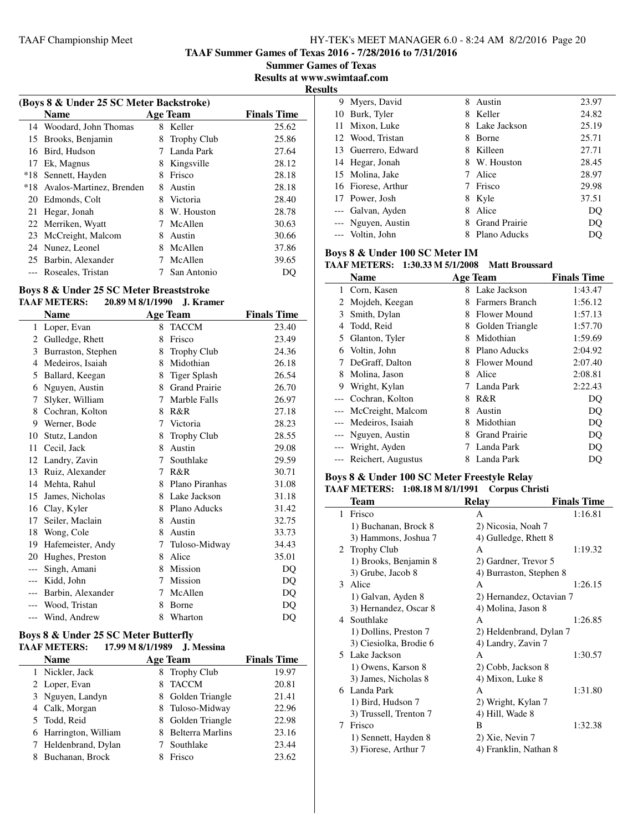**TAAF Summer Games of Texas 2016 - 7/28/2016 to 7/31/2016**

**Summer Games of Texas Results at www.swimtaaf.com**

**Results**

| (Boys 8 & Under 25 SC Meter Backstroke) |                          |   |                    |                    |  |
|-----------------------------------------|--------------------------|---|--------------------|--------------------|--|
|                                         | <b>Name</b>              |   | <b>Age Team</b>    | <b>Finals Time</b> |  |
|                                         | 14 Woodard, John Thomas  | 8 | Keller             | 25.62              |  |
| 15                                      | Brooks, Benjamin         | 8 | <b>Trophy Club</b> | 25.86              |  |
| 16                                      | Bird, Hudson             |   | Landa Park         | 27.64              |  |
| 17                                      | Ek, Magnus               | 8 | Kingsville         | 28.12              |  |
| $*18$                                   | Sennett, Hayden          | 8 | Frisco             | 28.18              |  |
| *18                                     | Avalos-Martinez, Brenden | 8 | Austin             | 28.18              |  |
| 20                                      | Edmonds, Colt            | 8 | Victoria           | 28.40              |  |
| 21                                      | Hegar, Jonah             | 8 | W. Houston         | 28.78              |  |
| 22                                      | Merriken, Wyatt          | 7 | McAllen            | 30.63              |  |
| 23                                      | McCreight, Malcom        | 8 | Austin             | 30.66              |  |
|                                         | 24 Nunez, Leonel         | 8 | McAllen            | 37.86              |  |
| 25                                      | Barbin, Alexander        |   | McAllen            | 39.65              |  |
|                                         | Roseales, Tristan        |   | San Antonio        | DO                 |  |

# **Boys 8 & Under 25 SC Meter Breaststroke**

#### **TAAF METERS: 20.89 M 8/1/1990 J. Kramer**

|       | <b>Name</b>        |   | <b>Age Team</b>      | <b>Finals Time</b> |
|-------|--------------------|---|----------------------|--------------------|
| 1     | Loper, Evan        | 8 | <b>TACCM</b>         | 23.40              |
| 2     | Gulledge, Rhett    | 8 | Frisco               | 23.49              |
| 3     | Burraston, Stephen | 8 | <b>Trophy Club</b>   | 24.36              |
| 4     | Medeiros, Isaiah   | 8 | Midothian            | 26.18              |
| 5     | Ballard, Keegan    | 8 | <b>Tiger Splash</b>  | 26.54              |
| 6     | Nguyen, Austin     | 8 | <b>Grand Prairie</b> | 26.70              |
| 7     | Slyker, William    | 7 | Marble Falls         | 26.97              |
| 8     | Cochran, Kolton    | 8 | R&R                  | 27.18              |
| 9     | Werner, Bode       | 7 | Victoria             | 28.23              |
| 10    | Stutz, Landon      | 8 | <b>Trophy Club</b>   | 28.55              |
| 11    | Cecil, Jack        | 8 | Austin               | 29.08              |
| 12    | Landry, Zavin      | 7 | Southlake            | 29.59              |
| 13    | Ruiz, Alexander    | 7 | R&R                  | 30.71              |
| 14    | Mehta, Rahul       | 8 | Plano Piranhas       | 31.08              |
| 15    | James, Nicholas    | 8 | Lake Jackson         | 31.18              |
| 16    | Clay, Kyler        | 8 | Plano Aducks         | 31.42              |
| 17    | Seiler, Maclain    | 8 | Austin               | 32.75              |
| 18    | Wong, Cole         | 8 | Austin               | 33.73              |
| 19    | Hafemeister, Andy  | 7 | Tuloso-Midway        | 34.43              |
| 20    | Hughes, Preston    | 8 | Alice                | 35.01              |
| ---   | Singh, Amani       | 8 | Mission              | DQ                 |
| $---$ | Kidd, John         | 7 | Mission              | DQ                 |
| ---   | Barbin, Alexander  | 7 | McAllen              | DQ                 |
|       | --- Wood, Tristan  | 8 | Borne                | DQ                 |
| ---   | Wind, Andrew       | 8 | Wharton              | DQ                 |

# **Boys 8 & Under 25 SC Meter Butterfly**

| <b>Name</b>           | <b>Age Team</b>    | <b>Finals Time</b> |
|-----------------------|--------------------|--------------------|
| 1 Nickler, Jack       | 8 Trophy Club      | 19.97              |
| 2 Loper, Evan         | <b>TACCM</b>       | 20.81              |
| 3 Nguyen, Landyn      | 8 Golden Triangle  | 21.41              |
| 4 Calk, Morgan        | 8 Tuloso-Midway    | 22.96              |
| 5 Todd, Reid          | 8 Golden Triangle  | 22.98              |
| 6 Harrington, William | 8 Belterra Marlins | 23.16              |
| 7 Heldenbrand, Dylan  | 7 Southlake        | 23.44              |
| 8 Buchanan, Brock     | Frisco             | 23.62              |

|    | 9 Myers, David      | 8 | Austin               | 23.97 |
|----|---------------------|---|----------------------|-------|
| 10 | Burk, Tyler         | 8 | Keller               | 24.82 |
|    | 11 Mixon, Luke      |   | 8 Lake Jackson       | 25.19 |
|    | 12 Wood, Tristan    | 8 | Borne                | 25.71 |
|    | 13 Guerrero, Edward | 8 | Killeen              | 27.71 |
|    | 14 Hegar, Jonah     | 8 | W. Houston           | 28.45 |
|    | 15 Molina, Jake     |   | Alice                | 28.97 |
|    | 16 Fiorese, Arthur  |   | Frisco               | 29.98 |
|    | 17 Power, Josh      | 8 | Kyle                 | 37.51 |
|    | --- Galvan, Ayden   | 8 | Alice                | DQ    |
|    | --- Nguyen, Austin  | 8 | <b>Grand Prairie</b> | DO    |
|    | --- Voltin, John    | 8 | Plano Aducks         | DO    |

### **Boys 8 & Under 100 SC Meter IM**

#### **TAAF METERS: 1:30.33 M 5/1/2008 Matt Broussard**

|       | <b>Name</b>        |    | <b>Age Team</b>      | <b>Finals Time</b> |
|-------|--------------------|----|----------------------|--------------------|
| 1.    | Corn, Kasen        | 8. | Lake Jackson         | 1:43.47            |
|       | Mojdeh, Keegan     | 8  | Farmers Branch       | 1:56.12            |
| 3     | Smith, Dylan       | 8  | Flower Mound         | 1:57.13            |
| 4     | Todd, Reid         | 8  | Golden Triangle      | 1:57.70            |
| 5     | Glanton, Tyler     | 8  | Midothian            | 1:59.69            |
| 6     | Voltin, John       | 8  | Plano Aducks         | 2:04.92            |
| 7     | DeGraff, Dalton    | 8  | Flower Mound         | 2:07.40            |
| 8     | Molina, Jason      | 8  | Alice                | 2:08.81            |
| 9     | Wright, Kylan      |    | Landa Park           | 2:22.43            |
|       | Cochran, Kolton    | 8  | R&R                  | DO                 |
|       | McCreight, Malcom  | 8  | Austin               | DQ                 |
|       | Medeiros, Isaiah   | 8  | Midothian            | DQ                 |
|       | Nguyen, Austin     | 8  | <b>Grand Prairie</b> | DQ                 |
| $---$ | Wright, Ayden      |    | Landa Park           | DO                 |
|       | Reichert, Augustus | 8  | Landa Park           | DO                 |

#### **Boys 8 & Under 100 SC Meter Freestyle Relay TAAF METERS: 1:08.18 M 8/1/1991 Corpus Christi**

|    | Team                   | <b>Relay</b>             | <b>Finals Time</b> |
|----|------------------------|--------------------------|--------------------|
| 1  | Frisco                 | A                        | 1:16.81            |
|    | 1) Buchanan, Brock 8   | 2) Nicosia, Noah 7       |                    |
|    | 3) Hammons, Joshua 7   | 4) Gulledge, Rhett 8     |                    |
|    | 2 Trophy Club          | A                        | 1:19.32            |
|    | 1) Brooks, Benjamin 8  | 2) Gardner, Trevor 5     |                    |
|    | 3) Grube, Jacob 8      | 4) Burraston, Stephen 8  |                    |
| 3  | Alice                  | A                        | 1:26.15            |
|    | 1) Galvan, Ayden 8     | 2) Hernandez, Octavian 7 |                    |
|    | 3) Hernandez, Oscar 8  | 4) Molina, Jason 8       |                    |
| 4  | Southlake              | A                        | 1:26.85            |
|    | 1) Dollins, Preston 7  | 2) Heldenbrand, Dylan 7  |                    |
|    | 3) Ciesiolka, Brodie 6 | 4) Landry, Zavin 7       |                    |
| 5. | Lake Jackson           | A                        | 1:30.57            |
|    | 1) Owens, Karson 8     | 2) Cobb, Jackson 8       |                    |
|    | 3) James, Nicholas 8   | 4) Mixon, Luke 8         |                    |
| 6  | Landa Park             | A                        | 1:31.80            |
|    | 1) Bird, Hudson 7      | 2) Wright, Kylan 7       |                    |
|    | 3) Trussell, Trenton 7 | 4) Hill, Wade 8          |                    |
| 7  | Frisco                 | B                        | 1:32.38            |
|    | 1) Sennett, Hayden 8   | 2) Xie, Nevin 7          |                    |
|    | 3) Fiorese, Arthur 7   | 4) Franklin, Nathan 8    |                    |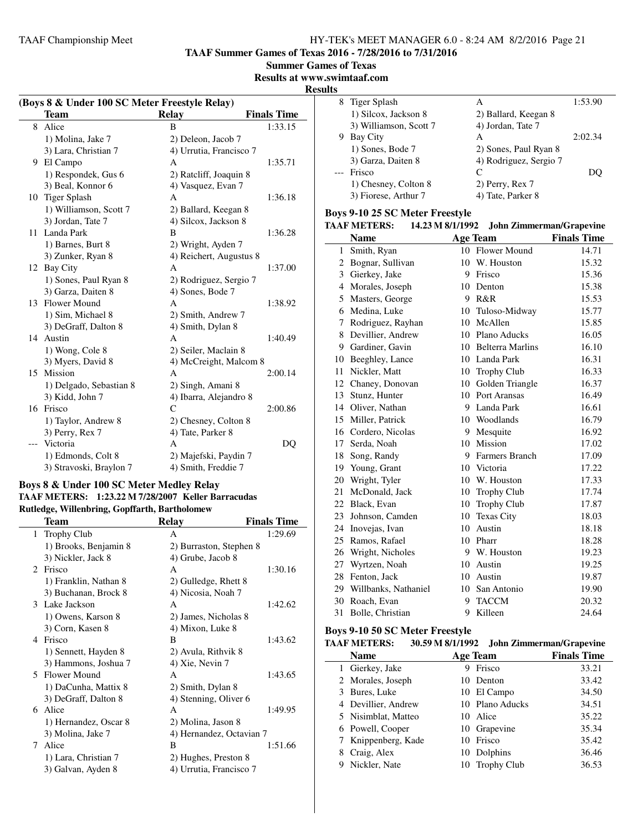**TAAF Summer Games of Texas 2016 - 7/28/2016 to 7/31/2016**

| <b>Summer Games of Texas</b> |  |  |
|------------------------------|--|--|
|                              |  |  |

**Results at www.swimtaaf.com**

#### **Results**

| (Boys 8 & Under 100 SC Meter Freestyle Relay) |                         |                         |                    |
|-----------------------------------------------|-------------------------|-------------------------|--------------------|
|                                               | Team                    | <b>Relay</b>            | <b>Finals Time</b> |
| 8                                             | Alice                   | B                       | 1:33.15            |
|                                               | 1) Molina, Jake 7       | 2) Deleon, Jacob 7      |                    |
|                                               | 3) Lara, Christian 7    | 4) Urrutia, Francisco 7 |                    |
| 9                                             | El Campo                | A                       | 1:35.71            |
|                                               | 1) Respondek, Gus 6     | 2) Ratcliff, Joaquin 8  |                    |
|                                               | 3) Beal, Konnor 6       | 4) Vasquez, Evan 7      |                    |
| 10                                            | Tiger Splash            | A                       | 1:36.18            |
|                                               | 1) Williamson, Scott 7  | 2) Ballard, Keegan 8    |                    |
|                                               | 3) Jordan, Tate 7       | 4) Silcox, Jackson 8    |                    |
| 11.                                           | Landa Park              | B                       | 1:36.28            |
|                                               | 1) Barnes, Burt 8       | 2) Wright, Ayden 7      |                    |
|                                               | 3) Zunker, Ryan 8       | 4) Reichert, Augustus 8 |                    |
|                                               | 12 Bay City             | A                       | 1:37.00            |
|                                               | 1) Sones, Paul Ryan 8   | 2) Rodriguez, Sergio 7  |                    |
|                                               | 3) Garza, Daiten 8      | 4) Sones, Bode 7        |                    |
| 13.                                           | <b>Flower Mound</b>     | A                       | 1:38.92            |
|                                               | 1) Sim, Michael 8       | 2) Smith, Andrew 7      |                    |
|                                               | 3) DeGraff, Dalton 8    | 4) Smith, Dylan 8       |                    |
| 14                                            | Austin                  | A                       | 1:40.49            |
|                                               | 1) Wong, Cole 8         | 2) Seiler, Maclain 8    |                    |
|                                               | 3) Myers, David 8       | 4) McCreight, Malcom 8  |                    |
| 15.                                           | <b>Mission</b>          | A                       | 2:00.14            |
|                                               | 1) Delgado, Sebastian 8 | 2) Singh, Amani 8       |                    |
|                                               | 3) Kidd, John 7         | 4) Ibarra, Alejandro 8  |                    |
|                                               | 16 Frisco               | C                       | 2:00.86            |
|                                               | 1) Taylor, Andrew 8     | 2) Chesney, Colton 8    |                    |
|                                               | 3) Perry, Rex 7         | 4) Tate, Parker 8       |                    |
|                                               | Victoria                | A                       | DQ                 |
|                                               | 1) Edmonds, Colt 8      | 2) Majefski, Paydin 7   |                    |
|                                               | 3) Stravoski, Braylon 7 | 4) Smith, Freddie 7     |                    |

#### **Boys 8 & Under 100 SC Meter Medley Relay TAAF METERS: 1:23.22 M 7/28/2007 Keller Barracudas Rutledge, Willenbring, Gopffarth, Bartholomew**

|              | Team                  | Relay                    | <b>Finals Time</b> |
|--------------|-----------------------|--------------------------|--------------------|
| $\mathbf{1}$ | <b>Trophy Club</b>    | A                        | 1:29.69            |
|              | 1) Brooks, Benjamin 8 | 2) Burraston, Stephen 8  |                    |
|              | 3) Nickler, Jack 8    | 4) Grube, Jacob 8        |                    |
| 2.           | Frisco                | A                        | 1:30.16            |
|              | 1) Franklin, Nathan 8 | 2) Gulledge, Rhett 8     |                    |
|              | 3) Buchanan, Brock 8  | 4) Nicosia, Noah 7       |                    |
|              | 3 Lake Jackson        | A                        | 1:42.62            |
|              | 1) Owens, Karson 8    | 2) James, Nicholas 8     |                    |
|              | 3) Corn, Kasen 8      | 4) Mixon, Luke 8         |                    |
|              | 4 Frisco              | B                        | 1:43.62            |
|              | 1) Sennett, Hayden 8  | 2) Avula, Rithvik 8      |                    |
|              | 3) Hammons, Joshua 7  | 4) Xie, Nevin 7          |                    |
|              | 5 Flower Mound        | A                        | 1:43.65            |
|              | 1) DaCunha, Mattix 8  | 2) Smith, Dylan 8        |                    |
|              | 3) DeGraff, Dalton 8  | 4) Stenning, Oliver 6    |                    |
|              | 6 Alice               | A                        | 1:49.95            |
|              | 1) Hernandez, Oscar 8 | 2) Molina, Jason 8       |                    |
|              | 3) Molina, Jake 7     | 4) Hernandez, Octavian 7 |                    |
| 7            | Alice                 | B                        | 1:51.66            |
|              | 1) Lara, Christian 7  | 2) Hughes, Preston 8     |                    |
|              | 3) Galvan, Ayden 8    | 4) Urrutia, Francisco 7  |                    |
|              |                       |                          |                    |

| o  |                        |                        |         |
|----|------------------------|------------------------|---------|
|    | 8 Tiger Splash         | А                      | 1:53.90 |
|    | 1) Silcox, Jackson 8   | 2) Ballard, Keegan 8   |         |
|    | 3) Williamson, Scott 7 | 4) Jordan, Tate 7      |         |
| 9. | Bay City               | А                      | 2:02.34 |
|    | 1) Sones, Bode 7       | 2) Sones, Paul Ryan 8  |         |
|    | 3) Garza, Daiten 8     | 4) Rodriguez, Sergio 7 |         |
|    | Frisco                 | C                      |         |
|    | 1) Chesney, Colton 8   | 2) Perry, Rex 7        |         |
|    | 3) Fiorese, Arthur 7   | 4) Tate, Parker 8      |         |

# **Boys 9-10 25 SC Meter Freestyle**

|              | <b>TAAF METERS:</b>     | 14.23 M 8/1/1992 |                     | <b>John Zimmerman/Grapevine</b> |
|--------------|-------------------------|------------------|---------------------|---------------------------------|
|              | <b>Name</b>             |                  | <b>Age Team</b>     | <b>Finals Time</b>              |
| $\mathbf{1}$ | Smith, Ryan             |                  | 10 Flower Mound     | 14.71                           |
|              | 2 Bognar, Sullivan      |                  | 10 W. Houston       | 15.32                           |
|              | 3 Gierkey, Jake         |                  | 9 Frisco            | 15.36                           |
| 4            | Morales, Joseph         | 10               | Denton              | 15.38                           |
| 5            | Masters, George         |                  | 9 R&R               | 15.53                           |
|              | 6 Medina, Luke          |                  | 10 Tuloso-Midway    | 15.77                           |
| 7            | Rodriguez, Rayhan       |                  | 10 McAllen          | 15.85                           |
| 8            | Devillier, Andrew       |                  | 10 Plano Aducks     | 16.05                           |
|              | 9 Gardiner, Gavin       |                  | 10 Belterra Marlins | 16.10                           |
| 10           | Beeghley, Lance         |                  | 10 Landa Park       | 16.31                           |
| 11           | Nickler, Matt           |                  | 10 Trophy Club      | 16.33                           |
|              | 12 Chaney, Donovan      | 10               | Golden Triangle     | 16.37                           |
| 13           | Stunz, Hunter           |                  | 10 Port Aransas     | 16.49                           |
|              | 14 Oliver, Nathan       |                  | 9 Landa Park        | 16.61                           |
| 15           | Miller, Patrick         |                  | 10 Woodlands        | 16.79                           |
|              | 16 Cordero, Nicolas     |                  | 9 Mesquite          | 16.92                           |
| 17           | Serda, Noah             |                  | 10 Mission          | 17.02                           |
| 18           | Song, Randy             |                  | 9 Farmers Branch    | 17.09                           |
| 19           | Young, Grant            |                  | 10 Victoria         | 17.22                           |
| 20           | Wright, Tyler           |                  | 10 W. Houston       | 17.33                           |
| 21           | McDonald, Jack          |                  | 10 Trophy Club      | 17.74                           |
| 22           | Black, Evan             | 10               | <b>Trophy Club</b>  | 17.87                           |
| 23           | Johnson, Camden         |                  | 10 Texas City       | 18.03                           |
| 24           | Inovejas, Ivan          | 10 <sup>1</sup>  | Austin              | 18.18                           |
| 25           | Ramos, Rafael           |                  | 10 Pharr            | 18.28                           |
| 26           | Wright, Nicholes        | 9                | W. Houston          | 19.23                           |
| 27           | Wyrtzen, Noah           |                  | 10 Austin           | 19.25                           |
| 28           | Fenton, Jack            |                  | 10 Austin           | 19.87                           |
|              | 29 Willbanks, Nathaniel | 10               | San Antonio         | 19.90                           |
| 30           | Roach, Evan             | 9                | <b>TACCM</b>        | 20.32                           |
| 31           | Bolle, Christian        | 9                | Killeen             | 24.64                           |

# **Boys 9-10 50 SC Meter Freestyle**

| <b>TAAF METERS:</b> |    | 30.59 M 8/1/1992 John Zimmerman/Grapevine |                    |
|---------------------|----|-------------------------------------------|--------------------|
| <b>Name</b>         |    | <b>Age Team</b>                           | <b>Finals Time</b> |
| 1 Gierkey, Jake     | 9  | Frisco                                    | 33.21              |
| 2 Morales, Joseph   | 10 | Denton                                    | 33.42              |
| 3 Bures, Luke       |    | 10 El Campo                               | 34.50              |
| 4 Devillier, Andrew |    | 10 Plano Aducks                           | 34.51              |
| 5 Nisimblat, Matteo |    | 10 Alice                                  | 35.22              |
| 6 Powell, Cooper    |    | 10 Grapevine                              | 35.34              |
| 7 Knippenberg, Kade | 10 | Frisco                                    | 35.42              |
| Craig, Alex         | 10 | Dolphins                                  | 36.46              |
| Nickler, Nate       |    | 10 Trophy Club                            | 36.53              |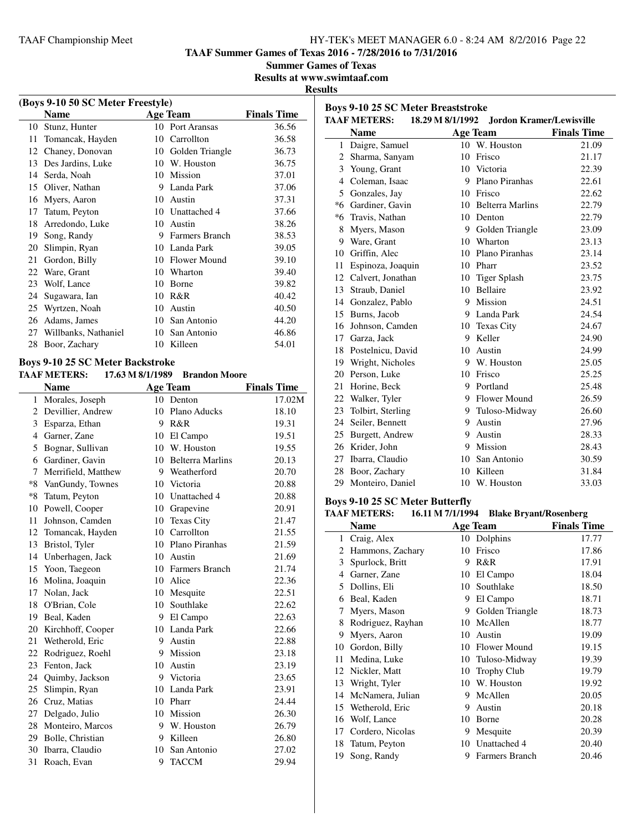**TAAF Summer Games of Texas 2016 - 7/28/2016 to 7/31/2016**

**Summer Games of Texas**

**Results at www.swimtaaf.com**

#### **Results**

| (Boys 9-10 50 SC Meter Freestyle) |                      |    |                 |                    |  |
|-----------------------------------|----------------------|----|-----------------|--------------------|--|
|                                   | Name                 |    | Age Team        | <b>Finals Time</b> |  |
| 10                                | Stunz, Hunter        | 10 | Port Aransas    | 36.56              |  |
| 11                                | Tomancak, Hayden     | 10 | Carrollton      | 36.58              |  |
| 12                                | Chaney, Donovan      | 10 | Golden Triangle | 36.73              |  |
| 13                                | Des Jardins, Luke    | 10 | W. Houston      | 36.75              |  |
| 14                                | Serda, Noah          | 10 | Mission         | 37.01              |  |
| 15                                | Oliver, Nathan       | 9  | Landa Park      | 37.06              |  |
| 16                                | Myers, Aaron         | 10 | Austin          | 37.31              |  |
| 17                                | Tatum, Peyton        | 10 | Unattached 4    | 37.66              |  |
| 18                                | Arredondo, Luke      | 10 | Austin          | 38.26              |  |
| 19                                | Song, Randy          | 9  | Farmers Branch  | 38.53              |  |
| 20                                | Slimpin, Ryan        | 10 | Landa Park      | 39.05              |  |
| 21                                | Gordon, Billy        | 10 | Flower Mound    | 39.10              |  |
| 22                                | Ware, Grant          | 10 | Wharton         | 39.40              |  |
| 23                                | Wolf, Lance          | 10 | Borne           | 39.82              |  |
| 24                                | Sugawara, Ian        | 10 | R&R             | 40.42              |  |
| 25                                | Wyrtzen, Noah        | 10 | Austin          | 40.50              |  |
| 26                                | Adams, James         | 10 | San Antonio     | 44.20              |  |
| 27                                | Willbanks, Nathaniel | 10 | San Antonio     | 46.86              |  |
| 28                                | Boor, Zachary        | 10 | Killeen         | 54.01              |  |
|                                   |                      |    |                 |                    |  |

# **Boys 9-10 25 SC Meter Backstroke**

### **TAAF METERS: 17.63 M 8/1/1989 Brandon Moore**

| <b>Name</b>         |                                                                                                                                                                                                                                                                                                                        |                   | <b>Finals Time</b>                                                                                                                                                                                                                                                  |
|---------------------|------------------------------------------------------------------------------------------------------------------------------------------------------------------------------------------------------------------------------------------------------------------------------------------------------------------------|-------------------|---------------------------------------------------------------------------------------------------------------------------------------------------------------------------------------------------------------------------------------------------------------------|
| Morales, Joseph     |                                                                                                                                                                                                                                                                                                                        | Denton            | 17.02M                                                                                                                                                                                                                                                              |
| Devillier, Andrew   | 10                                                                                                                                                                                                                                                                                                                     |                   | 18.10                                                                                                                                                                                                                                                               |
| Esparza, Ethan      | 9                                                                                                                                                                                                                                                                                                                      |                   | 19.31                                                                                                                                                                                                                                                               |
| Garner, Zane        | 10                                                                                                                                                                                                                                                                                                                     | El Campo          | 19.51                                                                                                                                                                                                                                                               |
| Bognar, Sullivan    |                                                                                                                                                                                                                                                                                                                        |                   | 19.55                                                                                                                                                                                                                                                               |
| Gardiner, Gavin     |                                                                                                                                                                                                                                                                                                                        |                   | 20.13                                                                                                                                                                                                                                                               |
| Merrifield, Matthew |                                                                                                                                                                                                                                                                                                                        |                   | 20.70                                                                                                                                                                                                                                                               |
| VanGundy, Townes    |                                                                                                                                                                                                                                                                                                                        |                   | 20.88                                                                                                                                                                                                                                                               |
| Tatum, Peyton       | 10                                                                                                                                                                                                                                                                                                                     | Unattached 4      | 20.88                                                                                                                                                                                                                                                               |
| Powell, Cooper      | 10                                                                                                                                                                                                                                                                                                                     | Grapevine         | 20.91                                                                                                                                                                                                                                                               |
| Johnson, Camden     |                                                                                                                                                                                                                                                                                                                        | <b>Texas City</b> | 21.47                                                                                                                                                                                                                                                               |
|                     | 10                                                                                                                                                                                                                                                                                                                     | Carrollton        | 21.55                                                                                                                                                                                                                                                               |
| Bristol, Tyler      |                                                                                                                                                                                                                                                                                                                        |                   | 21.59                                                                                                                                                                                                                                                               |
|                     |                                                                                                                                                                                                                                                                                                                        |                   | 21.69                                                                                                                                                                                                                                                               |
|                     |                                                                                                                                                                                                                                                                                                                        |                   | 21.74                                                                                                                                                                                                                                                               |
| Molina, Joaquin     | 10                                                                                                                                                                                                                                                                                                                     | Alice             | 22.36                                                                                                                                                                                                                                                               |
|                     |                                                                                                                                                                                                                                                                                                                        | Mesquite          | 22.51                                                                                                                                                                                                                                                               |
| O'Brian, Cole       | 10                                                                                                                                                                                                                                                                                                                     | Southlake         | 22.62                                                                                                                                                                                                                                                               |
|                     |                                                                                                                                                                                                                                                                                                                        | El Campo          | 22.63                                                                                                                                                                                                                                                               |
|                     |                                                                                                                                                                                                                                                                                                                        |                   | 22.66                                                                                                                                                                                                                                                               |
| Wetherold, Eric     | 9                                                                                                                                                                                                                                                                                                                      | Austin            | 22.88                                                                                                                                                                                                                                                               |
| Rodriguez, Roehl    | 9                                                                                                                                                                                                                                                                                                                      | <b>Mission</b>    | 23.18                                                                                                                                                                                                                                                               |
| Fenton, Jack        | 10                                                                                                                                                                                                                                                                                                                     | Austin            | 23.19                                                                                                                                                                                                                                                               |
| Quimby, Jackson     | 9                                                                                                                                                                                                                                                                                                                      |                   | 23.65                                                                                                                                                                                                                                                               |
| Slimpin, Ryan       |                                                                                                                                                                                                                                                                                                                        |                   | 23.91                                                                                                                                                                                                                                                               |
| Cruz, Matias        |                                                                                                                                                                                                                                                                                                                        |                   | 24.44                                                                                                                                                                                                                                                               |
| Delgado, Julio      | 10                                                                                                                                                                                                                                                                                                                     | Mission           | 26.30                                                                                                                                                                                                                                                               |
| Monteiro, Marcos    | 9                                                                                                                                                                                                                                                                                                                      | W. Houston        | 26.79                                                                                                                                                                                                                                                               |
|                     |                                                                                                                                                                                                                                                                                                                        |                   | 26.80                                                                                                                                                                                                                                                               |
| Ibarra, Claudio     | 10                                                                                                                                                                                                                                                                                                                     | San Antonio       | 27.02                                                                                                                                                                                                                                                               |
| Roach, Evan         | 9                                                                                                                                                                                                                                                                                                                      | <b>TACCM</b>      | 29.94                                                                                                                                                                                                                                                               |
|                     | $\mathbf{1}$<br>2<br>3<br>$\overline{4}$<br>5<br>6<br>7<br>$*8$<br>$*8$<br>10<br>11<br>12 Tomancak, Hayden<br>13<br>14 Unberhagen, Jack<br>15 Yoon, Taegeon<br>16<br>17 Nolan, Jack<br>18<br>19 Beal, Kaden<br>20 Kirchhoff, Cooper<br>21<br>22<br>23<br>24<br>25<br>26<br>27<br>28<br>29 Bolle, Christian<br>30<br>31 |                   | <b>Age Team</b><br>10<br>Plano Aducks<br>R&R<br>10 W. Houston<br>10 Belterra Marlins<br>9 Weatherford<br>10 Victoria<br>10<br>10 Plano Piranhas<br>10 Austin<br>10 Farmers Branch<br>10<br>9<br>10 Landa Park<br>Victoria<br>10 Landa Park<br>10 Pharr<br>9 Killeen |

|    | <b>Boys 9-10 25 SC Meter Breaststroke</b> |                  |                          |                    |
|----|-------------------------------------------|------------------|--------------------------|--------------------|
|    | <b>TAAF METERS:</b>                       | 18.29 M 8/1/1992 | Jordon Kramer/Lewisville |                    |
|    | <b>Name</b>                               |                  | <b>Age Team</b>          | <b>Finals Time</b> |
|    | 1 Daigre, Samuel                          |                  | 10 W. Houston            | 21.09              |
|    | 2 Sharma, Sanyam                          | 10               | Frisco                   | 21.17              |
|    | 3 Young, Grant                            | 10               | Victoria                 | 22.39              |
| 4  | Coleman, Isaac                            |                  | 9 Plano Piranhas         | 22.61              |
|    | 5 Gonzales, Jay                           |                  | 10 Frisco                | 22.62              |
|    | *6 Gardiner, Gavin                        |                  | 10 Belterra Marlins      | 22.79              |
|    | *6 Travis, Nathan                         |                  | 10 Denton                | 22.79              |
| 8  | Myers, Mason                              |                  | 9 Golden Triangle        | 23.09              |
|    | 9 Ware, Grant                             | 10               | Wharton                  | 23.13              |
|    | 10 Griffin, Alec                          | 10               | Plano Piranhas           | 23.14              |
| 11 | Espinoza, Joaquin                         |                  | 10 Pharr                 | 23.52              |
|    | 12 Calvert, Jonathan                      | 10               | <b>Tiger Splash</b>      | 23.75              |
|    | 13 Straub, Daniel                         | 10               | <b>Bellaire</b>          | 23.92              |
|    | 14 Gonzalez, Pablo                        | 9                | Mission                  | 24.51              |
|    | 15 Burns, Jacob                           | 9                | Landa Park               | 24.54              |
|    | 16 Johnson, Camden                        | 10               | <b>Texas City</b>        | 24.67              |
|    | 17 Garza, Jack                            | 9                | Keller                   | 24.90              |
|    | 18 Postelnicu, David                      | 10               | Austin                   | 24.99              |
|    | 19 Wright, Nicholes                       | 9                | W. Houston               | 25.05              |
|    | 20 Person, Luke                           | 10               | Frisco                   | 25.25              |
| 21 | Horine, Beck                              | 9                | Portland                 | 25.48              |
|    | 22 Walker, Tyler                          |                  | 9 Flower Mound           | 26.59              |
| 23 | Tolbirt, Sterling                         | 9.               | Tuloso-Midway            | 26.60              |
|    | 24 Seiler, Bennett                        | 9                | Austin                   | 27.96              |
|    | 25 Burgett, Andrew                        | 9                | Austin                   | 28.33              |
| 26 | Krider, John                              | 9                | Mission                  | 28.43              |
| 27 | Ibarra, Claudio                           | 10               | San Antonio              | 30.59              |
|    | 28 Boor, Zachary                          | 10               | Killeen                  | 31.84              |
|    | 29 Monteiro, Daniel                       | 10               | W. Houston               | 33.03              |

#### **Boys 9-10 25 SC Meter Butterfly**

#### **TAAF METERS: 16.11 M 7/1/1994 Blake Bryant/Rosenberg**

|    | Name              |    | <b>Age Team</b>    | <b>Finals Time</b> |
|----|-------------------|----|--------------------|--------------------|
| 1  | Craig, Alex       | 10 | Dolphins           | 17.77              |
| 2  | Hammons, Zachary  | 10 | Frisco             | 17.86              |
| 3  | Spurlock, Britt   | 9  | R&R                | 17.91              |
| 4  | Garner, Zane      | 10 | El Campo           | 18.04              |
| 5  | Dollins, Eli      | 10 | Southlake          | 18.50              |
| 6  | Beal, Kaden       | 9  | El Campo           | 18.71              |
| 7  | Myers, Mason      | 9  | Golden Triangle    | 18.73              |
| 8  | Rodriguez, Rayhan | 10 | McAllen            | 18.77              |
| 9  | Myers, Aaron      | 10 | Austin             | 19.09              |
| 10 | Gordon, Billy     | 10 | Flower Mound       | 19.15              |
| 11 | Medina, Luke      | 10 | Tuloso-Midway      | 19.39              |
| 12 | Nickler, Matt     | 10 | <b>Trophy Club</b> | 19.79              |
| 13 | Wright, Tyler     | 10 | W. Houston         | 19.92              |
| 14 | McNamera, Julian  | 9  | McAllen            | 20.05              |
| 15 | Wetherold, Eric   | 9  | Austin             | 20.18              |
| 16 | Wolf, Lance       | 10 | Borne              | 20.28              |
| 17 | Cordero, Nicolas  | 9  | Mesquite           | 20.39              |
| 18 | Tatum, Peyton     | 10 | Unattached 4       | 20.40              |
| 19 | Song, Randy       | 9  | Farmers Branch     | 20.46              |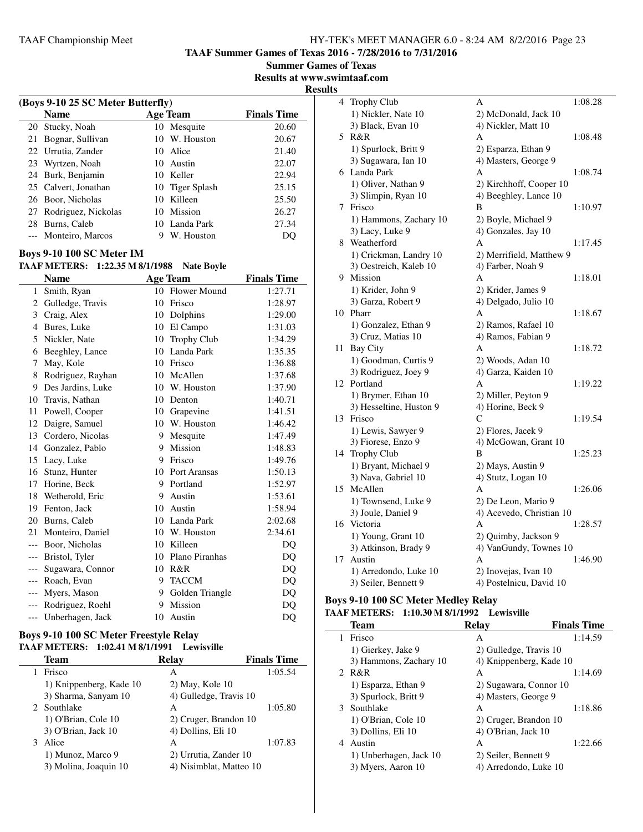**TAAF Summer Games of Texas 2016 - 7/28/2016 to 7/31/2016**

**Summer Games of Texas**

**Results at www.swimtaaf.com Results**

| (Boys 9-10 25 SC Meter Butterfly) |                        |     |                 |                    |  |
|-----------------------------------|------------------------|-----|-----------------|--------------------|--|
|                                   | <b>Name</b>            |     | <b>Age Team</b> | <b>Finals Time</b> |  |
|                                   | 20 Stucky, Noah        |     | 10 Mesquite     | 20.60              |  |
| 21                                | Bognar, Sullivan       |     | 10 W. Houston   | 20.67              |  |
|                                   | 22 Urrutia, Zander     |     | 10 Alice        | 21.40              |  |
|                                   | 23 Wyrtzen, Noah       |     | 10 Austin       | 22.07              |  |
|                                   | 24 Burk, Benjamin      |     | 10 Keller       | 22.94              |  |
|                                   | 25 Calvert, Jonathan   |     | 10 Tiger Splash | 25.15              |  |
|                                   | 26 Boor, Nicholas      | 1() | Killeen         | 25.50              |  |
|                                   | 27 Rodriguez, Nickolas |     | 10 Mission      | 26.27              |  |
| 28                                | Burns, Caleb           |     | 10 Landa Park   | 27.34              |  |
|                                   | --- Monteiro, Marcos   | 9   | W. Houston      |                    |  |
|                                   |                        |     |                 |                    |  |

## **Boys 9-10 100 SC Meter IM**

#### **TAAF METERS: 1:22.35 M 8/1/1988 Nate Boyle**

|       | <b>Name</b>       |    | <b>Age Team</b>     | <b>Finals Time</b> |
|-------|-------------------|----|---------------------|--------------------|
| 1     | Smith, Ryan       | 10 | <b>Flower Mound</b> | 1:27.71            |
| 2     | Gulledge, Travis  | 10 | Frisco              | 1:28.97            |
| 3     | Craig, Alex       | 10 | Dolphins            | 1:29.00            |
| 4     | Bures, Luke       | 10 | El Campo            | 1:31.03            |
| 5     | Nickler, Nate     | 10 | Trophy Club         | 1:34.29            |
| 6     | Beeghley, Lance   | 10 | Landa Park          | 1:35.35            |
| 7     | May, Kole         | 10 | Frisco              | 1:36.88            |
| 8     | Rodriguez, Rayhan | 10 | McAllen             | 1:37.68            |
| 9     | Des Jardins, Luke | 10 | W. Houston          | 1:37.90            |
| 10    | Travis, Nathan    | 10 | Denton              | 1:40.71            |
| 11    | Powell, Cooper    | 10 | Grapevine           | 1:41.51            |
| 12    | Daigre, Samuel    | 10 | W. Houston          | 1:46.42            |
| 13    | Cordero, Nicolas  | 9  | Mesquite            | 1:47.49            |
| 14    | Gonzalez, Pablo   | 9  | <b>Mission</b>      | 1:48.83            |
| 15    | Lacy, Luke        | 9  | Frisco              | 1:49.76            |
| 16    | Stunz, Hunter     | 10 | Port Aransas        | 1:50.13            |
| 17    | Horine, Beck      | 9  | Portland            | 1:52.97            |
| 18    | Wetherold, Eric   | 9  | Austin              | 1:53.61            |
| 19    | Fenton, Jack      | 10 | Austin              | 1:58.94            |
| 20    | Burns, Caleb      | 10 | Landa Park          | 2:02.68            |
| 21    | Monteiro, Daniel  | 10 | W. Houston          | 2:34.61            |
| $---$ | Boor, Nicholas    | 10 | Killeen             | DQ                 |
| $---$ | Bristol, Tyler    | 10 | Plano Piranhas      | DQ                 |
| $---$ | Sugawara, Connor  | 10 | R&R                 | DQ                 |
| $---$ | Roach, Evan       | 9  | <b>TACCM</b>        | DQ                 |
| $---$ | Myers, Mason      | 9  | Golden Triangle     | DQ                 |
| $---$ | Rodriguez, Roehl  | 9  | <b>Mission</b>      | DQ                 |
| $---$ | Unberhagen, Jack  | 10 | Austin              | DQ                 |

#### **Boys 9-10 100 SC Meter Freestyle Relay TAAF METERS: 1:02.41 M 8/1/1991 Lewisville**

| Team                    | <b>Relav</b>            | <b>Finals Time</b> |
|-------------------------|-------------------------|--------------------|
| Frisco                  | А                       | 1:05.54            |
| 1) Knippenberg, Kade 10 | $2)$ May, Kole 10       |                    |
| 3) Sharma, Sanyam 10    | 4) Gulledge, Travis 10  |                    |
| 2 Southlake             | A                       | 1:05.80            |
| 1) O'Brian, Cole 10     | 2) Cruger, Brandon 10   |                    |
| 3) O'Brian, Jack 10     | 4) Dollins, Eli 10      |                    |
| Alice                   | A                       | 1:07.83            |
| 1) Munoz, Marco 9       | 2) Urrutia, Zander 10   |                    |
| 3) Molina, Joaquin 10   | 4) Nisimblat, Matteo 10 |                    |

| 4  | Trophy Club             | A                        | 1:08.28 |
|----|-------------------------|--------------------------|---------|
|    | 1) Nickler, Nate 10     | 2) McDonald, Jack 10     |         |
|    | 3) Black, Evan 10       | 4) Nickler, Matt 10      |         |
| 5  | R&R                     | A                        | 1:08.48 |
|    | 1) Spurlock, Britt 9    | 2) Esparza, Ethan 9      |         |
|    | 3) Sugawara, Ian 10     | 4) Masters, George 9     |         |
|    | 6 Landa Park            | A                        | 1:08.74 |
|    | 1) Oliver, Nathan 9     | 2) Kirchhoff, Cooper 10  |         |
|    | 3) Slimpin, Ryan 10     | 4) Beeghley, Lance 10    |         |
| 7  | Frisco                  | B                        | 1:10.97 |
|    | 1) Hammons, Zachary 10  | 2) Boyle, Michael 9      |         |
|    | 3) Lacy, Luke 9         | 4) Gonzales, Jay 10      |         |
|    | 8 Weatherford           | A                        | 1:17.45 |
|    | 1) Crickman, Landry 10  | 2) Merrifield, Matthew 9 |         |
|    | 3) Oestreich, Kaleb 10  | 4) Farber, Noah 9        |         |
|    | 9 Mission               | A                        | 1:18.01 |
|    | 1) Krider, John 9       | 2) Krider, James 9       |         |
|    | 3) Garza, Robert 9      | 4) Delgado, Julio 10     |         |
|    | 10 Pharr                | A                        | 1:18.67 |
|    | 1) Gonzalez, Ethan 9    | 2) Ramos, Rafael 10      |         |
|    | 3) Cruz, Matias 10      | 4) Ramos, Fabian 9       |         |
| 11 | <b>Bay City</b>         | A                        | 1:18.72 |
|    | 1) Goodman, Curtis 9    | 2) Woods, Adan 10        |         |
|    | 3) Rodriguez, Joey 9    | 4) Garza, Kaiden 10      |         |
|    | 12 Portland             | A                        | 1:19.22 |
|    | 1) Brymer, Ethan 10     | 2) Miller, Peyton 9      |         |
|    | 3) Hesseltine, Huston 9 | 4) Horine, Beck 9        |         |
| 13 | Frisco                  | C                        | 1:19.54 |
|    | 1) Lewis, Sawyer 9      | 2) Flores, Jacek 9       |         |
|    | 3) Fiorese, Enzo 9      | 4) McGowan, Grant 10     |         |
|    | 14 Trophy Club          | B                        | 1:25.23 |
|    | 1) Bryant, Michael 9    | 2) Mays, Austin 9        |         |
|    | 3) Nava, Gabriel 10     | 4) Stutz, Logan 10       |         |
| 15 | McAllen                 | A                        | 1:26.06 |
|    | 1) Townsend, Luke 9     | 2) De Leon, Mario 9      |         |
|    | 3) Joule, Daniel 9      | 4) Acevedo, Christian 10 |         |
|    | 16 Victoria             | A                        | 1:28.57 |
|    | 1) Young, Grant 10      | 2) Quimby, Jackson 9     |         |
|    | 3) Atkinson, Brady 9    | 4) VanGundy, Townes 10   |         |
| 17 | Austin                  | A                        | 1:46.90 |
|    | 1) Arredondo, Luke 10   | 2) Inovejas, Ivan 10     |         |
|    | 3) Seiler, Bennett 9    | 4) Postelnicu, David 10  |         |

# **Boys 9-10 100 SC Meter Medley Relay**

# **TAAF METERS: 1:10.30 M 8/1/1992 Lewisville**

| Team                   | <b>Relay</b>            | <b>Finals Time</b> |
|------------------------|-------------------------|--------------------|
| Frisco                 | A                       | 1:14.59            |
| 1) Gierkey, Jake 9     | 2) Gulledge, Travis 10  |                    |
| 3) Hammons, Zachary 10 | 4) Knippenberg, Kade 10 |                    |
| 2 R&R                  | A                       | 1:14.69            |
| 1) Esparza, Ethan 9    | 2) Sugawara, Connor 10  |                    |
| 3) Spurlock, Britt 9   | 4) Masters, George 9    |                    |
| 3 Southlake            | A                       | 1:18.86            |
| 1) O'Brian, Cole 10    | 2) Cruger, Brandon 10   |                    |
| 3) Dollins, Eli 10     | 4) O'Brian, Jack 10     |                    |
| 4 Austin               | A                       | 1:22.66            |
| 1) Unberhagen, Jack 10 | 2) Seiler, Bennett 9    |                    |
| 3) Myers, Aaron 10     | 4) Arredondo, Luke 10   |                    |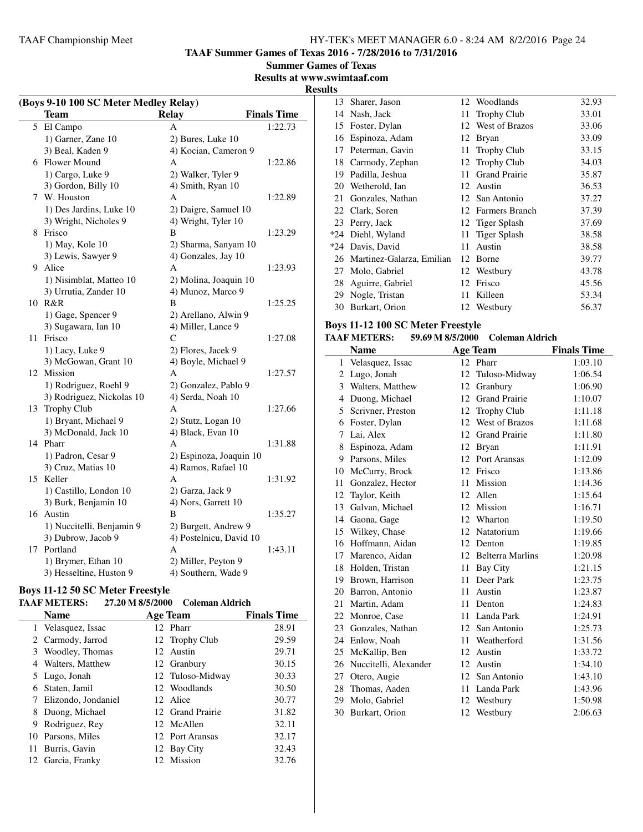**TAAF Summer Games of Texas 2016 - 7/28/2016 to 7/31/2016**

**Summer Games of Texas**

# **Results at www.swimtaaf.com**

**Results**

| (Boys 9-10 100 SC Meter Medley Relay) |                           |                         |                    |  |
|---------------------------------------|---------------------------|-------------------------|--------------------|--|
|                                       | <b>Team</b>               | <b>Relay</b>            | <b>Finals Time</b> |  |
|                                       | 5 El Campo                | A                       | 1:22.73            |  |
|                                       | 1) Garner, Zane 10        | 2) Bures, Luke 10       |                    |  |
|                                       | 3) Beal, Kaden 9          | 4) Kocian, Cameron 9    |                    |  |
|                                       | 6 Flower Mound            | А                       | 1:22.86            |  |
|                                       | 1) Cargo, Luke 9          | 2) Walker, Tyler 9      |                    |  |
|                                       | 3) Gordon, Billy 10       | 4) Smith, Ryan 10       |                    |  |
|                                       | 7 W. Houston              | A                       | 1:22.89            |  |
|                                       | 1) Des Jardins, Luke 10   | 2) Daigre, Samuel 10    |                    |  |
|                                       | 3) Wright, Nicholes 9     | 4) Wright, Tyler 10     |                    |  |
| 8                                     | Frisco                    | B                       | 1:23.29            |  |
|                                       | 1) May, Kole 10           | 2) Sharma, Sanyam 10    |                    |  |
|                                       | 3) Lewis, Sawyer 9        | 4) Gonzales, Jay 10     |                    |  |
|                                       | 9 Alice                   | A                       | 1:23.93            |  |
|                                       | 1) Nisimblat, Matteo 10   | 2) Molina, Joaquin 10   |                    |  |
|                                       | 3) Urrutia, Zander 10     | 4) Munoz, Marco 9       |                    |  |
|                                       | 10 R&R                    | B                       | 1:25.25            |  |
|                                       | 1) Gage, Spencer 9        | 2) Arellano, Alwin 9    |                    |  |
|                                       | 3) Sugawara, Ian 10       | 4) Miller, Lance 9      |                    |  |
| 11                                    | Frisco                    | C                       | 1:27.08            |  |
|                                       | 1) Lacy, Luke 9           | 2) Flores, Jacek 9      |                    |  |
|                                       | 3) McGowan, Grant 10      | 4) Boyle, Michael 9     |                    |  |
|                                       | 12 Mission                | A                       | 1:27.57            |  |
|                                       | 1) Rodriguez, Roehl 9     | 2) Gonzalez, Pablo 9    |                    |  |
|                                       | 3) Rodriguez, Nickolas 10 | 4) Serda, Noah 10       |                    |  |
|                                       | 13 Trophy Club            | A                       | 1:27.66            |  |
|                                       | 1) Bryant, Michael 9      | 2) Stutz, Logan 10      |                    |  |
|                                       | 3) McDonald, Jack 10      | 4) Black, Evan 10       |                    |  |
|                                       | 14 Pharr                  | А                       | 1:31.88            |  |
|                                       | 1) Padron, Cesar 9        | 2) Espinoza, Joaquin 10 |                    |  |
|                                       | 3) Cruz, Matias 10        | 4) Ramos, Rafael 10     |                    |  |
|                                       | 15 Keller                 | A                       | 1:31.92            |  |
|                                       | 1) Castillo, London 10    | 2) Garza, Jack 9        |                    |  |
|                                       | 3) Burk, Benjamin 10      | 4) Nors, Garrett 10     |                    |  |
|                                       | 16 Austin                 | B                       | 1:35.27            |  |
|                                       | 1) Nuccitelli, Benjamin 9 | 2) Burgett, Andrew 9    |                    |  |
|                                       | 3) Dubrow, Jacob 9        | 4) Postelnicu, David 10 |                    |  |
|                                       | 17 Portland               | A                       | 1:43.11            |  |
|                                       | 1) Brymer, Ethan 10       | 2) Miller, Peyton 9     |                    |  |
|                                       | 3) Hesseltine, Huston 9   | 4) Southern, Wade 9     |                    |  |

# **Boys 11-12 50 SC Meter Freestyle**

# **TAAF METERS: 27.20 M 8/5/2000 Coleman Aldrich**

|   | Name                  | <b>Age Team</b>  | <b>Finals Time</b> |
|---|-----------------------|------------------|--------------------|
|   | 1 Velasquez, Issac    | 12 Pharr         | 28.91              |
|   | 2 Carmody, Jarrod     | 12 Trophy Club   | 29.59              |
|   | 3 Woodley, Thomas     | 12 Austin        | 29.71              |
|   | 4 Walters, Matthew    | 12 Granbury      | 30.15              |
|   | 5 Lugo, Jonah         | 12 Tuloso-Midway | 30.33              |
|   | 6 Staten, Jamil       | 12 Woodlands     | 30.50              |
|   | 7 Elizondo, Jondaniel | 12 Alice         | 30.77              |
| 8 | Duong, Michael        | 12 Grand Prairie | 31.82              |
| 9 | Rodriguez, Rey        | 12 McAllen       | 32.11              |
|   | 10 Parsons, Miles     | 12 Port Aransas  | 32.17              |
|   | 11 Burris, Gavin      | 12 Bay City      | 32.43              |
|   | 12 Garcia, Franky     | 12 Mission       | 32.76              |
|   |                       |                  |                    |

|    | 13 Sharer, Jason             |    | 12 Woodlands          | 32.93 |
|----|------------------------------|----|-----------------------|-------|
| 14 | Nash, Jack                   | 11 | <b>Trophy Club</b>    | 33.01 |
| 15 | Foster, Dylan                | 12 | <b>West of Brazos</b> | 33.06 |
| 16 | Espinoza, Adam               | 12 | Bryan                 | 33.09 |
| 17 | Peterman, Gavin              | 11 | <b>Trophy Club</b>    | 33.15 |
|    | 18 Carmody, Zephan           |    | 12 Trophy Club        | 34.03 |
| 19 | Padilla, Jeshua              | 11 | <b>Grand Prairie</b>  | 35.87 |
| 20 | Wetherold, Ian               | 12 | Austin                | 36.53 |
| 21 | Gonzales, Nathan             |    | 12 San Antonio        | 37.27 |
|    | 22 Clark, Soren              |    | 12 Farmers Branch     | 37.39 |
|    | 23 Perry, Jack               |    | 12 Tiger Splash       | 37.69 |
|    | *24 Diehl, Wyland            | 11 | Tiger Splash          | 38.58 |
|    | *24 Davis, David             | 11 | Austin                | 38.58 |
|    | 26 Martinez-Galarza, Emilian | 12 | Borne                 | 39.77 |
| 27 | Molo, Gabriel                | 12 | Westbury              | 43.78 |
|    | 28 Aguirre, Gabriel          | 12 | Frisco                | 45.56 |
|    | 29 Nogle, Tristan            | 11 | Killeen               | 53.34 |
| 30 | Burkart, Orion               | 12 | Westbury              | 56.37 |
|    |                              |    |                       |       |

# **Boys 11-12 100 SC Meter Freestyle<br>TAAF METERS: 59.69 M 8/5/2000**

# **TAAF METERS: 59.69 M 8/5/2000 Coleman Aldrich**

|    | <b>Name</b>           |    | <b>Age Team</b>         | <b>Finals Time</b> |
|----|-----------------------|----|-------------------------|--------------------|
| 1  | Velasquez, Issac      |    | 12 Pharr                | 1:03.10            |
| 2  | Lugo, Jonah           | 12 | Tuloso-Midway           | 1:06.54            |
| 3  | Walters, Matthew      | 12 | Granbury                | 1:06.90            |
| 4  | Duong, Michael        | 12 | <b>Grand Prairie</b>    | 1:10.07            |
| 5  | Scrivner, Preston     | 12 | <b>Trophy Club</b>      | 1:11.18            |
| 6  | Foster, Dylan         | 12 | West of Brazos          | 1:11.68            |
| 7  | Lai, Alex             | 12 | <b>Grand Prairie</b>    | 1:11.80            |
| 8  | Espinoza, Adam        | 12 | <b>Bryan</b>            | 1:11.91            |
| 9  | Parsons, Miles        | 12 | Port Aransas            | 1:12.09            |
| 10 | McCurry, Brock        | 12 | Frisco                  | 1:13.86            |
| 11 | Gonzalez, Hector      | 11 | Mission                 | 1:14.36            |
| 12 | Taylor, Keith         | 12 | Allen                   | 1:15.64            |
| 13 | Galvan, Michael       | 12 | Mission                 | 1:16.71            |
| 14 | Gaona, Gage           | 12 | Wharton                 | 1:19.50            |
| 15 | Wilkey, Chase         | 12 | Natatorium              | 1:19.66            |
| 16 | Hoffmann, Aidan       | 12 | Denton                  | 1:19.85            |
| 17 | Marenco, Aidan        | 12 | <b>Belterra Marlins</b> | 1:20.98            |
| 18 | Holden, Tristan       | 11 | Bay City                | 1:21.15            |
|    | 19 Brown, Harrison    | 11 | Deer Park               | 1:23.75            |
| 20 | Barron, Antonio       | 11 | Austin                  | 1:23.87            |
| 21 | Martin, Adam          | 11 | Denton                  | 1:24.83            |
| 22 | Monroe, Case          | 11 | Landa Park              | 1:24.91            |
| 23 | Gonzales, Nathan      | 12 | San Antonio             | 1:25.73            |
| 24 | Enlow, Noah           | 11 | Weatherford             | 1:31.56            |
| 25 | McKallip, Ben         | 12 | Austin                  | 1:33.72            |
| 26 | Nuccitelli, Alexander | 12 | Austin                  | 1:34.10            |
| 27 | Otero, Augie          | 12 | San Antonio             | 1:43.10            |
| 28 | Thomas, Aaden         | 11 | Landa Park              | 1:43.96            |
| 29 | Molo, Gabriel         | 12 | Westbury                | 1:50.98            |
|    | 30 Burkart, Orion     | 12 | Westbury                | 2:06.63            |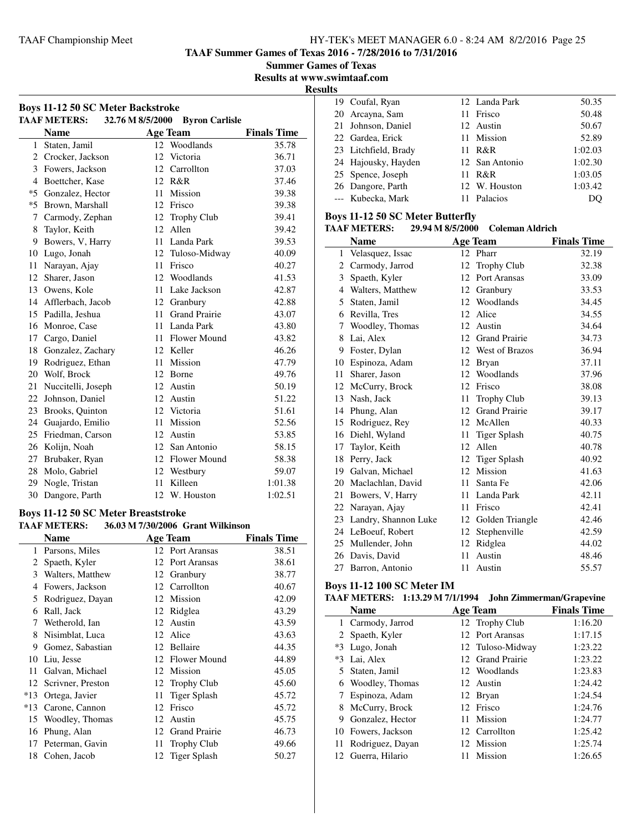**TAAF Summer Games of Texas 2016 - 7/28/2016 to 7/31/2016**

**Summer Games of Texas**

**Results at www.swimtaaf.com**

**Results**

|              | <b>Boys 11-12 50 SC Meter Backstroke</b><br><b>TAAF METERS:</b> |    | 32.76 M 8/5/2000 Byron Carlisle |                    |
|--------------|-----------------------------------------------------------------|----|---------------------------------|--------------------|
|              | <b>Name</b>                                                     |    | <b>Age Team</b>                 | <b>Finals Time</b> |
| $\mathbf{1}$ | Staten, Jamil                                                   |    | 12 Woodlands                    | 35.78              |
|              | 2 Crocker, Jackson                                              | 12 | Victoria                        | 36.71              |
| 3            | Fowers, Jackson                                                 |    | 12 Carrollton                   | 37.03              |
|              | 4 Boettcher, Kase                                               |    | 12 R&R                          | 37.46              |
|              | *5 Gonzalez, Hector                                             | 11 | Mission                         | 39.38              |
| $*5$         | Brown, Marshall                                                 |    | 12 Frisco                       | 39.38              |
| 7            | Carmody, Zephan                                                 | 12 | <b>Trophy Club</b>              | 39.41              |
| 8            | Taylor, Keith                                                   | 12 | Allen                           | 39.42              |
| 9            | Bowers, V, Harry                                                |    | 11 Landa Park                   | 39.53              |
| 10           | Lugo, Jonah                                                     |    | 12 Tuloso-Midway                | 40.09              |
| 11           | Narayan, Ajay                                                   | 11 | Frisco                          | 40.27              |
| 12           | Sharer, Jason                                                   | 12 | Woodlands                       | 41.53              |
|              | 13 Owens, Kole                                                  | 11 | Lake Jackson                    | 42.87              |
|              | 14 Afflerbach, Jacob                                            |    | 12 Granbury                     | 42.88              |
| 15           | Padilla, Jeshua                                                 | 11 | <b>Grand Prairie</b>            | 43.07              |
| 16           | Monroe, Case                                                    | 11 | Landa Park                      | 43.80              |
| 17           | Cargo, Daniel                                                   |    | 11 Flower Mound                 | 43.82              |
|              | 18 Gonzalez, Zachary                                            |    | 12 Keller                       | 46.26              |
| 19           | Rodriguez, Ethan                                                |    | 11 Mission                      | 47.79              |
| 20           | Wolf, Brock                                                     |    | 12 Borne                        | 49.76              |
| 21           | Nuccitelli, Joseph                                              |    | 12 Austin                       | 50.19              |
| 22           | Johnson, Daniel                                                 |    | 12 Austin                       | 51.22              |
| 23           | Brooks, Quinton                                                 | 12 | Victoria                        | 51.61              |
| 24           | Guajardo, Emilio                                                | 11 | Mission                         | 52.56              |
| 25           | Friedman, Carson                                                | 12 | Austin                          | 53.85              |
| 26           | Kolijn, Noah                                                    |    | 12 San Antonio                  | 58.15              |
| 27           | Brubaker, Ryan                                                  | 12 | <b>Flower Mound</b>             | 58.38              |
| 28           | Molo, Gabriel                                                   |    | 12 Westbury                     | 59.07              |
| 29           | Nogle, Tristan                                                  | 11 | Killeen                         | 1:01.38            |
| 30           | Dangore, Parth                                                  | 12 | W. Houston                      | 1:02.51            |

#### **Boys 11-12 50 SC Meter Breaststroke**

**TAAF METERS: 36.03 M 7/30/2006 Grant Wilkinson**

|       | <b>Name</b>       |    | <b>Age Team</b>      | <b>Finals Time</b> |
|-------|-------------------|----|----------------------|--------------------|
| 1     | Parsons, Miles    |    | 12 Port Aransas      | 38.51              |
| 2     | Spaeth, Kyler     |    | 12 Port Aransas      | 38.61              |
| 3     | Walters, Matthew  | 12 | Granbury             | 38.77              |
| 4     | Fowers, Jackson   |    | 12 Carrollton        | 40.67              |
| 5     | Rodriguez, Dayan  |    | 12 Mission           | 42.09              |
| 6     | Rall, Jack        | 12 | Ridglea              | 43.29              |
| 7     | Wetherold, Ian    | 12 | Austin               | 43.59              |
| 8     | Nisimblat, Luca   |    | 12 Alice             | 43.63              |
| 9     | Gomez, Sabastian  |    | 12 Bellaire          | 44.35              |
| 10    | Liu, Jesse        |    | 12 Flower Mound      | 44.89              |
| 11    | Galvan, Michael   |    | 12 Mission           | 45.05              |
| 12    | Scrivner, Preston |    | 12 Trophy Club       | 45.60              |
| $*13$ | Ortega, Javier    | 11 | Tiger Splash         | 45.72              |
| $*13$ | Carone, Cannon    | 12 | Frisco               | 45.72              |
| 15    | Woodley, Thomas   | 12 | Austin               | 45.75              |
| 16    | Phung, Alan       | 12 | <b>Grand Prairie</b> | 46.73              |
| 17    | Peterman, Gavin   | 11 | <b>Trophy Club</b>   | 49.66              |
| 18    | Cohen, Jacob      |    | 12 Tiger Splash      | 50.27              |

| 19 Coufal, Ryan      |     | 12 Landa Park  | 50.35   |
|----------------------|-----|----------------|---------|
| 20 Arcayna, Sam      |     | 11 Frisco      | 50.48   |
| 21 Johnson, Daniel   |     | 12 Austin      | 50.67   |
| 22 Gardea, Erick     |     | 11 Mission     | 52.89   |
| 23 Litchfield, Brady |     | 11 R&R         | 1:02.03 |
| 24 Hajousky, Hayden  |     | 12 San Antonio | 1:02.30 |
| 25 Spence, Joseph    | 11. | R&R            | 1:03.05 |
| 26 Dangore, Parth    |     | 12 W. Houston  | 1:03.42 |
| --- Kubecka, Mark    |     | 11 Palacios    | DO      |
|                      |     |                |         |

# **Boys 11-12 50 SC Meter Butterfly<br>TAAF METERS:** 29.94 M 8/5/2000

#### **TAAF METERS: 29.94 M 8/5/2000 Coleman Aldrich**

|    | <b>Name</b>          |    | <b>Age Team</b>      | <b>Finals Time</b> |
|----|----------------------|----|----------------------|--------------------|
| 1  | Velasquez, Issac     |    | 12 Pharr             | 32.19              |
| 2  | Carmody, Jarrod      | 12 | Trophy Club          | 32.38              |
| 3  | Spaeth, Kyler        | 12 | Port Aransas         | 33.09              |
| 4  | Walters, Matthew     | 12 | Granbury             | 33.53              |
| 5  | Staten, Jamil        | 12 | Woodlands            | 34.45              |
| 6  | Revilla, Tres        | 12 | Alice                | 34.55              |
| 7  | Woodley, Thomas      | 12 | Austin               | 34.64              |
| 8  | Lai, Alex            | 12 | <b>Grand Prairie</b> | 34.73              |
| 9  | Foster, Dylan        |    | 12 West of Brazos    | 36.94              |
| 10 | Espinoza, Adam       | 12 | <b>Bryan</b>         | 37.11              |
| 11 | Sharer, Jason        | 12 | Woodlands            | 37.96              |
| 12 | McCurry, Brock       | 12 | Frisco               | 38.08              |
| 13 | Nash. Jack           | 11 | <b>Trophy Club</b>   | 39.13              |
| 14 | Phung, Alan          | 12 | <b>Grand Prairie</b> | 39.17              |
| 15 | Rodriguez, Rey       | 12 | McAllen              | 40.33              |
| 16 | Diehl, Wyland        | 11 | <b>Tiger Splash</b>  | 40.75              |
| 17 | Taylor, Keith        | 12 | Allen                | 40.78              |
| 18 | Perry, Jack          | 12 | <b>Tiger Splash</b>  | 40.92              |
| 19 | Galvan, Michael      | 12 | Mission              | 41.63              |
| 20 | Maclachlan, David    | 11 | Santa Fe             | 42.06              |
| 21 | Bowers, V, Harry     | 11 | Landa Park           | 42.11              |
| 22 | Narayan, Ajay        | 11 | Frisco               | 42.41              |
| 23 | Landry, Shannon Luke | 12 | Golden Triangle      | 42.46              |
|    | 24 LeBoeuf, Robert   | 12 | Stephenville         | 42.59              |
| 25 | Mullender, John      | 12 | Ridglea              | 44.02              |
| 26 | Davis, David         | 11 | Austin               | 48.46              |
|    | 27 Barron, Antonio   | 11 | Austin               | 55.57              |

#### **Boys 11-12 100 SC Meter IM**

# **TAAF METERS: 1:13.29 M 7/1/1994 John Zimmerman/Grapevine**

|   | <b>Name</b>         | <b>Age Team</b>  | <b>Finals Time</b> |
|---|---------------------|------------------|--------------------|
|   | 1 Carmody, Jarrod   | 12 Trophy Club   | 1:16.20            |
|   | 2 Spaeth, Kyler     | 12 Port Aransas  | 1:17.15            |
|   | *3 Lugo, Jonah      | 12 Tuloso-Midway | 1:23.22            |
|   | *3 Lai, Alex        | 12 Grand Prairie | 1:23.22            |
|   | 5 Staten, Jamil     | 12 Woodlands     | 1:23.83            |
|   | 6 Woodley, Thomas   | 12 Austin        | 1:24.42            |
|   | Espinoza, Adam      | 12 Bryan         | 1:24.54            |
| 8 | McCurry, Brock      | 12 Frisco        | 1:24.76            |
| 9 | Gonzalez, Hector    | 11 Mission       | 1:24.77            |
|   | 10 Fowers, Jackson  | 12 Carrollton    | 1:25.42            |
|   | 11 Rodriguez, Dayan | 12 Mission       | 1:25.74            |
|   | 12 Guerra, Hilario  | Mission          | 1:26.65            |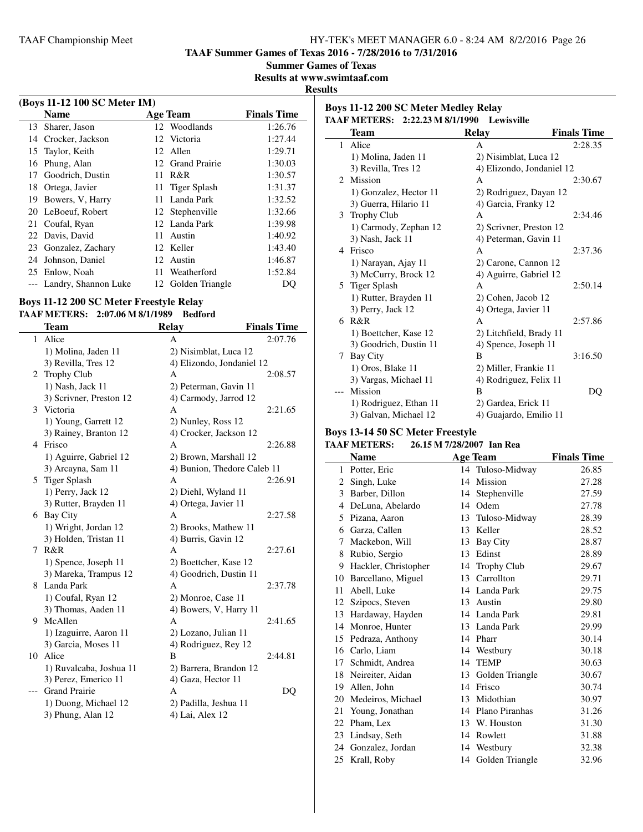**TAAF Summer Games of Texas 2016 - 7/28/2016 to 7/31/2016**

**Summer Games of Texas**

**Results at www.swimtaaf.com**

### **Results**

| (Boys 11-12 100 SC Meter IM) |                          |     |                    |                    |  |  |
|------------------------------|--------------------------|-----|--------------------|--------------------|--|--|
|                              | <b>Name</b>              |     | Age Team           | <b>Finals Time</b> |  |  |
|                              | 13 Sharer, Jason         |     | 12 Woodlands       | 1:26.76            |  |  |
| 14                           | Crocker, Jackson         |     | 12 Victoria        | 1:27.44            |  |  |
| 15                           | Taylor, Keith            |     | 12 Allen           | 1:29.71            |  |  |
|                              | 16 Phung, Alan           |     | 12 Grand Prairie   | 1:30.03            |  |  |
| 17                           | Goodrich, Dustin         | 11. | R&R                | 1:30.57            |  |  |
| 18                           | Ortega, Javier           |     | 11 Tiger Splash    | 1:31.37            |  |  |
| 19                           | Bowers, V, Harry         |     | 11 Landa Park      | 1:32.52            |  |  |
| 20                           | LeBoeuf, Robert          |     | 12 Stephenville    | 1:32.66            |  |  |
| 21                           | Coufal, Ryan             |     | 12 Landa Park      | 1:39.98            |  |  |
|                              | 22 Davis, David          | 11. | Austin             | 1:40.92            |  |  |
| 23                           | Gonzalez, Zachary        |     | 12 Keller          | 1:43.40            |  |  |
| 24                           | Johnson, Daniel          |     | 12 Austin          | 1:46.87            |  |  |
|                              | 25 Enlow, Noah           | 11. | Weatherford        | 1:52.84            |  |  |
|                              | --- Landry, Shannon Luke |     | 12 Golden Triangle | DO                 |  |  |

## **Boys 11-12 200 SC Meter Freestyle Relay**

#### **TAAF METERS: 2:07.06 M 8/1/1989 Bedford**

|    | <b>Team</b>             | <b>Relay</b>                | <b>Finals Time</b> |
|----|-------------------------|-----------------------------|--------------------|
| 1  | Alice                   | A                           | 2:07.76            |
|    | 1) Molina, Jaden 11     | 2) Nisimblat, Luca 12       |                    |
|    | 3) Revilla, Tres 12     | 4) Elizondo, Jondaniel 12   |                    |
|    | 2 Trophy Club           | A                           | 2:08.57            |
|    | 1) Nash, Jack 11        | 2) Peterman, Gavin 11       |                    |
|    | 3) Scrivner, Preston 12 | 4) Carmody, Jarrod 12       |                    |
|    | 3 Victoria              | A                           | 2:21.65            |
|    | 1) Young, Garrett 12    | 2) Nunley, Ross 12          |                    |
|    | 3) Rainey, Branton 12   | 4) Crocker, Jackson 12      |                    |
|    | 4 Frisco                | A                           | 2:26.88            |
|    | 1) Aguirre, Gabriel 12  | 2) Brown, Marshall 12       |                    |
|    | 3) Arcayna, Sam 11      | 4) Bunion, Thedore Caleb 11 |                    |
| 5  | <b>Tiger Splash</b>     | A                           | 2:26.91            |
|    | 1) Perry, Jack 12       | 2) Diehl, Wyland 11         |                    |
|    | 3) Rutter, Brayden 11   | 4) Ortega, Javier 11        |                    |
|    | 6 Bay City              | A                           | 2:27.58            |
|    | 1) Wright, Jordan 12    | 2) Brooks, Mathew 11        |                    |
|    | 3) Holden, Tristan 11   | 4) Burris, Gavin 12         |                    |
| 7  | R&R                     | A                           | 2:27.61            |
|    | 1) Spence, Joseph 11    | 2) Boettcher, Kase 12       |                    |
|    | 3) Mareka, Trampus 12   | 4) Goodrich, Dustin 11      |                    |
|    | 8 Landa Park            | A                           | 2:37.78            |
|    | 1) Coufal, Ryan 12      | 2) Monroe, Case 11          |                    |
|    | 3) Thomas, Aaden 11     | 4) Bowers, V, Harry 11      |                    |
| 9  | McAllen                 | A                           | 2:41.65            |
|    | 1) Izaguirre, Aaron 11  | 2) Lozano, Julian 11        |                    |
|    | 3) Garcia, Moses 11     | 4) Rodriguez, Rey 12        |                    |
| 10 | Alice                   | B                           | 2:44.81            |
|    | 1) Ruvalcaba, Joshua 11 | 2) Barrera, Brandon 12      |                    |
|    | 3) Perez, Emerico 11    | 4) Gaza, Hector 11          |                    |
|    | <b>Grand Prairie</b>    | A                           | DQ                 |
|    | 1) Duong, Michael 12    | 2) Padilla, Jeshua 11       |                    |
|    | 3) Phung, Alan 12       | 4) Lai, Alex 12             |                    |
|    |                         |                             |                    |

**Boys 11-12 200 SC Meter Medley Relay TAAF METERS: 2:22.23 M 8/1/1990 Lewisville**

|                | $2.22320$ M $0.11222$  |                           |                    |
|----------------|------------------------|---------------------------|--------------------|
|                | Team                   | <b>Relay</b>              | <b>Finals Time</b> |
| $\mathbf{1}$   | Alice                  | A                         | 2:28.35            |
|                | 1) Molina, Jaden 11    | 2) Nisimblat, Luca 12     |                    |
|                | 3) Revilla, Tres 12    | 4) Elizondo, Jondaniel 12 |                    |
| $\mathfrak{D}$ | Mission                | A                         | 2:30.67            |
|                | 1) Gonzalez, Hector 11 | 2) Rodriguez, Dayan 12    |                    |
|                | 3) Guerra, Hilario 11  | 4) Garcia, Franky 12      |                    |
|                | 3 Trophy Club          | A                         | 2:34.46            |
|                | 1) Carmody, Zephan 12  | 2) Scrivner, Preston 12   |                    |
|                | 3) Nash, Jack 11       | 4) Peterman, Gavin 11     |                    |
| 4              | Frisco                 | A                         | 2:37.36            |
|                | 1) Narayan, Ajay 11    | 2) Carone, Cannon 12      |                    |
|                | 3) McCurry, Brock 12   | 4) Aguirre, Gabriel 12    |                    |
|                | 5 Tiger Splash         | A                         | 2:50.14            |
|                | 1) Rutter, Brayden 11  | 2) Cohen, Jacob 12        |                    |
|                | 3) Perry, Jack 12      | 4) Ortega, Javier 11      |                    |
|                | 6 R&R                  | A                         | 2:57.86            |
|                | 1) Boettcher, Kase 12  | 2) Litchfield, Brady 11   |                    |
|                | 3) Goodrich, Dustin 11 | 4) Spence, Joseph 11      |                    |
| 7              | Bay City               | B                         | 3:16.50            |
|                | 1) Oros, Blake 11      | 2) Miller, Frankie 11     |                    |
|                | 3) Vargas, Michael 11  | 4) Rodriguez, Felix 11    |                    |
| $---$          | Mission                | B                         | DQ                 |
|                | 1) Rodriguez, Ethan 11 | 2) Gardea, Erick 11       |                    |
|                | 3) Galvan, Michael 12  | 4) Guajardo, Emilio 11    |                    |

# **Boys 13-14 50 SC Meter Freestyle**

# **TAAF METERS: 26.15 M 7/28/2007 Ian Rea**

|    | Name                 |    | <b>Age Team</b>    | <b>Finals Time</b> |
|----|----------------------|----|--------------------|--------------------|
| 1  | Potter, Eric         |    | 14 Tuloso-Midway   | 26.85              |
| 2  | Singh, Luke          | 14 | Mission            | 27.28              |
| 3  | Barber, Dillon       | 14 | Stephenville       | 27.59              |
| 4  | DeLuna, Abelardo     | 14 | Odem               | 27.78              |
| 5  | Pizana, Aaron        | 13 | Tuloso-Midway      | 28.39              |
| 6  | Garza, Callen        | 13 | Keller             | 28.52              |
| 7  | Mackebon, Will       | 13 | <b>Bay City</b>    | 28.87              |
| 8  | Rubio, Sergio        | 13 | Edinst             | 28.89              |
| 9  | Hackler, Christopher | 14 | <b>Trophy Club</b> | 29.67              |
| 10 | Barcellano, Miguel   | 13 | Carrollton         | 29.71              |
| 11 | Abell, Luke          |    | 14 Landa Park      | 29.75              |
| 12 | Szipocs, Steven      | 13 | Austin             | 29.80              |
| 13 | Hardaway, Hayden     |    | 14 Landa Park      | 29.81              |
| 14 | Monroe, Hunter       |    | 13 Landa Park      | 29.99              |
| 15 | Pedraza, Anthony     |    | 14 Pharr           | 30.14              |
| 16 | Carlo, Liam          | 14 | Westbury           | 30.18              |
| 17 | Schmidt, Andrea      | 14 | <b>TEMP</b>        | 30.63              |
| 18 | Neireiter, Aidan     | 13 | Golden Triangle    | 30.67              |
| 19 | Allen, John          | 14 | Frisco             | 30.74              |
| 20 | Medeiros, Michael    | 13 | Midothian          | 30.97              |
| 21 | Young, Jonathan      |    | 14 Plano Piranhas  | 31.26              |
| 22 | Pham, Lex            |    | 13 W. Houston      | 31.30              |
| 23 | Lindsay, Seth        |    | 14 Rowlett         | 31.88              |
| 24 | Gonzalez, Jordan     | 14 | Westbury           | 32.38              |
| 25 | Krall, Roby          | 14 | Golden Triangle    | 32.96              |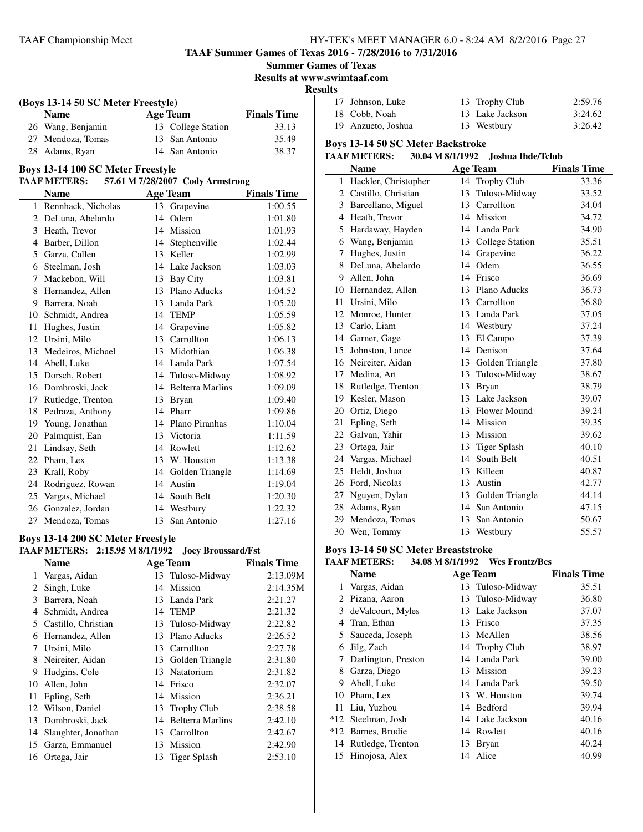**TAAF Summer Games of Texas 2016 - 7/28/2016 to 7/31/2016**

**Results at www.swimtaaf.com**

**Results**

| (Boys 13-14 50 SC Meter Freestyle) |                   |                    |                    |  |  |  |
|------------------------------------|-------------------|--------------------|--------------------|--|--|--|
|                                    | <b>Name</b>       | <b>Age Team</b>    | <b>Finals Time</b> |  |  |  |
|                                    | 26 Wang, Benjamin | 13 College Station | 33.13              |  |  |  |
|                                    | 27 Mendoza, Tomas | 13 San Antonio     | 35.49              |  |  |  |
|                                    | 28 Adams, Ryan    | 14 San Antonio     | 38.37              |  |  |  |

#### **Boys 13-14 100 SC Meter Freestyle**

J.

### **TAAF METERS: 57.61 M 7/28/2007 Cody Armstrong**

|    | <b>Name</b>        |    | <b>Age Team</b>         | <b>Finals Time</b> |
|----|--------------------|----|-------------------------|--------------------|
| 1  | Rennhack, Nicholas | 13 | Grapevine               | 1:00.55            |
| 2  | DeLuna, Abelardo   | 14 | Odem                    | 1:01.80            |
| 3  | Heath, Trevor      | 14 | Mission                 | 1:01.93            |
| 4  | Barber, Dillon     | 14 | Stephenville            | 1:02.44            |
| 5  | Garza, Callen      | 13 | Keller                  | 1:02.99            |
| 6  | Steelman, Josh     | 14 | Lake Jackson            | 1:03.03            |
| 7  | Mackebon, Will     | 13 | Bay City                | 1:03.81            |
| 8  | Hernandez, Allen   | 13 | Plano Aducks            | 1:04.52            |
| 9  | Barrera, Noah      | 13 | Landa Park              | 1:05.20            |
| 10 | Schmidt, Andrea    | 14 | <b>TEMP</b>             | 1:05.59            |
| 11 | Hughes, Justin     | 14 | Grapevine               | 1:05.82            |
| 12 | Ursini, Milo       | 13 | Carrollton              | 1:06.13            |
| 13 | Medeiros, Michael  | 13 | Midothian               | 1:06.38            |
| 14 | Abell, Luke        | 14 | Landa Park              | 1:07.54            |
| 15 | Dorsch, Robert     | 14 | Tuloso-Midway           | 1:08.92            |
| 16 | Dombroski, Jack    | 14 | <b>Belterra Marlins</b> | 1:09.09            |
| 17 | Rutledge, Trenton  | 13 | <b>Bryan</b>            | 1:09.40            |
| 18 | Pedraza, Anthony   | 14 | Pharr                   | 1:09.86            |
| 19 | Young, Jonathan    | 14 | Plano Piranhas          | 1:10.04            |
| 20 | Palmquist, Ean     | 13 | Victoria                | 1:11.59            |
| 21 | Lindsay, Seth      | 14 | Rowlett                 | 1:12.62            |
| 22 | Pham, Lex          | 13 | W. Houston              | 1:13.38            |
| 23 | Krall, Roby        | 14 | Golden Triangle         | 1:14.69            |
| 24 | Rodriguez, Rowan   | 14 | Austin                  | 1:19.04            |
| 25 | Vargas, Michael    | 14 | South Belt              | 1:20.30            |
| 26 | Gonzalez, Jordan   | 14 | Westbury                | 1:22.32            |
| 27 | Mendoza, Tomas     | 13 | San Antonio             | 1:27.16            |

#### **Boys 13-14 200 SC Meter Freestyle**

## **TAAF METERS: 2:15.95 M 8/1/1992 Joey Broussard/Fst**

| Name                          |    |                         | <b>Finals Time</b>                                                                                                                                                                                         |
|-------------------------------|----|-------------------------|------------------------------------------------------------------------------------------------------------------------------------------------------------------------------------------------------------|
| Vargas, Aidan<br>$\mathbf{1}$ |    |                         | 2:13.09M                                                                                                                                                                                                   |
| Singh, Luke                   |    |                         | 2:14.35M                                                                                                                                                                                                   |
| Barrera, Noah                 |    |                         | 2:21.27                                                                                                                                                                                                    |
| Schmidt, Andrea               | 14 |                         | 2:21.32                                                                                                                                                                                                    |
| Castillo, Christian           |    |                         | 2:22.82                                                                                                                                                                                                    |
| Hernandez, Allen              | 13 | Plano Aducks            | 2:26.52                                                                                                                                                                                                    |
| Ursini, Milo                  |    |                         | 2:27.78                                                                                                                                                                                                    |
| Neireiter, Aidan              |    | Golden Triangle         | 2:31.80                                                                                                                                                                                                    |
| Hudgins, Cole                 | 13 | Natatorium              | 2:31.82                                                                                                                                                                                                    |
| Allen, John                   | 14 |                         | 2:32.07                                                                                                                                                                                                    |
| Epling, Seth                  |    |                         | 2:36.21                                                                                                                                                                                                    |
| Wilson, Daniel                |    |                         | 2:38.58                                                                                                                                                                                                    |
| Dombroski, Jack               | 14 | <b>Belterra Marlins</b> | 2:42.10                                                                                                                                                                                                    |
| 14 Slaughter, Jonathan        |    |                         | 2:42.67                                                                                                                                                                                                    |
| Garza, Emmanuel               | 13 | Mission                 | 2:42.90                                                                                                                                                                                                    |
| Ortega, Jair                  |    |                         | 2:53.10                                                                                                                                                                                                    |
|                               |    |                         | <b>Age Team</b><br>13 Tuloso-Midway<br>14 Mission<br>13 Landa Park<br><b>TEMP</b><br>13 Tuloso-Midway<br>13 Carrollton<br>13<br>Frisco<br>14 Mission<br>13 Trophy Club<br>13 Carrollton<br>13 Tiger Splash |

| 17 Johnson, Luke   | 13 Trophy Club  | 2:59.76 |
|--------------------|-----------------|---------|
| 18 Cobb, Noah      | 13 Lake Jackson | 3:24.62 |
| 19 Anzueto, Joshua | 13 Westbury     | 3:26.42 |

#### **Boys 13-14 50 SC Meter Backstroke**

# **TAAF METERS: 30.04 M 8/1/1992 Joshua Ihde/Tclub**

|    | <b>Name</b>          |    | <b>Age Team</b>        | <b>Finals Time</b> |
|----|----------------------|----|------------------------|--------------------|
| 1  | Hackler, Christopher | 14 | <b>Trophy Club</b>     | 33.36              |
| 2  | Castillo, Christian  | 13 | Tuloso-Midway          | 33.52              |
|    | 3 Barcellano, Miguel | 13 | Carrollton             | 34.04              |
| 4  | Heath, Trevor        |    | 14 Mission             | 34.72              |
| 5  | Hardaway, Hayden     |    | 14 Landa Park          | 34.90              |
| 6  | Wang, Benjamin       | 13 | <b>College Station</b> | 35.51              |
| 7  | Hughes, Justin       | 14 | Grapevine              | 36.22              |
| 8  | DeLuna, Abelardo     | 14 | Odem                   | 36.55              |
| 9  | Allen, John          | 14 | Frisco                 | 36.69              |
|    | 10 Hernandez, Allen  |    | 13 Plano Aducks        | 36.73              |
| 11 | Ursini, Milo         | 13 | Carrollton             | 36.80              |
| 12 | Monroe, Hunter       |    | 13 Landa Park          | 37.05              |
|    | 13 Carlo, Liam       |    | 14 Westbury            | 37.24              |
|    | 14 Garner, Gage      | 13 | El Campo               | 37.39              |
|    | 15 Johnston, Lance   |    | 14 Denison             | 37.64              |
| 16 | Neireiter, Aidan     | 13 | Golden Triangle        | 37.80              |
| 17 | Medina, Art          | 13 | Tuloso-Midway          | 38.67              |
|    | 18 Rutledge, Trenton | 13 | <b>Bryan</b>           | 38.79              |
| 19 | Kesler, Mason        | 13 | Lake Jackson           | 39.07              |
|    | 20 Ortiz, Diego      |    | 13 Flower Mound        | 39.24              |
| 21 | Epling, Seth         |    | 14 Mission             | 39.35              |
| 22 | Galvan, Yahir        | 13 | Mission                | 39.62              |
|    | 23 Ortega, Jair      | 13 | Tiger Splash           | 40.10              |
|    | 24 Vargas, Michael   | 14 | South Belt             | 40.51              |
| 25 | Heldt, Joshua        | 13 | Killeen                | 40.87              |
| 26 | Ford, Nicolas        | 13 | Austin                 | 42.77              |
| 27 | Nguyen, Dylan        |    | 13 Golden Triangle     | 44.14              |
| 28 | Adams, Ryan          |    | 14 San Antonio         | 47.15              |
| 29 | Mendoza, Tomas       | 13 | San Antonio            | 50.67              |
| 30 | Wen, Tommy           | 13 | Westbury               | 55.57              |

#### **Boys 13-14 50 SC Meter Breaststroke**

#### **TAAF METERS: 34.08 M 8/1/1992 Wes Frontz/Bcs**

|                       | <b>Name</b>         |    | <b>Age Team</b>  | <b>Finals Time</b> |
|-----------------------|---------------------|----|------------------|--------------------|
| 1                     | Vargas, Aidan       |    | 13 Tuloso-Midway | 35.51              |
| $\mathbf{2}^{\prime}$ | Pizana, Aaron       |    | 13 Tuloso-Midway | 36.80              |
| 3                     | de Valcourt, Myles  |    | 13 Lake Jackson  | 37.07              |
| 4                     | Tran, Ethan         | 13 | Frisco           | 37.35              |
|                       | 5 Sauceda, Joseph   | 13 | McAllen          | 38.56              |
| 6                     | Jilg, Zach          |    | 14 Trophy Club   | 38.97              |
|                       | Darlington, Preston | 14 | Landa Park       | 39.00              |
| 8                     | Garza, Diego        | 13 | Mission          | 39.23              |
| 9                     | Abell, Luke         |    | 14 Landa Park    | 39.50              |
| 10                    | Pham, Lex           |    | 13 W. Houston    | 39.74              |
|                       | 11 Liu, Yuzhou      | 14 | Bedford          | 39.94              |
|                       | *12 Steelman, Josh  |    | 14 Lake Jackson  | 40.16              |
|                       | *12 Barnes, Brodie  |    | 14 Rowlett       | 40.16              |
| 14                    | Rutledge, Trenton   | 13 | <b>Bryan</b>     | 40.24              |
|                       | 15 Hinojosa, Alex   | 14 | Alice            | 40.99              |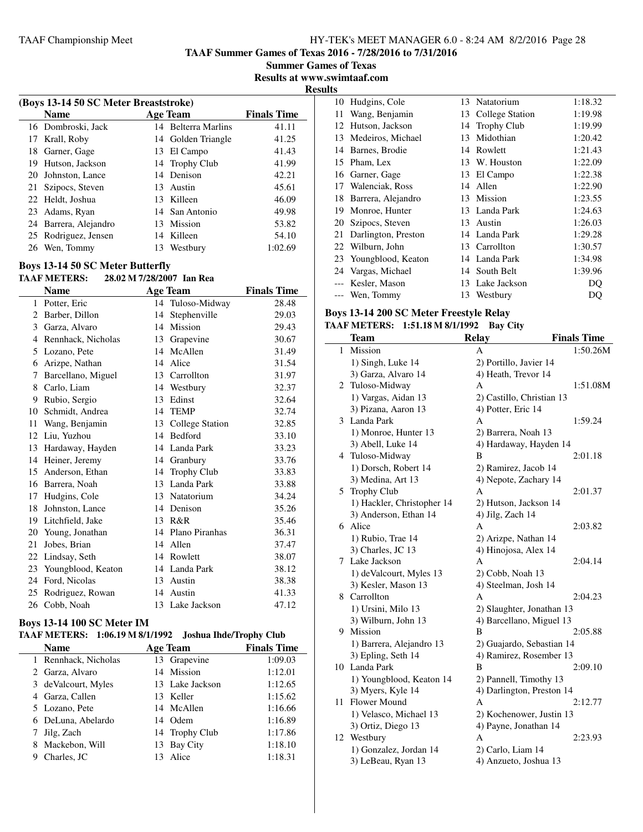**TAAF Summer Games of Texas 2016 - 7/28/2016 to 7/31/2016**

**Summer Games of Texas Results at www.swimtaaf.com**

**Results**

 $\sim$ 

|    | (Boys 13-14 50 SC Meter Breaststroke) |    |                     |                    |  |
|----|---------------------------------------|----|---------------------|--------------------|--|
|    | <b>Name</b>                           |    | <b>Age Team</b>     | <b>Finals Time</b> |  |
|    | 16 Dombroski, Jack                    |    | 14 Belterra Marlins | 41.11              |  |
|    | 17 Krall, Roby                        |    | 14 Golden Triangle  | 41.25              |  |
|    | 18 Garner, Gage                       |    | 13 El Campo         | 41.43              |  |
| 19 | Hutson, Jackson                       |    | 14 Trophy Club      | 41.99              |  |
| 20 | Johnston, Lance                       |    | 14 Denison          | 42.21              |  |
|    | 21 Szipocs, Steven                    |    | 13 Austin           | 45.61              |  |
|    | 22 Heldt, Joshua                      |    | 13 Killeen          | 46.09              |  |
| 23 | Adams, Ryan                           |    | 14 San Antonio      | 49.98              |  |
|    | 24 Barrera, Alejandro                 |    | 13 Mission          | 53.82              |  |
|    | 25 Rodriguez, Jensen                  |    | 14 Killeen          | 54.10              |  |
| 26 | Wen, Tommy                            | 13 | Westbury            | 1:02.69            |  |

#### **Boys 13-14 50 SC Meter Butterfly**

## **TAAF METERS: 28.02 M 7/28/2007 Ian Rea**

|    | <b>Name</b>        |    | <b>Age Team</b>        | <b>Finals Time</b> |
|----|--------------------|----|------------------------|--------------------|
| 1  | Potter, Eric       |    | 14 Tuloso-Midway       | 28.48              |
| 2  | Barber, Dillon     | 14 | Stephenville           | 29.03              |
| 3  | Garza, Alvaro      | 14 | Mission                | 29.43              |
| 4  | Rennhack, Nicholas | 13 | Grapevine              | 30.67              |
| 5  | Lozano, Pete       | 14 | McAllen                | 31.49              |
| 6  | Arizpe, Nathan     | 14 | Alice                  | 31.54              |
| 7  | Barcellano, Miguel | 13 | Carrollton             | 31.97              |
| 8  | Carlo, Liam        | 14 | Westbury               | 32.37              |
| 9  | Rubio, Sergio      | 13 | Edinst                 | 32.64              |
| 10 | Schmidt, Andrea    | 14 | <b>TEMP</b>            | 32.74              |
| 11 | Wang, Benjamin     | 13 | <b>College Station</b> | 32.85              |
| 12 | Liu, Yuzhou        | 14 | <b>Bedford</b>         | 33.10              |
| 13 | Hardaway, Hayden   | 14 | Landa Park             | 33.23              |
| 14 | Heiner, Jeremy     | 14 | Granbury               | 33.76              |
| 15 | Anderson, Ethan    | 14 | <b>Trophy Club</b>     | 33.83              |
| 16 | Barrera, Noah      | 13 | Landa Park             | 33.88              |
| 17 | Hudgins, Cole      | 13 | Natatorium             | 34.24              |
| 18 | Johnston, Lance    | 14 | Denison                | 35.26              |
| 19 | Litchfield, Jake   | 13 | R&R                    | 35.46              |
| 20 | Young, Jonathan    | 14 | Plano Piranhas         | 36.31              |
| 21 | Jobes, Brian       | 14 | Allen                  | 37.47              |
| 22 | Lindsay, Seth      | 14 | Rowlett                | 38.07              |
| 23 | Youngblood, Keaton |    | 14 Landa Park          | 38.12              |
| 24 | Ford, Nicolas      | 13 | Austin                 | 38.38              |
| 25 | Rodriguez, Rowan   | 14 | Austin                 | 41.33              |
|    | 26 Cobb, Noah      |    | 13 Lake Jackson        | 47.12              |

#### **Boys 13-14 100 SC Meter IM**

#### **TAAF METERS: 1:06.19 M 8/1/1992 Joshua Ihde/Trophy Club**

|   | <b>Name</b>          | <b>Age Team</b> | <b>Finals Time</b> |
|---|----------------------|-----------------|--------------------|
|   | 1 Rennhack, Nicholas | 13 Grapevine    | 1:09.03            |
|   | 2 Garza, Alvaro      | 14 Mission      | 1:12.01            |
|   | 3 de Valcourt, Myles | 13 Lake Jackson | 1:12.65            |
|   | 4 Garza, Callen      | 13 Keller       | 1:15.62            |
|   | 5 Lozano, Pete       | 14 McAllen      | 1:16.66            |
|   | 6 DeLuna, Abelardo   | 14 Odem         | 1:16.89            |
|   | 7 Jilg, Zach         | 14 Trophy Club  | 1:17.86            |
|   | 8 Mackebon, Will     | 13 Bay City     | 1:18.10            |
| 9 | Charles, JC          | Alice           | 1:18.31            |

| 10 | Hudgins, Cole         |    | 13 Natatorium      | 1:18.32 |
|----|-----------------------|----|--------------------|---------|
| 11 | Wang, Benjamin        | 13 | College Station    | 1:19.98 |
| 12 | Hutson, Jackson       | 14 | <b>Trophy Club</b> | 1:19.99 |
| 13 | Medeiros, Michael     | 13 | Midothian          | 1:20.42 |
| 14 | Barnes, Brodie        | 14 | Rowlett            | 1:21.43 |
| 15 | Pham, Lex             |    | 13 W. Houston      | 1:22.09 |
|    | 16 Garner, Gage       | 13 | El Campo           | 1:22.38 |
| 17 | Walenciak, Ross       | 14 | Allen              | 1:22.90 |
| 18 | Barrera, Alejandro    |    | 13 Mission         | 1:23.55 |
| 19 | Monroe, Hunter        |    | 13 Landa Park      | 1:24.63 |
| 20 | Szipocs, Steven       | 13 | Austin             | 1:26.03 |
| 21 | Darlington, Preston   |    | 14 Landa Park      | 1:29.28 |
| 22 | Wilburn, John         |    | 13 Carrollton      | 1:30.57 |
|    | 23 Youngblood, Keaton |    | 14 Landa Park      | 1:34.98 |
| 24 | Vargas, Michael       |    | 14 South Belt      | 1:39.96 |
|    | Kesler, Mason         | 13 | Lake Jackson       | DO      |
|    | Wen, Tommy            | 13 | Westbury           | DQ      |
|    |                       |    |                    |         |

#### **Boys 13-14 200 SC Meter Freestyle Relay TAAF METERS: 1:51.18 M 8/1/1992 Bay City**

|    | <b>Team</b>                | <b>Relay</b>              | <b>Finals Time</b> |
|----|----------------------------|---------------------------|--------------------|
| 1  | Mission                    | А                         | 1:50.26M           |
|    |                            |                           |                    |
|    | 1) Singh, Luke 14          | 2) Portillo, Javier 14    |                    |
|    | 3) Garza, Alvaro 14        | 4) Heath, Trevor 14       |                    |
| 2  | Tuloso-Midway              | А                         | 1:51.08M           |
|    | 1) Vargas, Aidan 13        | 2) Castillo, Christian 13 |                    |
|    | 3) Pizana, Aaron 13        | 4) Potter, Eric 14        |                    |
| 3  | Landa Park                 | A                         | 1:59.24            |
|    | 1) Monroe, Hunter 13       | 2) Barrera, Noah 13       |                    |
|    | 3) Abell, Luke 14          | 4) Hardaway, Hayden 14    |                    |
| 4  | Tuloso-Midway              | B                         | 2:01.18            |
|    | 1) Dorsch, Robert 14       | 2) Ramirez, Jacob 14      |                    |
|    | 3) Medina, Art 13          | 4) Nepote, Zachary 14     |                    |
| 5  | <b>Trophy Club</b>         | А                         | 2:01.37            |
|    | 1) Hackler, Christopher 14 | 2) Hutson, Jackson 14     |                    |
|    | 3) Anderson, Ethan 14      | 4) Jilg, Zach 14          |                    |
| 6  | Alice                      | A                         | 2:03.82            |
|    | 1) Rubio, Trae 14          | 2) Arizpe, Nathan 14      |                    |
|    | 3) Charles, JC 13          | 4) Hinojosa, Alex 14      |                    |
| 7  | Lake Jackson               | A                         | 2:04.14            |
|    | 1) deValcourt, Myles 13    | 2) Cobb, Noah 13          |                    |
|    | 3) Kesler, Mason 13        | 4) Steelman, Josh 14      |                    |
| 8  | Carrollton                 | A                         | 2:04.23            |
|    | 1) Ursini, Milo 13         | 2) Slaughter, Jonathan 13 |                    |
|    | 3) Wilburn, John 13        | 4) Barcellano, Miguel 13  |                    |
| 9  | Mission                    | B                         | 2:05.88            |
|    | 1) Barrera, Alejandro 13   | 2) Guajardo, Sebastian 14 |                    |
|    | 3) Epling, Seth 14         | 4) Ramirez, Rosember 13   |                    |
| 10 | Landa Park                 | B                         | 2:09.10            |
|    | 1) Youngblood, Keaton 14   | 2) Pannell, Timothy 13    |                    |
|    | 3) Myers, Kyle 14          | 4) Darlington, Preston 14 |                    |
| 11 | Flower Mound               | A                         | 2:12.77            |
|    | 1) Velasco, Michael 13     | 2) Kochenower, Justin 13  |                    |
|    | 3) Ortiz, Diego 13         | 4) Payne, Jonathan 14     |                    |
| 12 | Westbury                   | A                         | 2:23.93            |
|    | 1) Gonzalez, Jordan 14     | 2) Carlo, Liam 14         |                    |
|    | 3) LeBeau, Ryan 13         | 4) Anzueto, Joshua 13     |                    |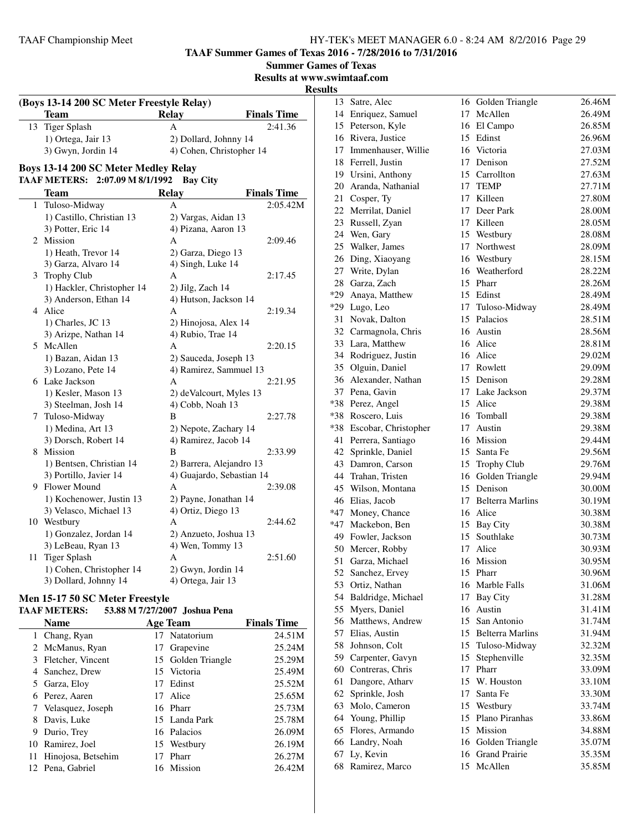**TAAF Summer Games of Texas 2016 - 7/28/2016 to 7/31/2016**

**Summer Games of Texas Results at www.swimtaaf.com**

# **Results**

|    | (Boys 13-14 200 SC Meter Freestyle Relay) |                           |                    |
|----|-------------------------------------------|---------------------------|--------------------|
|    | Team                                      | <b>Relay</b>              | <b>Finals Time</b> |
| 13 | <b>Tiger Splash</b>                       | A                         | 2:41.36            |
|    | 1) Ortega, Jair 13                        | 2) Dollard, Johnny 14     |                    |
|    | 3) Gwyn, Jordin 14                        | 4) Cohen, Christopher 14  |                    |
|    | Boys 13-14 200 SC Meter Medley Relay      |                           |                    |
|    | TAAF METERS: 2:07.09 M 8/1/1992           | <b>Bay City</b>           |                    |
|    | <b>Team</b>                               | <b>Relay</b>              | <b>Finals Time</b> |
|    | 1 Tuloso-Midway                           | A                         | 2:05.42M           |
|    | 1) Castillo, Christian 13                 | 2) Vargas, Aidan 13       |                    |
|    | 3) Potter, Eric 14                        | 4) Pizana, Aaron 13       |                    |
|    | 2 Mission                                 | A                         | 2:09.46            |
|    | 1) Heath, Trevor 14                       | 2) Garza, Diego 13        |                    |
|    | 3) Garza, Alvaro 14                       | 4) Singh, Luke 14         |                    |
|    | 3 Trophy Club                             | А                         | 2:17.45            |
|    | 1) Hackler, Christopher 14                | 2) Jilg, Zach 14          |                    |
|    | 3) Anderson, Ethan 14                     | 4) Hutson, Jackson 14     |                    |
|    | 4 Alice                                   | А                         | 2:19.34            |
|    | 1) Charles, JC 13                         | 2) Hinojosa, Alex 14      |                    |
|    | 3) Arizpe, Nathan 14                      | 4) Rubio, Trae 14         |                    |
|    | 5 McAllen                                 | A                         | 2:20.15            |
|    | 1) Bazan, Aidan 13                        | 2) Sauceda, Joseph 13     |                    |
|    | 3) Lozano, Pete 14                        | 4) Ramirez, Sammuel 13    |                    |
|    | 6 Lake Jackson                            | A                         | 2:21.95            |
|    | 1) Kesler, Mason 13                       | 2) deValcourt, Myles 13   |                    |
|    | 3) Steelman, Josh 14                      | 4) Cobb, Noah 13          |                    |
|    | 7 Tuloso-Midway                           | В                         | 2:27.78            |
|    | 1) Medina, Art 13                         | 2) Nepote, Zachary 14     |                    |
|    | 3) Dorsch, Robert 14                      | 4) Ramirez, Jacob 14      |                    |
|    | 8 Mission                                 | B                         | 2:33.99            |
|    | 1) Bentsen, Christian 14                  | 2) Barrera, Alejandro 13  |                    |
|    | 3) Portillo, Javier 14                    | 4) Guajardo, Sebastian 14 |                    |
|    | 9 Flower Mound                            | A                         | 2:39.08            |
|    | 1) Kochenower, Justin 13                  | 2) Payne, Jonathan 14     |                    |
|    | 3) Velasco, Michael 13                    | 4) Ortiz, Diego 13        |                    |
|    | 10 Westbury                               | A                         | 2:44.62            |
|    | 1) Gonzalez, Jordan 14                    | 2) Anzueto, Joshua 13     |                    |
|    | 3) LeBeau, Ryan 13                        | 4) Wen, Tommy 13          |                    |
| 11 | <b>Tiger Splash</b>                       | A                         | 2:51.60            |
|    | 1) Cohen, Christopher 14                  | 2) Gwyn, Jordin 14        |                    |
|    | 3) Dollard, Johnny 14                     | 4) Ortega, Jair 13        |                    |
|    |                                           |                           |                    |

# **Men 15-17 50 SC Meter Freestyle**

# **TAAF METERS: 53.88 M 7/27/2007 Joshua Pena**

|   | Name                  |    | <b>Age Team</b>    | <b>Finals Time</b> |
|---|-----------------------|----|--------------------|--------------------|
|   | 1 Chang, Ryan         |    | 17 Natatorium      | 24.51M             |
|   | 2 McManus, Ryan       | 17 | Grapevine          | 25.24M             |
|   | 3 Fletcher, Vincent   |    | 15 Golden Triangle | 25.29M             |
|   | 4 Sanchez, Drew       |    | 15 Victoria        | 25.49M             |
|   | 5 Garza, Eloy         | 17 | Edinst             | 25.52M             |
|   | 6 Perez, Aaren        | 17 | Alice              | 25.65M             |
|   | 7 Velasquez, Joseph   |    | 16 Pharr           | 25.73M             |
|   | 8 Davis, Luke         |    | 15 Landa Park      | 25.78M             |
| 9 | Durio, Trey           |    | 16 Palacios        | 26.09M             |
|   | 10 Ramirez, Joel      |    | 15 Westbury        | 26.19M             |
|   | 11 Hinojosa, Betsehim | 17 | Pharr              | 26.27M             |
|   | 12 Pena, Gabriel      |    | 16 Mission         | 26.42M             |

|     | 13 Satre, Alec         | 16 | Golden Triangle     | 26.46M |
|-----|------------------------|----|---------------------|--------|
|     | 14 Enriquez, Samuel    | 17 | McAllen             | 26.49M |
|     | 15 Peterson, Kyle      | 16 | El Campo            | 26.85M |
|     | 16 Rivera, Justice     | 15 | Edinst              | 26.96M |
|     | 17 Immenhauser, Willie | 16 | Victoria            | 27.03M |
|     | 18 Ferrell, Justin     | 17 | Denison             | 27.52M |
|     | 19 Ursini, Anthony     | 15 | Carrollton          | 27.63M |
|     | 20 Aranda, Nathanial   | 17 | TEMP                | 27.71M |
|     | 21 Cosper, Ty          | 17 | Killeen             | 27.80M |
| 22  | Merrilat, Daniel       |    | 17 Deer Park        | 28.00M |
| 23  | Russell, Zyan          |    | 17 Killeen          | 28.05M |
| 24  | Wen, Gary              | 15 | Westbury            | 28.08M |
|     | 25 Walker, James       |    | 17 Northwest        | 28.09M |
|     | 26 Ding, Xiaoyang      | 16 | Westbury            | 28.15M |
| 27  | Write, Dylan           | 16 | Weatherford         | 28.22M |
|     | 28 Garza, Zach         | 15 | Pharr               | 28.26M |
|     | *29 Anaya, Matthew     |    | 15 Edinst           | 28.49M |
|     | *29 Lugo, Leo          | 17 | Tuloso-Midway       | 28.49M |
| 31  | Novak, Dalton          | 15 | Palacios            | 28.51M |
|     | 32 Carmagnola, Chris   |    | 16 Austin           | 28.56M |
| 33  | Lara, Matthew          |    | 16 Alice            | 28.81M |
|     | 34 Rodriguez, Justin   |    | 16 Alice            | 29.02M |
|     | 35 Olguin, Daniel      |    | 17 Rowlett          | 29.09M |
|     | 36 Alexander, Nathan   |    | 15 Denison          | 29.28M |
| 37  | Pena, Gavin            |    | 17 Lake Jackson     | 29.37M |
| *38 | Perez, Angel           | 15 | Alice               | 29.38M |
| *38 | Roscero, Luis          | 16 | Tomball             | 29.38M |
| *38 | Escobar, Christopher   | 17 | Austin              | 29.38M |
| 41  | Perrera, Santiago      |    | 16 Mission          | 29.44M |
|     | 42 Sprinkle, Daniel    | 15 | Santa Fe            | 29.56M |
| 43  | Damron, Carson         | 15 | <b>Trophy Club</b>  | 29.76M |
|     | 44 Trahan, Tristen     | 16 | Golden Triangle     | 29.94M |
| 45  | Wilson, Montana        |    | 15 Denison          | 30.00M |
| 46  | Elias, Jacob           |    | 17 Belterra Marlins | 30.19M |
|     | *47 Money, Chance      |    | 16 Alice            | 30.38M |
|     | *47 Mackebon, Ben      |    | 15 Bay City         | 30.38M |
|     | 49 Fowler, Jackson     | 15 | Southlake           | 30.73M |
| 50  | Mercer, Robby          | 17 | Alice               | 30.93M |
| 51  | Garza, Michael         | 16 | Mission             | 30.95M |
| 52  | Sanchez, Ervey         | 15 | Pharr               | 30.96M |
|     | 53 Ortiz, Nathan       | 16 | Marble Falls        | 31.06M |
| 54  | Baldridge, Michael     | 17 | <b>Bay City</b>     | 31.28M |
| 55  | Myers, Daniel          | 16 | Austin              | 31.41M |
|     | 56 Matthews, Andrew    |    | 15 San Antonio      | 31.74M |
| 57  | Elias, Austin          |    | 15 Belterra Marlins | 31.94M |
| 58  | Johnson, Colt          | 15 | Tuloso-Midway       | 32.32M |
|     | 59 Carpenter, Gavyn    | 15 | Stephenville        | 32.35M |
| 60  | Contreras, Chris       | 17 | Pharr               | 33.09M |
| 61  | Dangore, Atharv        | 15 | W. Houston          | 33.10M |
| 62  | Sprinkle, Josh         | 17 | Santa Fe            | 33.30M |
| 63  | Molo, Cameron          | 15 | Westbury            | 33.74M |
| 64  | Young, Phillip         | 15 | Plano Piranhas      | 33.86M |
| 65  | Flores, Armando        | 15 | Mission             | 34.88M |
| 66  | Landry, Noah           | 16 | Golden Triangle     | 35.07M |
| 67  | Ly, Kevin              | 16 | Grand Prairie       | 35.35M |
| 68  | Ramirez, Marco         | 15 | McAllen             | 35.85M |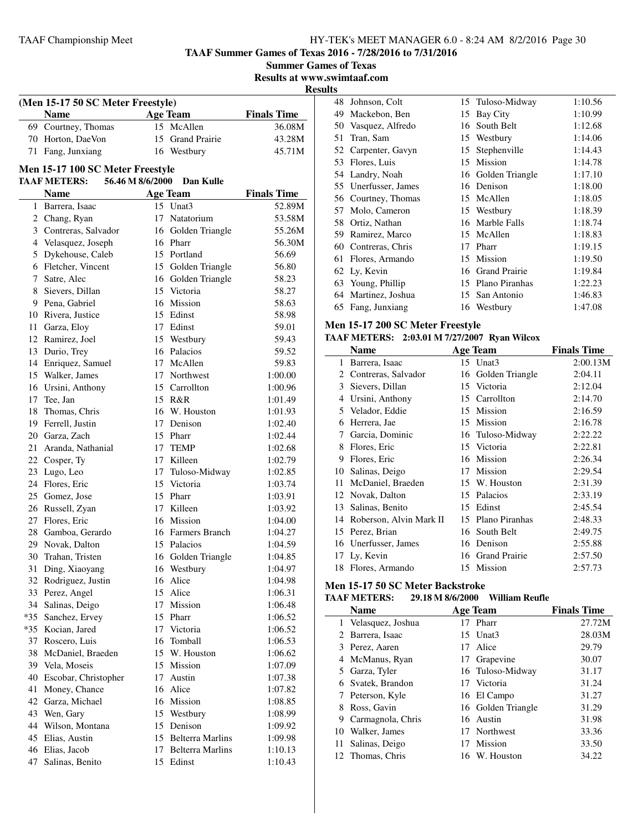**TAAF Summer Games of Texas 2016 - 7/28/2016 to 7/31/2016**

**Summer Games of Texas**

**Results at www.swimtaaf.com**

# **Results**

|                                                                              | (Men 15-17 50 SC Meter Freestyle) |                                                                  |  |  |  |
|------------------------------------------------------------------------------|-----------------------------------|------------------------------------------------------------------|--|--|--|
|                                                                              |                                   | <b>Finals Time</b>                                               |  |  |  |
|                                                                              |                                   | 36.08M                                                           |  |  |  |
|                                                                              |                                   | 43.28M                                                           |  |  |  |
|                                                                              |                                   | 45.71M                                                           |  |  |  |
| <b>Name</b><br>69 Courtney, Thomas<br>70 Horton, DaeVon<br>71 Fang, Junxiang |                                   | <b>Age Team</b><br>15 McAllen<br>15 Grand Prairie<br>16 Westbury |  |  |  |

## **Men 15-17 100 SC Meter Freestyle**

j.

### **TAAF METERS: 56.46 M 8/6/2000 Dan Kulle**

|     | <b>Name</b>             |    | <b>Age Team</b>         | <b>Finals Time</b> |
|-----|-------------------------|----|-------------------------|--------------------|
| 1   | Barrera, Isaac          |    | 15 Unat3                | 52.89M             |
|     | 2 Chang, Ryan           | 17 | Natatorium              | 53.58M             |
|     | 3 Contreras, Salvador   | 16 | Golden Triangle         | 55.26M             |
|     | 4 Velasquez, Joseph     |    | 16 Pharr                | 56.30M             |
| 5   | Dykehouse, Caleb        |    | 15 Portland             | 56.69              |
| 6   | Fletcher, Vincent       | 15 | Golden Triangle         | 56.80              |
| 7   | Satre, Alec             | 16 | Golden Triangle         | 58.23              |
| 8   | Sievers, Dillan         | 15 | Victoria                | 58.27              |
| 9   | Pena, Gabriel           | 16 | Mission                 | 58.63              |
|     | 10 Rivera, Justice      | 15 | Edinst                  | 58.98              |
| 11  | Garza, Eloy             | 17 | Edinst                  | 59.01              |
|     | 12 Ramirez, Joel        | 15 | Westbury                | 59.43              |
|     | 13 Durio, Trey          | 16 | Palacios                | 59.52              |
|     | 14 Enriquez, Samuel     | 17 | McAllen                 | 59.83              |
|     | 15 Walker, James        | 17 | Northwest               | 1:00.00            |
|     | 16 Ursini, Anthony      | 15 | Carrollton              | 1:00.96            |
|     | 17 Tee, Jan             |    | 15 R&R                  | 1:01.49            |
| 18  | Thomas, Chris           |    | 16 W. Houston           | 1:01.93            |
|     | 19 Ferrell, Justin      | 17 | Denison                 | 1:02.40            |
|     | 20 Garza, Zach          |    | 15 Pharr                | 1:02.44            |
| 21  | Aranda, Nathanial       | 17 | <b>TEMP</b>             | 1:02.68            |
|     | 22 Cosper, Ty           | 17 | Killeen                 | 1:02.79            |
|     | 23 Lugo, Leo            | 17 | Tuloso-Midway           | 1:02.85            |
|     | 24 Flores, Eric         | 15 | Victoria                | 1:03.74            |
|     | 25 Gomez, Jose          | 15 | Pharr                   | 1:03.91            |
|     | 26 Russell, Zyan        | 17 | Killeen                 | 1:03.92            |
|     | 27 Flores, Eric         | 16 | Mission                 | 1:04.00            |
| 28  | Gamboa, Gerardo         |    | 16 Farmers Branch       | 1:04.27            |
|     | 29 Novak, Dalton        |    | 15 Palacios             | 1:04.59            |
|     | 30 Trahan, Tristen      | 16 | Golden Triangle         | 1:04.85            |
| 31  | Ding, Xiaoyang          | 16 | Westbury                | 1:04.97            |
| 32  | Rodriguez, Justin       | 16 | Alice                   | 1:04.98            |
| 33  | Perez, Angel            | 15 | Alice                   | 1:06.31            |
| 34  | Salinas, Deigo          | 17 | Mission                 | 1:06.48            |
| *35 | Sanchez, Ervey          | 15 | Pharr                   | 1:06.52            |
| *35 | Kocian, Jared           | 17 | Victoria                | 1:06.52            |
| 37  | Roscero, Luis           | 16 | Tomball                 | 1:06.53            |
| 38  | McDaniel, Braeden       | 15 | W. Houston              | 1:06.62            |
|     | 39 Vela, Moseis         | 15 | Mission                 | 1:07.09            |
|     | 40 Escobar, Christopher | 17 | Austin                  | 1:07.38            |
| 41  | Money, Chance           | 16 | Alice                   | 1:07.82            |
| 42  | Garza, Michael          | 16 | Mission                 | 1:08.85            |
| 43  | Wen, Gary               | 15 | Westbury                | 1:08.99            |
| 44  | Wilson, Montana         | 15 | Denison                 | 1:09.92            |
| 45  | Elias, Austin           | 15 | <b>Belterra Marlins</b> | 1:09.98            |
| 46  | Elias, Jacob            | 17 | <b>Belterra Marlins</b> | 1:10.13            |
| 47  | Salinas, Benito         | 15 | Edinst                  | 1:10.43            |

| 48  | Johnson, Colt        |    | 15 Tuloso-Midway   | 1:10.56 |
|-----|----------------------|----|--------------------|---------|
| 49  | Mackebon, Ben        |    | 15 Bay City        | 1:10.99 |
|     | 50 Vasquez, Alfredo  |    | 16 South Belt      | 1:12.68 |
| 51  | Tran, Sam            |    | 15 Westbury        | 1:14.06 |
|     | 52 Carpenter, Gavyn  | 15 | Stephenville       | 1:14.43 |
| 53  | Flores, Luis         |    | 15 Mission         | 1:14.78 |
|     | 54 Landry, Noah      |    | 16 Golden Triangle | 1:17.10 |
|     | 55 Unerfusser, James |    | 16 Denison         | 1:18.00 |
|     | 56 Courtney, Thomas  |    | 15 McAllen         | 1:18.05 |
| 57  | Molo, Cameron        |    | 15 Westbury        | 1:18.39 |
| 58  | Ortiz, Nathan        |    | 16 Marble Falls    | 1:18.74 |
| 59. | Ramirez, Marco       |    | 15 McAllen         | 1:18.83 |
| 60  | Contreras, Chris     | 17 | Pharr              | 1:19.15 |
| 61  | Flores, Armando      |    | 15 Mission         | 1:19.50 |
|     | 62 Ly, Kevin         |    | 16 Grand Prairie   | 1:19.84 |
| 63  | Young, Phillip       | 15 | Plano Piranhas     | 1:22.23 |
| 64  | Martinez, Joshua     |    | 15 San Antonio     | 1:46.83 |
| 65  | Fang, Junxiang       |    | 16 Westbury        | 1:47.08 |
|     |                      |    |                    |         |

## **Men 15-17 200 SC Meter Freestyle**

# **TAAF METERS: 2:03.01 M 7/27/2007 Ryan Wilcox**

|                             | Name                    |    | <b>Age Team</b>      | <b>Finals Time</b> |
|-----------------------------|-------------------------|----|----------------------|--------------------|
| 1                           | Barrera, Isaac          |    | 15 Unat3             | 2:00.13M           |
| $\mathcal{D}_{\mathcal{L}}$ | Contreras, Salvador     | 16 | Golden Triangle      | 2:04.11            |
| 3                           | Sievers, Dillan         |    | 15 Victoria          | 2:12.04            |
| 4                           | Ursini, Anthony         | 15 | Carrollton           | 2:14.70            |
|                             | 5 Velador, Eddie        |    | 15 Mission           | 2:16.59            |
| 6                           | Herrera, Jae            |    | 15 Mission           | 2:16.78            |
| 7                           | Garcia, Dominic         |    | 16 Tuloso-Midway     | 2:22.22            |
| 8                           | Flores, Eric            |    | 15 Victoria          | 2:22.81            |
| 9                           | Flores, Eric            | 16 | Mission              | 2:26.34            |
| 10                          | Salinas, Deigo          | 17 | Mission              | 2:29.54            |
| 11                          | McDaniel, Braeden       |    | 15 W. Houston        | 2:31.39            |
|                             | 12 Novak, Dalton        | 15 | Palacios             | 2:33.19            |
| 13                          | Salinas, Benito         | 15 | Edinst               | 2:45.54            |
| 14                          | Roberson, Alvin Mark II | 15 | Plano Piranhas       | 2:48.33            |
|                             | 15 Perez, Brian         |    | 16 South Belt        | 2:49.75            |
|                             | 16 Unerfusser, James    | 16 | Denison              | 2:55.88            |
| 17                          | Ly, Kevin               | 16 | <b>Grand Prairie</b> | 2:57.50            |
| 18                          | Flores, Armando         |    | 15 Mission           | 2:57.73            |

### **Men 15-17 50 SC Meter Backstroke**

#### **TAAF METERS: 29.18 M 8/6/2000 William Reufle**

| <b>Name</b> |                     |    | <b>Age Team</b>    | <b>Finals Time</b> |
|-------------|---------------------|----|--------------------|--------------------|
|             | 1 Velasquez, Joshua |    | 17 Pharr           | 27.72M             |
|             | 2 Barrera, Isaac    |    | 15 Unat3           | 28.03M             |
|             | 3 Perez, Aaren      | 17 | Alice              | 29.79              |
|             | 4 McManus, Ryan     |    | 17 Grapevine       | 30.07              |
|             | 5 Garza, Tyler      |    | 16 Tuloso-Midway   | 31.17              |
|             | 6 Svatek, Brandon   |    | 17 Victoria        | 31.24              |
|             | 7 Peterson, Kyle    |    | 16 El Campo        | 31.27              |
|             | Ross, Gavin         |    | 16 Golden Triangle | 31.29              |
|             | 9 Carmagnola, Chris |    | 16 Austin          | 31.98              |
|             | 10 Walker, James    |    | 17 Northwest       | 33.36              |
| 11 -        | Salinas, Deigo      | 17 | Mission            | 33.50              |
|             | 12 Thomas, Chris    |    | 16 W. Houston      | 34.22              |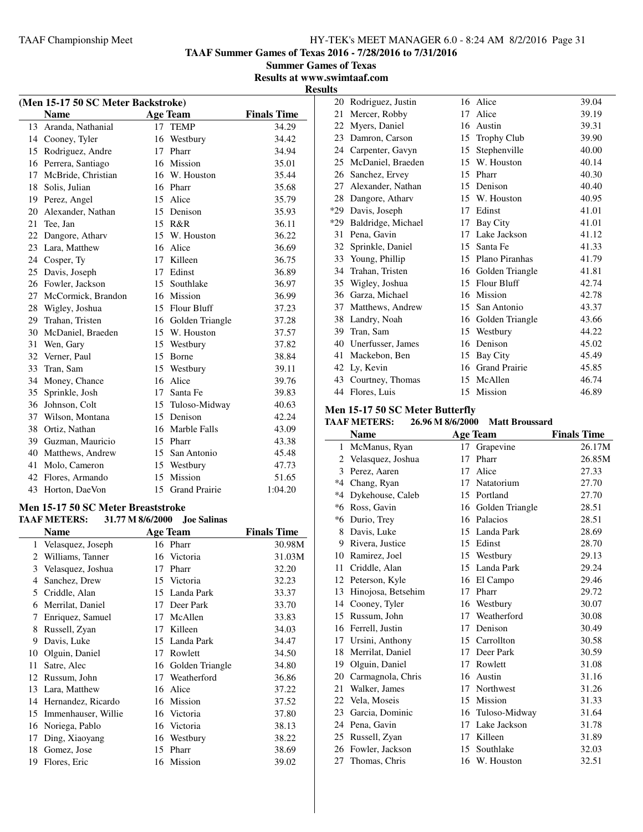**TAAF Summer Games of Texas 2016 - 7/28/2016 to 7/31/2016**

**Summer Games of Texas Results at www.swimtaaf.com**

## **Results**

| (Men 15-17 50 SC Meter Backstroke) |                    |                 |                      |                    |  |
|------------------------------------|--------------------|-----------------|----------------------|--------------------|--|
|                                    | <b>Name</b>        |                 | <b>Age Team</b>      | <b>Finals Time</b> |  |
| 13                                 | Aranda, Nathanial  | 17              | <b>TEMP</b>          | 34.29              |  |
|                                    | 14 Cooney, Tyler   |                 | 16 Westbury          | 34.42              |  |
| 15                                 | Rodriguez, Andre   | 17              | Pharr                | 34.94              |  |
| 16                                 | Perrera, Santiago  | 16              | Mission              | 35.01              |  |
| 17                                 | McBride, Christian |                 | 16 W. Houston        | 35.44              |  |
| 18                                 | Solis, Julian      |                 | 16 Pharr             | 35.68              |  |
| 19                                 | Perez, Angel       |                 | 15 Alice             | 35.79              |  |
| 20                                 | Alexander, Nathan  |                 | 15 Denison           | 35.93              |  |
| 21                                 | Tee, Jan           |                 | 15 R&R               | 36.11              |  |
|                                    | 22 Dangore, Atharv |                 | 15 W. Houston        | 36.22              |  |
| 23                                 | Lara, Matthew      | 16              | Alice                | 36.69              |  |
| 24                                 | Cosper, Ty         | 17              | Killeen              | 36.75              |  |
| 25                                 | Davis, Joseph      |                 | 17 Edinst            | 36.89              |  |
| 26                                 | Fowler, Jackson    |                 | 15 Southlake         | 36.97              |  |
| 27                                 | McCormick, Brandon |                 | 16 Mission           | 36.99              |  |
| 28                                 | Wigley, Joshua     |                 | 15 Flour Bluff       | 37.23              |  |
| 29                                 | Trahan, Tristen    |                 | 16 Golden Triangle   | 37.28              |  |
| 30                                 | McDaniel, Braeden  |                 | 15 W. Houston        | 37.57              |  |
| 31                                 | Wen, Gary          | 15              | Westbury             | 37.82              |  |
| 32                                 | Verner, Paul       |                 | 15 Borne             | 38.84              |  |
| 33                                 | Tran, Sam          |                 | 15 Westbury          | 39.11              |  |
| 34                                 | Money, Chance      | 16              | Alice                | 39.76              |  |
| 35                                 | Sprinkle, Josh     | 17 <sup>2</sup> | Santa Fe             | 39.83              |  |
| 36                                 | Johnson, Colt      |                 | 15 Tuloso-Midway     | 40.63              |  |
| 37                                 | Wilson, Montana    | 15              | Denison              | 42.24              |  |
| 38                                 | Ortiz, Nathan      | 16              | Marble Falls         | 43.09              |  |
| 39                                 | Guzman, Mauricio   |                 | 15 Pharr             | 43.38              |  |
| 40                                 | Matthews, Andrew   |                 | 15 San Antonio       | 45.48              |  |
| 41                                 | Molo, Cameron      |                 | 15 Westbury          | 47.73              |  |
| 42                                 | Flores, Armando    |                 | 15 Mission           | 51.65              |  |
| 43                                 | Horton, DaeVon     | 15              | <b>Grand Prairie</b> | 1:04.20            |  |

#### **Men 15-17 50 SC Meter Breaststroke**

|    | <b>TAAF METERS:</b> | 31.77 M 8/6/2000 | <b>Joe Salinas</b> |                    |
|----|---------------------|------------------|--------------------|--------------------|
|    | <b>Name</b>         |                  | <b>Age Team</b>    | <b>Finals Time</b> |
| 1  | Velasquez, Joseph   |                  | 16 Pharr           | 30.98M             |
| 2  | Williams, Tanner    | 16               | Victoria           | 31.03M             |
| 3  | Velasquez, Joshua   | 17               | Pharr              | 32.20              |
| 4  | Sanchez, Drew       | 15               | Victoria           | 32.23              |
| 5  | Criddle, Alan       | 15               | Landa Park         | 33.37              |
| 6  | Merrilat, Daniel    | 17               | Deer Park          | 33.70              |
| 7  | Enriquez, Samuel    | 17               | McAllen            | 33.83              |
| 8  | Russell, Zyan       | 17               | Killeen            | 34.03              |
| 9  | Davis, Luke         | 15               | Landa Park         | 34.47              |
| 10 | Olguin, Daniel      | 17               | Rowlett            | 34.50              |
| 11 | Satre, Alec         |                  | 16 Golden Triangle | 34.80              |
| 12 | Russum, John        | 17               | Weatherford        | 36.86              |
| 13 | Lara, Matthew       | 16               | Alice              | 37.22              |
| 14 | Hernandez, Ricardo  | 16               | Mission            | 37.52              |
| 15 | Immenhauser, Willie | 16               | Victoria           | 37.80              |
| 16 | Noriega, Pablo      | 16               | Victoria           | 38.13              |
| 17 | Ding, Xiaoyang      | 16               | Westbury           | 38.22              |
| 18 | Gomez, Jose         | 15               | Pharr              | 38.69              |
| 19 | Flores, Eric        | 16               | Mission            | 39.02              |
|    |                     |                  |                    |                    |

| 20    | Rodriguez, Justin      | 16 | Alice                | 39.04 |
|-------|------------------------|----|----------------------|-------|
| 21    | Mercer, Robby          | 17 | Alice                | 39.19 |
| 22    | Myers, Daniel          | 16 | Austin               | 39.31 |
| 23    | Damron, Carson         | 15 | <b>Trophy Club</b>   | 39.90 |
|       | 24 Carpenter, Gavyn    | 15 | Stephenville         | 40.00 |
| 25    | McDaniel, Braeden      | 15 | W. Houston           | 40.14 |
|       | 26 Sanchez, Ervey      |    | 15 Pharr             | 40.30 |
| 27    | Alexander, Nathan      | 15 | Denison              | 40.40 |
|       | 28 Dangore, Athary     |    | 15 W. Houston        | 40.95 |
| $*29$ | Davis, Joseph          | 17 | Edinst               | 41.01 |
|       | *29 Baldridge, Michael | 17 | Bay City             | 41.01 |
| 31    | Pena, Gavin            | 17 | Lake Jackson         | 41.12 |
|       | 32 Sprinkle, Daniel    | 15 | Santa Fe             | 41.33 |
| 33    | Young, Phillip         | 15 | Plano Piranhas       | 41.79 |
|       | 34 Trahan, Tristen     |    | 16 Golden Triangle   | 41.81 |
| 35    | Wigley, Joshua         | 15 | Flour Bluff          | 42.74 |
|       | 36 Garza, Michael      |    | 16 Mission           | 42.78 |
| 37    | Matthews, Andrew       | 15 | San Antonio          | 43.37 |
|       | 38 Landry, Noah        |    | 16 Golden Triangle   | 43.66 |
| 39    | Tran, Sam              |    | 15 Westbury          | 44.22 |
|       | 40 Unerfusser, James   | 16 | Denison              | 45.02 |
| 41    | Mackebon, Ben          | 15 | Bay City             | 45.49 |
|       | 42 Ly, Kevin           | 16 | <b>Grand Prairie</b> | 45.85 |
|       | 43 Courtney, Thomas    | 15 | McAllen              | 46.74 |
|       | 44 Flores, Luis        |    | 15 Mission           | 46.89 |

# **Men 15-17 50 SC Meter Butterfly**

## **TAAF METERS: 26.96 M 8/6/2000 Matt Broussard**

|      | <b>Name</b><br><b>Age Team</b> |    | <b>Finals Time</b> |        |
|------|--------------------------------|----|--------------------|--------|
| 1    | McManus, Ryan                  | 17 | Grapevine          | 26.17M |
| 2    | Velasquez, Joshua              | 17 | Pharr              | 26.85M |
| 3    | Perez, Aaren                   | 17 | Alice              | 27.33  |
| $*4$ | Chang, Ryan                    | 17 | Natatorium         | 27.70  |
| $*4$ | Dykehouse, Caleb               | 15 | Portland           | 27.70  |
| *6   | Ross, Gavin                    | 16 | Golden Triangle    | 28.51  |
| *6   | Durio, Trey                    | 16 | Palacios           | 28.51  |
| 8    | Davis, Luke                    | 15 | Landa Park         | 28.69  |
| 9    | Rivera, Justice                | 15 | Edinst             | 28.70  |
| 10   | Ramirez, Joel                  | 15 | Westbury           | 29.13  |
| 11   | Criddle, Alan                  | 15 | Landa Park         | 29.24  |
| 12   | Peterson, Kyle                 | 16 | El Campo           | 29.46  |
| 13   | Hinojosa, Betsehim             | 17 | Pharr              | 29.72  |
| 14   | Cooney, Tyler                  | 16 | Westbury           | 30.07  |
| 15   | Russum, John                   | 17 | Weatherford        | 30.08  |
| 16   | Ferrell, Justin                | 17 | Denison            | 30.49  |
| 17   | Ursini, Anthony                | 15 | Carrollton         | 30.58  |
| 18   | Merrilat, Daniel               | 17 | Deer Park          | 30.59  |
| 19   | Olguin, Daniel                 | 17 | Rowlett            | 31.08  |
| 20   | Carmagnola, Chris              | 16 | Austin             | 31.16  |
| 21   | Walker, James                  | 17 | Northwest          | 31.26  |
| 22   | Vela, Moseis                   | 15 | Mission            | 31.33  |
| 23   | Garcia, Dominic                | 16 | Tuloso-Midway      | 31.64  |
|      | 24 Pena, Gavin                 | 17 | Lake Jackson       | 31.78  |
| 25   | Russell, Zyan                  | 17 | Killeen            | 31.89  |
| 26   | Fowler, Jackson                | 15 | Southlake          | 32.03  |
| 27   | Thomas, Chris                  |    | 16 W. Houston      | 32.51  |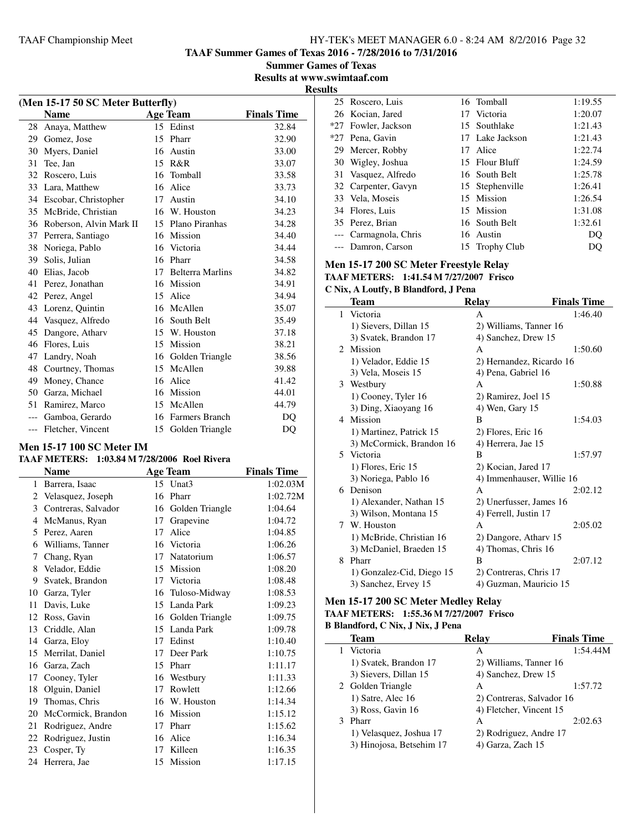**TAAF Summer Games of Texas 2016 - 7/28/2016 to 7/31/2016**

**Summer Games of Texas Results at www.swimtaaf.com**

**Results**

| (Men 15-17 50 SC Meter Butterfly) |                         |    |                         |                    |  |  |
|-----------------------------------|-------------------------|----|-------------------------|--------------------|--|--|
|                                   | <b>Name</b>             |    | <b>Age Team</b>         | <b>Finals Time</b> |  |  |
| 28                                | Anaya, Matthew          |    | 15 Edinst               | 32.84              |  |  |
| 29                                | Gomez, Jose             |    | 15 Pharr                | 32.90              |  |  |
| 30                                | Myers, Daniel           | 16 | Austin                  | 33.00              |  |  |
| 31                                | Tee, Jan                | 15 | R&R                     | 33.07              |  |  |
| 32                                | Roscero, Luis           | 16 | Tomball                 | 33.58              |  |  |
| 33                                | Lara, Matthew           |    | 16 Alice                | 33.73              |  |  |
| 34                                | Escobar, Christopher    | 17 | Austin                  | 34.10              |  |  |
| 35                                | McBride, Christian      |    | 16 W. Houston           | 34.23              |  |  |
| 36                                | Roberson, Alvin Mark II | 15 | Plano Piranhas          | 34.28              |  |  |
| 37                                | Perrera, Santiago       |    | 16 Mission              | 34.40              |  |  |
| 38                                | Noriega, Pablo          |    | 16 Victoria             | 34.44              |  |  |
| 39                                | Solis, Julian           | 16 | Pharr                   | 34.58              |  |  |
| 40                                | Elias, Jacob            | 17 | <b>Belterra Marlins</b> | 34.82              |  |  |
| 41                                | Perez, Jonathan         | 16 | Mission                 | 34.91              |  |  |
| 42                                | Perez, Angel            | 15 | Alice                   | 34.94              |  |  |
| 43                                | Lorenz, Quintin         |    | 16 McAllen              | 35.07              |  |  |
| 44                                | Vasquez, Alfredo        |    | 16 South Belt           | 35.49              |  |  |
| 45                                | Dangore, Athary         | 15 | W. Houston              | 37.18              |  |  |
| 46                                | Flores, Luis            | 15 | Mission                 | 38.21              |  |  |
| 47                                | Landry, Noah            |    | 16 Golden Triangle      | 38.56              |  |  |
| 48                                | Courtney, Thomas        | 15 | McAllen                 | 39.88              |  |  |
| 49                                | Money, Chance           |    | 16 Alice                | 41.42              |  |  |
| 50                                | Garza, Michael          |    | 16 Mission              | 44.01              |  |  |
| 51                                | Ramirez, Marco          | 15 | McAllen                 | 44.79              |  |  |
| $---$                             | Gamboa, Gerardo         | 16 | <b>Farmers Branch</b>   | D <sub>O</sub>     |  |  |
| $---$                             | Fletcher, Vincent       | 15 | Golden Triangle         | DQ                 |  |  |

#### **Men 15-17 100 SC Meter IM**

## **TAAF METERS: 1:03.84 M 7/28/2006 Roel Rivera**

|    | <b>Name</b>         | <b>Age Team</b> |                               | <b>Finals Time</b> |
|----|---------------------|-----------------|-------------------------------|--------------------|
| 1  | Barrera, Isaac      | 15              | $\mathbf{U}$ nat $\mathbf{3}$ | 1:02.03M           |
| 2  | Velasquez, Joseph   | 16              | Pharr                         | 1:02.72M           |
| 3  | Contreras, Salvador | 16              | Golden Triangle               | 1:04.64            |
| 4  | McManus, Ryan       | 17              | Grapevine                     | 1:04.72            |
| 5  | Perez, Aaren        | 17              | Alice                         | 1:04.85            |
| 6  | Williams, Tanner    | 16              | Victoria                      | 1:06.26            |
| 7  | Chang, Ryan         | 17              | Natatorium                    | 1:06.57            |
| 8  | Velador, Eddie      | 15              | Mission                       | 1:08.20            |
| 9  | Svatek, Brandon     | 17              | Victoria                      | 1:08.48            |
| 10 | Garza, Tyler        | 16              | Tuloso-Midway                 | 1:08.53            |
| 11 | Davis, Luke         | 15              | Landa Park                    | 1:09.23            |
| 12 | Ross, Gavin         | 16              | Golden Triangle               | 1:09.75            |
| 13 | Criddle, Alan       | 15              | Landa Park                    | 1:09.78            |
| 14 | Garza, Eloy         | 17              | Edinst                        | 1:10.40            |
| 15 | Merrilat, Daniel    | 17              | Deer Park                     | 1:10.75            |
| 16 | Garza, Zach         | 15              | Pharr                         | 1:11.17            |
| 17 | Cooney, Tyler       | 16              | Westbury                      | 1:11.33            |
| 18 | Olguin, Daniel      | 17              | Rowlett                       | 1:12.66            |
| 19 | Thomas, Chris       | 16              | W. Houston                    | 1:14.34            |
| 20 | McCormick, Brandon  | 16              | Mission                       | 1:15.12            |
| 21 | Rodriguez, Andre    | 17              | Pharr                         | 1:15.62            |
| 22 | Rodriguez, Justin   | 16              | Alice                         | 1:16.34            |
| 23 | Cosper, Ty          | 17              | Killeen                       | 1:16.35            |
|    | 24 Herrera, Jae     | 15              | Mission                       | 1:17.15            |

| 25 Roscero, Luis      | 16 Tomball      | 1:19.55 |
|-----------------------|-----------------|---------|
| 26 Kocian, Jared      | 17 Victoria     | 1:20.07 |
| *27 Fowler, Jackson   | 15 Southlake    | 1:21.43 |
| *27 Pena, Gavin       | 17 Lake Jackson | 1:21.43 |
| 29 Mercer, Robby      | 17 Alice        | 1:22.74 |
| 30 Wigley, Joshua     | 15 Flour Bluff  | 1:24.59 |
| 31 Vasquez, Alfredo   | 16 South Belt   | 1:25.78 |
| 32 Carpenter, Gavyn   | 15 Stephenville | 1:26.41 |
| 33 Vela, Moseis       | 15 Mission      | 1:26.54 |
| 34 Flores, Luis       | 15 Mission      | 1:31.08 |
| 35 Perez, Brian       | 16 South Belt   | 1:32.61 |
| --- Carmagnola, Chris | 16 Austin       | DO      |
| --- Damron, Carson    | 15 Trophy Club  | DO.     |

#### **Men 15-17 200 SC Meter Freestyle Relay**

**TAAF METERS: 1:41.54 M 7/27/2007 Frisco**

**C Nix, A Loutfy, B Blandford, J Pena**

|   | Team                      | <b>Relay</b>              | <b>Finals Time</b> |
|---|---------------------------|---------------------------|--------------------|
| 1 | Victoria                  | A                         | 1:46.40            |
|   | 1) Sievers, Dillan 15     | 2) Williams, Tanner 16    |                    |
|   | 3) Svatek, Brandon 17     | 4) Sanchez, Drew 15       |                    |
|   | 2 Mission                 | A                         | 1:50.60            |
|   | 1) Velador, Eddie 15      | 2) Hernandez, Ricardo 16  |                    |
|   | 3) Vela, Moseis 15        | 4) Pena, Gabriel 16       |                    |
|   | 3 Westbury                | A                         | 1:50.88            |
|   | 1) Cooney, Tyler 16       | 2) Ramirez, Joel 15       |                    |
|   | 3) Ding, Xiaoyang 16      | 4) Wen, Gary 15           |                    |
|   | 4 Mission                 | B                         | 1:54.03            |
|   | 1) Martinez, Patrick 15   | 2) Flores, Eric 16        |                    |
|   | 3) McCormick, Brandon 16  | 4) Herrera, Jae 15        |                    |
|   | 5 Victoria                | B                         | 1:57.97            |
|   | 1) Flores, Eric 15        | 2) Kocian, Jared 17       |                    |
|   | 3) Noriega, Pablo 16      | 4) Immenhauser, Willie 16 |                    |
|   | 6 Denison                 | A                         | 2:02.12            |
|   | 1) Alexander, Nathan 15   | 2) Unerfusser, James 16   |                    |
|   | 3) Wilson, Montana 15     | 4) Ferrell, Justin 17     |                    |
| 7 | W. Houston                | A                         | 2:05.02            |
|   | 1) McBride, Christian 16  | 2) Dangore, Athary 15     |                    |
|   | 3) McDaniel, Braeden 15   | 4) Thomas, Chris 16       |                    |
| 8 | Pharr                     | B                         | 2:07.12            |
|   | 1) Gonzalez-Cid, Diego 15 | 2) Contreras, Chris 17    |                    |
|   | 3) Sanchez, Ervey 15      | 4) Guzman, Mauricio 15    |                    |

#### **Men 15-17 200 SC Meter Medley Relay TAAF METERS: 1:55.36 M 7/27/2007 Frisco**

#### **B Blandford, C Nix, J Nix, J Pena**

| <b>Team</b>              | <b>Relay</b>              | <b>Finals Time</b> |
|--------------------------|---------------------------|--------------------|
| Victoria                 | А                         | 1:54.44M           |
| 1) Svatek, Brandon 17    | 2) Williams, Tanner 16    |                    |
| 3) Sievers, Dillan 15    | 4) Sanchez, Drew 15       |                    |
| 2 Golden Triangle        | A                         | 1:57.72            |
| 1) Satre, Alec 16        | 2) Contreras, Salvador 16 |                    |
| 3) Ross, Gavin 16        | 4) Fletcher, Vincent 15   |                    |
| Pharr                    | A                         | 2:02.63            |
| 1) Velasquez, Joshua 17  | 2) Rodriguez, Andre 17    |                    |
| 3) Hinojosa, Betsehim 17 | 4) Garza, Zach 15         |                    |
|                          |                           |                    |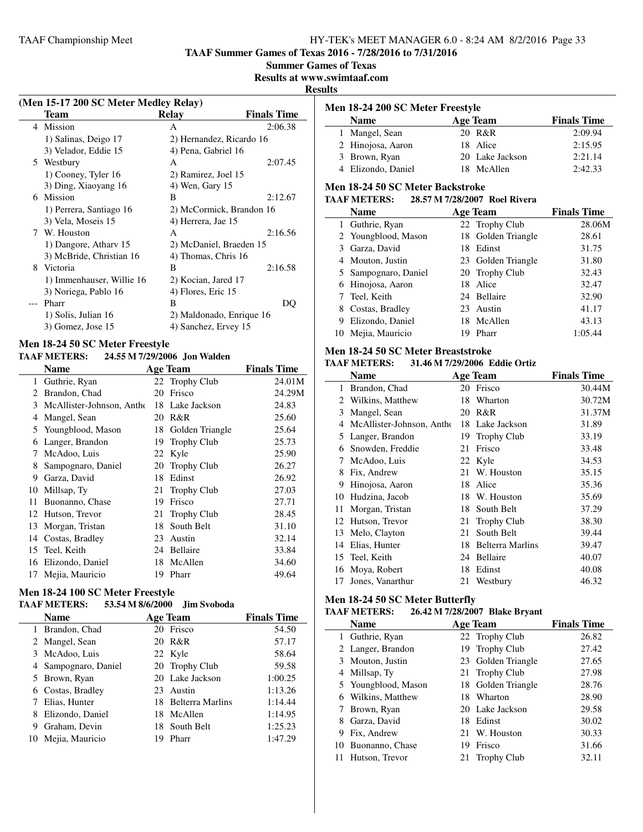**TAAF Summer Games of Texas 2016 - 7/28/2016 to 7/31/2016**

#### **Summer Games of Texas**

**Results at www.swimtaaf.com**

#### **Results**

|   | (Men 15-17 200 SC Meter Medley Relay) |                          |                    |
|---|---------------------------------------|--------------------------|--------------------|
|   | Team                                  | Relay                    | <b>Finals Time</b> |
|   | 4 Mission                             | A                        | 2:06.38            |
|   | 1) Salinas, Deigo 17                  | 2) Hernandez, Ricardo 16 |                    |
|   | 3) Velador, Eddie 15                  | 4) Pena, Gabriel 16      |                    |
| 5 | Westbury                              | A                        | 2:07.45            |
|   | 1) Cooney, Tyler 16                   | 2) Ramirez, Joel 15      |                    |
|   | 3) Ding, Xiaoyang 16                  | 4) Wen, Gary 15          |                    |
|   | 6 Mission                             | B                        | 2:12.67            |
|   | 1) Perrera, Santiago 16               | 2) McCormick, Brandon 16 |                    |
|   | 3) Vela, Moseis 15                    | 4) Herrera, Jae 15       |                    |
| 7 | W. Houston                            | A                        | 2:16.56            |
|   | 1) Dangore, Athary 15                 | 2) McDaniel, Braeden 15  |                    |
|   | 3) McBride, Christian 16              | 4) Thomas, Chris 16      |                    |
| 8 | Victoria                              | B                        | 2:16.58            |
|   | 1) Immenhauser, Willie 16             | 2) Kocian, Jared 17      |                    |
|   | 3) Noriega, Pablo 16                  | 4) Flores, Eric 15       |                    |
|   | Pharr                                 | B                        | DQ                 |
|   | 1) Solis, Julian 16                   | 2) Maldonado, Enrique 16 |                    |
|   | 3) Gomez, Jose 15                     | 4) Sanchez, Ervey 15     |                    |

#### **Men 18-24 50 SC Meter Freestyle**

#### **TAAF METERS: 24.55 M 7/29/2006 Jon Walden**

|    | <b>Name</b>               |     | <b>Age Team</b>    | <b>Finals Time</b> |
|----|---------------------------|-----|--------------------|--------------------|
| 1  | Guthrie, Ryan             |     | 22 Trophy Club     | 24.01M             |
| 2  | Brandon, Chad             | 20  | Frisco             | 24.29M             |
| 3  | McAllister-Johnson, Antho | 18  | Lake Jackson       | 24.83              |
| 4  | Mangel, Sean              | 20  | R&R                | 25.60              |
| 5  | Youngblood, Mason         | 18  | Golden Triangle    | 25.64              |
| 6  | Langer, Brandon           | 19  | <b>Trophy Club</b> | 25.73              |
| 7  | McAdoo, Luis              | 22  | Kyle               | 25.90              |
| 8  | Sampognaro, Daniel        | 20  | <b>Trophy Club</b> | 26.27              |
| 9  | Garza, David              | 18  | Edinst             | 26.92              |
| 10 | Millsap, Ty               | 21  | <b>Trophy Club</b> | 27.03              |
| 11 | Buonanno, Chase           | 19  | Frisco             | 27.71              |
|    | 12 Hutson, Trevor         | 21  | <b>Trophy Club</b> | 28.45              |
| 13 | Morgan, Tristan           | 18  | South Belt         | 31.10              |
| 14 | Costas, Bradley           | 23  | Austin             | 32.14              |
|    | 15 Teel, Keith            | 24  | Bellaire           | 33.84              |
|    | 16 Elizondo, Daniel       | 18  | McAllen            | 34.60              |
| 17 | Mejia, Mauricio           | 19. | Pharr              | 49.64              |

# **Men 18-24 100 SC Meter Freestyle**

#### **TAAF METERS: 53.54 M 8/6/2000 Jim Svoboda**

|   | <b>Name</b>          |     | <b>Age Team</b>     | <b>Finals Time</b> |
|---|----------------------|-----|---------------------|--------------------|
|   | 1 Brandon, Chad      |     | 20 Frisco           | 54.50              |
|   | 2 Mangel, Sean       |     | 20 R&R              | 57.17              |
|   | 3 McAdoo, Luis       |     | 22 Kyle             | 58.64              |
|   | 4 Sampognaro, Daniel |     | 20 Trophy Club      | 59.58              |
|   | 5 Brown, Ryan        |     | 20 Lake Jackson     | 1:00.25            |
|   | 6 Costas, Bradley    | 23. | Austin              | 1:13.26            |
|   | Elias, Hunter        |     | 18 Belterra Marlins | 1:14.44            |
|   | Elizondo, Daniel     |     | 18 McAllen          | 1:14.95            |
| 9 | Graham, Devin        |     | 18 South Belt       | 1:25.23            |
|   | 10 Mejia, Mauricio   | 19  | Pharr               | 1:47.29            |

| Men 18-24 200 SC Meter Freestyle |                 |                    |  |  |
|----------------------------------|-----------------|--------------------|--|--|
| <b>Name</b>                      | <b>Age Team</b> | <b>Finals Time</b> |  |  |
| 1 Mangel, Sean                   | 20 R&R          | 2:09.94            |  |  |
| 2 Hinojosa, Aaron                | 18 Alice        | 2:15.95            |  |  |
| 3 Brown, Ryan                    | 20 Lake Jackson | 2:21.14            |  |  |
| 4 Elizondo, Daniel               | 18 McAllen      | 2:42.33            |  |  |

#### **Men 18-24 50 SC Meter Backstroke**

#### **TAAF METERS: 28.57 M 7/28/2007 Roel Rivera**

|   | <b>Name</b>          |    | <b>Age Team</b>    | <b>Finals Time</b> |
|---|----------------------|----|--------------------|--------------------|
|   | 1 Guthrie, Ryan      |    | 22 Trophy Club     | 28.06M             |
|   | 2 Youngblood, Mason  |    | 18 Golden Triangle | 28.61              |
|   | 3 Garza, David       |    | 18 Edinst          | 31.75              |
|   | 4 Mouton, Justin     |    | 23 Golden Triangle | 31.80              |
|   | 5 Sampognaro, Daniel |    | 20 Trophy Club     | 32.43              |
|   | 6 Hinojosa, Aaron    |    | 18 Alice           | 32.47              |
|   | 7 Teel, Keith        |    | 24 Bellaire        | 32.90              |
|   | 8 Costas, Bradley    |    | 23 Austin          | 41.17              |
| 9 | Elizondo, Daniel     |    | 18 McAllen         | 43.13              |
|   | 10 Mejia, Mauricio   | 19 | Pharr              | 1:05.44            |

#### **Men 18-24 50 SC Meter Breaststroke**

### **TAAF METERS: 31.46 M 7/29/2006 Eddie Ortiz**

|    | <b>Name</b>               |    | <b>Age Team</b>         | <b>Finals Time</b> |
|----|---------------------------|----|-------------------------|--------------------|
| 1  | Brandon, Chad             | 20 | Frisco                  | 30.44M             |
| 2  | Wilkins, Matthew          | 18 | Wharton                 | 30.72M             |
| 3  | Mangel, Sean              | 20 | R&R                     | 31.37M             |
| 4  | McAllister-Johnson, Antho | 18 | Lake Jackson            | 31.89              |
| 5. | Langer, Brandon           | 19 | <b>Trophy Club</b>      | 33.19              |
| 6  | Snowden, Freddie          | 21 | Frisco                  | 33.48              |
| 7  | McAdoo, Luis              |    | 22 Kyle                 | 34.53              |
| 8  | Fix, Andrew               | 21 | W. Houston              | 35.15              |
| 9  | Hinojosa, Aaron           | 18 | Alice                   | 35.36              |
| 10 | Hudzina, Jacob            | 18 | W. Houston              | 35.69              |
| 11 | Morgan, Tristan           | 18 | South Belt              | 37.29              |
| 12 | Hutson, Trevor            | 21 | <b>Trophy Club</b>      | 38.30              |
| 13 | Melo, Clayton             | 21 | South Belt              | 39.44              |
| 14 | Elias, Hunter             | 18 | <b>Belterra Marlins</b> | 39.47              |
|    | 15 Teel, Keith            | 24 | Bellaire                | 40.07              |
| 16 | Moya, Robert              | 18 | Edinst                  | 40.08              |
| 17 | Jones, Vanarthur          | 21 | Westbury                | 46.32              |

#### **Men 18-24 50 SC Meter Butterfly**

#### **TAAF METERS: 26.42 M 7/28/2007 Blake Bryant**

|    | <b>Name</b>         |    | <b>Age Team</b>    | <b>Finals Time</b> |
|----|---------------------|----|--------------------|--------------------|
|    | 1 Guthrie, Ryan     |    | 22 Trophy Club     | 26.82              |
|    | 2 Langer, Brandon   |    | 19 Trophy Club     | 27.42              |
|    | 3 Mouton, Justin    |    | 23 Golden Triangle | 27.65              |
|    | 4 Millsap, Ty       |    | 21 Trophy Club     | 27.98              |
|    | 5 Youngblood, Mason |    | 18 Golden Triangle | 28.76              |
|    | 6 Wilkins, Matthew  |    | 18 Wharton         | 28.90              |
|    | 7 Brown, Ryan       |    | 20 Lake Jackson    | 29.58              |
| 8  | Garza, David        |    | 18 Edinst          | 30.02              |
| 9  | Fix, Andrew         |    | 21 W. Houston      | 30.33              |
| 10 | Buonanno, Chase     | 19 | Frisco             | 31.66              |
|    | Hutson, Trevor      |    | 21 Trophy Club     | 32.11              |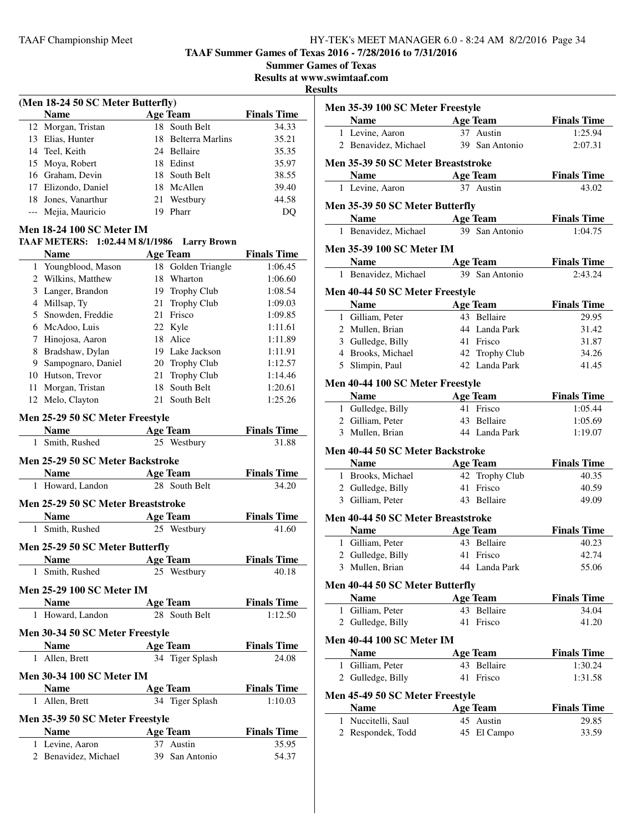**TAAF Summer Games of Texas 2016 - 7/28/2016 to 7/31/2016**

**Summer Games of Texas**

**Results at www.swimtaaf.com**

#### **Results**

|   | (Men 18-24 50 SC Meter Butterfly)  |  |                                  |                               |  |
|---|------------------------------------|--|----------------------------------|-------------------------------|--|
|   | <b>Name</b>                        |  | <b>Age Team</b>                  | <b>Finals Time</b>            |  |
|   | 12 Morgan, Tristan                 |  | 18 South Belt                    | 34.33                         |  |
|   | 13 Elias, Hunter                   |  | 18 Belterra Marlins              | 35.21                         |  |
|   | 14 Teel, Keith                     |  | 24 Bellaire                      | 35.35                         |  |
|   | 15 Moya, Robert                    |  | 18 Edinst                        | 35.97                         |  |
|   | 16 Graham, Devin                   |  | 18 South Belt                    | 38.55                         |  |
|   | 17 Elizondo, Daniel                |  | 18 McAllen                       | 39.40                         |  |
|   | 18 Jones, Vanarthur                |  | 21 Westbury                      | 44.58                         |  |
|   | --- Mejia, Mauricio                |  | 19 Pharr                         | DQ                            |  |
|   | <b>Men 18-24 100 SC Meter IM</b>   |  |                                  |                               |  |
|   | TAAF METERS: 1:02.44 M 8/1/1986    |  | <b>Larry Brown</b>               |                               |  |
|   | <b>Name</b>                        |  | <b>Age Team</b>                  | <b>Finals Time</b>            |  |
|   | 1 Youngblood, Mason                |  | 18 Golden Triangle               | 1:06.45                       |  |
|   | 2 Wilkins, Matthew                 |  | 18 Wharton                       | 1:06.60                       |  |
|   | 3 Langer, Brandon                  |  | 19 Trophy Club                   | 1:08.54                       |  |
|   | 4 Millsap, Ty                      |  | 21 Trophy Club                   | 1:09.03                       |  |
|   | 5 Snowden, Freddie                 |  | 21 Frisco                        | 1:09.85                       |  |
|   | 6 McAdoo, Luis                     |  | 22 Kyle                          | 1:11.61                       |  |
|   | 7 Hinojosa, Aaron                  |  | 18 Alice                         | 1:11.89                       |  |
|   | 8 Bradshaw, Dylan                  |  | 19 Lake Jackson                  | 1:11.91                       |  |
|   | 9 Sampognaro, Daniel               |  | 20 Trophy Club                   | 1:12.57                       |  |
|   | 10 Hutson, Trevor                  |  | 21 Trophy Club                   | 1:14.46                       |  |
|   | 11 Morgan, Tristan                 |  | 18 South Belt                    | 1:20.61                       |  |
|   | 12 Melo, Clayton                   |  | 21 South Belt                    | 1:25.26                       |  |
|   | Men 25-29 50 SC Meter Freestyle    |  |                                  |                               |  |
|   | <b>Name</b>                        |  | <b>Age Team</b>                  | <b>Finals Time</b>            |  |
|   | 1 Smith, Rushed                    |  | 25 Westbury                      | 31.88                         |  |
|   |                                    |  |                                  |                               |  |
|   | Men 25-29 50 SC Meter Backstroke   |  |                                  |                               |  |
|   | <b>Name</b><br>1 Howard, Landon    |  | <b>Age Team</b><br>28 South Belt | <b>Finals Time</b><br>34.20   |  |
|   |                                    |  |                                  |                               |  |
|   | Men 25-29 50 SC Meter Breaststroke |  |                                  |                               |  |
|   | <b>Name</b>                        |  | <b>Age Team</b>                  | <b>Finals Time</b>            |  |
| 1 | Smith, Rushed                      |  | 25 Westbury                      | 41.60                         |  |
|   | Men 25-29 50 SC Meter Butterfly    |  |                                  |                               |  |
|   | <b>Name</b>                        |  | <b>Age Team</b>                  | <b>Finals Time</b>            |  |
| 1 | Smith, Rushed                      |  | 25 Westbury                      | 40.18                         |  |
|   | <b>Men 25-29 100 SC Meter IM</b>   |  |                                  |                               |  |
|   |                                    |  |                                  |                               |  |
|   | <b>Name</b><br>1 Howard, Landon    |  | <b>Age Team</b><br>28 South Belt | <b>Finals Time</b><br>1:12.50 |  |
|   |                                    |  |                                  |                               |  |
|   | Men 30-34 50 SC Meter Freestyle    |  |                                  |                               |  |
|   | <b>Age Team</b><br><b>Name</b>     |  |                                  | <b>Finals Time</b>            |  |
|   | 1 Allen, Brett                     |  | 34 Tiger Splash                  | 24.08                         |  |
|   | <b>Men 30-34 100 SC Meter IM</b>   |  |                                  |                               |  |
|   | <b>Name</b>                        |  | <b>Age Team</b>                  | <b>Finals Time</b>            |  |
|   | 1 Allen, Brett                     |  | 34 Tiger Splash                  | 1:10.03                       |  |
|   |                                    |  |                                  |                               |  |
|   | Men 35-39 50 SC Meter Freestyle    |  |                                  |                               |  |
|   | Name                               |  | <b>Age Team</b>                  | <b>Finals Time</b>            |  |
|   | 1 Levine, Aaron                    |  | 37 Austin                        | 35.95                         |  |
|   | 2 Benavidez, Michael               |  | 39 San Antonio                   | 54.37                         |  |

| Men 35-39 100 SC Meter Freestyle<br>Name |    | Age Team        | <b>Finals Time</b> |
|------------------------------------------|----|-----------------|--------------------|
| 1 Levine, Aaron                          |    | 37 Austin       | 1:25.94            |
| 2 Benavidez, Michael                     |    | 39 San Antonio  | 2:07.31            |
|                                          |    |                 |                    |
| Men 35-39 50 SC Meter Breaststroke       |    |                 |                    |
| <b>Name</b><br><b>Age Team</b>           |    | 37 Austin       | <b>Finals Time</b> |
| 1 Levine, Aaron                          |    |                 | 43.02              |
| Men 35-39 50 SC Meter Butterfly          |    |                 |                    |
| <b>Name</b>                              |    | <b>Age Team</b> | <b>Finals Time</b> |
| 1 Benavidez, Michael                     |    | 39 San Antonio  | 1:04.75            |
| <b>Men 35-39 100 SC Meter IM</b>         |    |                 |                    |
| <b>Name</b>                              |    | <b>Age Team</b> | <b>Finals Time</b> |
| 1 Benavidez, Michael                     |    | 39 San Antonio  | 2:43.24            |
| Men 40-44 50 SC Meter Freestyle          |    |                 |                    |
| <b>Name</b>                              |    | <b>Age Team</b> | <b>Finals Time</b> |
| 1 Gilliam, Peter                         |    | 43 Bellaire     | 29.95              |
| 2 Mullen, Brian                          |    | 44 Landa Park   | 31.42              |
| 3 Gulledge, Billy                        |    | 41 Frisco       | 31.87              |
| 4 Brooks, Michael                        |    | 42 Trophy Club  | 34.26              |
| 5 Slimpin, Paul                          |    | 42 Landa Park   | 41.45              |
| Men 40-44 100 SC Meter Freestyle         |    |                 |                    |
| <b>Name</b>                              |    | <b>Age Team</b> | <b>Finals Time</b> |
| 1 Gulledge, Billy                        |    | 41 Frisco       | 1:05.44            |
| 2 Gilliam, Peter                         |    | 43 Bellaire     | 1:05.69            |
| 3 Mullen, Brian                          |    | 44 Landa Park   | 1:19.07            |
| Men 40-44 50 SC Meter Backstroke         |    |                 |                    |
| <b>Name</b>                              |    | <b>Age Team</b> | <b>Finals Time</b> |
| 1 Brooks, Michael                        |    | 42 Trophy Club  | 40.35              |
| 2 Gulledge, Billy                        |    | 41 Frisco       | 40.59              |
| 3 Gilliam, Peter                         |    | 43 Bellaire     | 49.09              |
| Men 40-44 50 SC Meter Breaststroke       |    |                 |                    |
| <b>Name</b>                              |    | <b>Age Team</b> | <b>Finals Time</b> |
| 1 Gilliam, Peter                         |    | 43 Bellaire     | 40.23              |
| 2 Gulledge, Billy                        |    | 41 Frisco       | 42.74              |
| 3 Mullen, Brian                          |    | 44 Landa Park   | 55.06              |
| Men 40-44 50 SC Meter Butterfly          |    |                 |                    |
| <b>Name</b>                              |    | <b>Age Team</b> | <b>Finals Time</b> |
| 1 Gilliam, Peter                         |    | 43 Bellaire     | 34.04              |
| 2 Gulledge, Billy                        |    | 41 Frisco       | 41.20              |
| <b>Men 40-44 100 SC Meter IM</b>         |    |                 |                    |
| <b>Name</b>                              |    | <b>Age Team</b> | <b>Finals Time</b> |
| 1 Gilliam, Peter                         |    | 43 Bellaire     | 1:30.24            |
| 2 Gulledge, Billy                        |    | 41 Frisco       | 1:31.58            |
|                                          |    |                 |                    |
| Men 45-49 50 SC Meter Freestyle          |    |                 |                    |
| <b>Name</b>                              |    | <b>Age Team</b> | <b>Finals Time</b> |
| 1 Nuccitelli, Saul                       | 45 | Austin          | 29.85              |
| 2 Respondek, Todd                        |    | 45 El Campo     | 33.59              |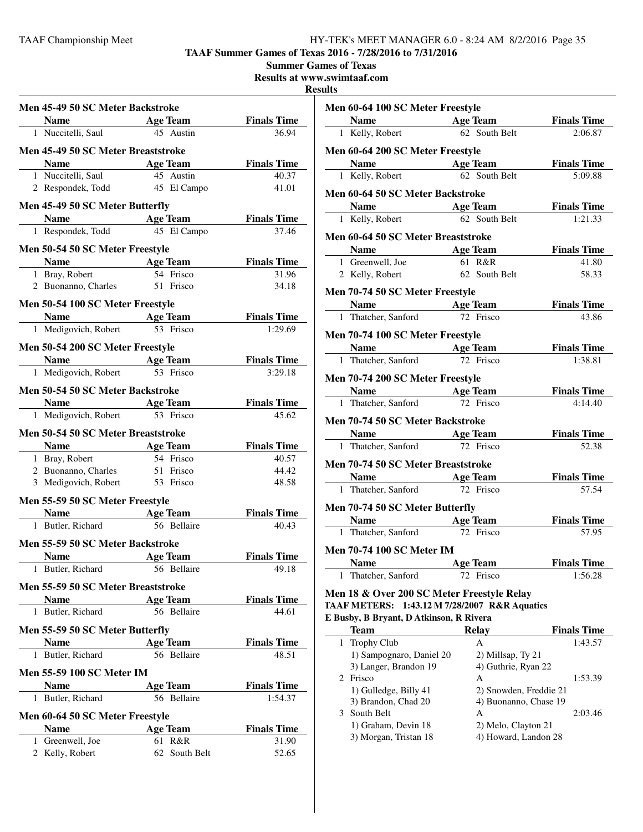**TAAF Summer Games of Texas 2016 - 7/28/2016 to 7/31/2016**

**Summer Games of Texas**

**Results at www.swimtaaf.com**

#### **Resu**

| Men 45-49 50 SC Meter Backstroke   |                                |                             |
|------------------------------------|--------------------------------|-----------------------------|
| <b>Name</b> Age Team               |                                | <b>Finals Time</b>          |
| 1 Nuccitelli, Saul 45 Austin       |                                | 36.94                       |
| Men 45-49 50 SC Meter Breaststroke |                                |                             |
| <b>Name</b>                        | <b>Age Team</b>                | <b>Finals Time</b>          |
| 1 Nuccitelli, Saul                 | 45 Austin                      | 40.37                       |
| 2 Respondek, Todd                  | 45 El Campo                    | 41.01                       |
| Men 45-49 50 SC Meter Butterfly    |                                |                             |
| Name Age Team                      |                                | <b>Finals Time</b>          |
| 1 Respondek, Todd                  | 45 El Campo                    | 37.46                       |
| Men 50-54 50 SC Meter Freestyle    |                                |                             |
| <b>Name</b>                        | <b>Age Team</b>                | <b>Finals Time</b>          |
| 1 Bray, Robert                     | 54 Frisco                      | 31.96                       |
| 2 Buonanno, Charles                | 51 Frisco                      | 34.18                       |
| Men 50-54 100 SC Meter Freestyle   |                                |                             |
| <b>Solution Age Team</b>           |                                | <b>Finals Time</b>          |
| 1 Medigovich, Robert               | 53 Frisco                      | 1:29.69                     |
| Men 50-54 200 SC Meter Freestyle   |                                |                             |
| <b>Solution Security Age Team</b>  |                                | <b>Finals Time</b>          |
| 1 Medigovich, Robert               | 53 Frisco                      | 3:29.18                     |
| Men 50-54 50 SC Meter Backstroke   |                                |                             |
| Name Age Team                      |                                | <b>Finals Time</b>          |
| 1 Medigovich, Robert               | 53 Frisco                      | 45.62                       |
| Men 50-54 50 SC Meter Breaststroke |                                |                             |
| <b>Name</b>                        | <b>Example 2</b> Age Team      | <b>Finals Time</b>          |
| 1 Bray, Robert                     | 54 Frisco                      | 40.57                       |
| 2 Buonanno, Charles                | 51 Frisco                      | 44.42                       |
| 3 Medigovich, Robert               | 53 Frisco                      | 48.58                       |
| Men 55-59 50 SC Meter Freestyle    |                                |                             |
| Name Age Team                      |                                | <b>Finals Time</b>          |
| 1 Butler, Richard                  | 56 Bellaire                    | 40.43                       |
| Men 55-59 50 SC Meter Backstroke   |                                |                             |
| Name Age Team                      |                                | <b>Finals Time</b>          |
| 1 Butler, Richard                  | 56 Bellaire                    | 49.18                       |
| Men 55-59 50 SC Meter Breaststroke |                                |                             |
| <b>Name</b>                        | <b>Age Team</b>                | <b>Finals Time</b>          |
| 1 Butler, Richard                  | 56 Bellaire                    | 44.61                       |
|                                    |                                |                             |
| Men 55-59 50 SC Meter Butterfly    |                                |                             |
| <b>Name</b><br>1 Butler, Richard   | <b>Age Team</b><br>56 Bellaire | <b>Finals Time</b><br>48.51 |
|                                    |                                |                             |
| <b>Men 55-59 100 SC Meter IM</b>   |                                |                             |
| <b>Name</b>                        | <b>Age Team</b>                | <b>Finals Time</b>          |
| 1 Butler, Richard                  | 56 Bellaire                    | 1:54.37                     |
| Men 60-64 50 SC Meter Freestyle    |                                |                             |
| <b>Name</b>                        | Age Team                       | <b>Finals Time</b>          |
| 1 Greenwell, Joe                   | 61 R&R                         | 31.90                       |
| 2 Kelly, Robert                    | 62 South Belt                  | 52.65                       |

| ılts |                                                                                                                                                                                                                               |                                  |                               |
|------|-------------------------------------------------------------------------------------------------------------------------------------------------------------------------------------------------------------------------------|----------------------------------|-------------------------------|
|      | Men 60-64 100 SC Meter Freestyle                                                                                                                                                                                              |                                  |                               |
|      | Name Age Team                                                                                                                                                                                                                 |                                  | <b>Finals Time</b>            |
|      | 1 Kelly, Robert                                                                                                                                                                                                               | 62 South Belt                    | 2:06.87                       |
|      | Men 60-64 200 SC Meter Freestyle                                                                                                                                                                                              |                                  |                               |
|      | Name                                                                                                                                                                                                                          | <b>Age Team</b>                  | <b>Finals Time</b>            |
|      | 1 Kelly, Robert                                                                                                                                                                                                               | 62 South Belt                    | 5:09.88                       |
|      |                                                                                                                                                                                                                               |                                  |                               |
|      | Men 60-64 50 SC Meter Backstroke                                                                                                                                                                                              | Age Team                         | <b>Finals Time</b>            |
|      | Name $\qquad \qquad$<br>1 Kelly, Robert                                                                                                                                                                                       | 62 South Belt                    | 1:21.33                       |
|      |                                                                                                                                                                                                                               |                                  |                               |
|      | Men 60-64 50 SC Meter Breaststroke                                                                                                                                                                                            |                                  |                               |
|      | $\mathbf{Name}$<br>Age Team                                                                                                                                                                                                   |                                  | <b>Finals Time</b>            |
|      | 1 Greenwell, Joe                                                                                                                                                                                                              | 61 R&R                           | 41.80                         |
|      | 2 Kelly, Robert                                                                                                                                                                                                               | 62 South Belt                    | 58.33                         |
|      | Men 70-74 50 SC Meter Freestyle                                                                                                                                                                                               |                                  |                               |
|      | Name Age Team                                                                                                                                                                                                                 |                                  | <b>Finals Time</b>            |
|      | 1 Thatcher, Sanford                                                                                                                                                                                                           | 72 Frisco                        | 43.86                         |
|      | Men 70-74 100 SC Meter Freestyle                                                                                                                                                                                              |                                  |                               |
|      | Name and the same state of the state of the state of the state of the state of the state of the state of the state of the state of the state of the state of the state of the state of the state of the state of the state of | <b>Age Team</b>                  | <b>Finals Time</b>            |
|      | 1 Thatcher, Sanford                                                                                                                                                                                                           | 72 Frisco                        | 1:38.81                       |
|      | Men 70-74 200 SC Meter Freestyle                                                                                                                                                                                              |                                  |                               |
|      | <b>Age Team</b><br><b>Name</b>                                                                                                                                                                                                |                                  | <b>Finals Time</b>            |
|      | 1 Thatcher, Sanford                                                                                                                                                                                                           | 72 Frisco                        | 4:14.40                       |
|      |                                                                                                                                                                                                                               |                                  |                               |
|      | Men 70-74 50 SC Meter Backstroke                                                                                                                                                                                              |                                  |                               |
|      | <b>Name</b>                                                                                                                                                                                                                   | <b>Age Team</b>                  | <b>Finals Time</b>            |
|      | 1 Thatcher, Sanford                                                                                                                                                                                                           | 72 Frisco                        | 52.38                         |
|      | Men 70-74 50 SC Meter Breaststroke                                                                                                                                                                                            |                                  |                               |
|      | <b>Example 2</b> Age Team<br><b>Name</b>                                                                                                                                                                                      |                                  | <b>Finals Time</b>            |
|      | 1 Thatcher, Sanford                                                                                                                                                                                                           | 72 Frisco                        | 57.54                         |
|      | Men 70-74 50 SC Meter Butterfly                                                                                                                                                                                               |                                  |                               |
|      | <b>Name</b>                                                                                                                                                                                                                   | <b>Age Team</b>                  | <b>Finals Time</b>            |
|      | 1 Thatcher, Sanford                                                                                                                                                                                                           | 72 Frisco                        | 57.95                         |
|      | <b>Men 70-74 100 SC Meter IM</b>                                                                                                                                                                                              |                                  |                               |
|      |                                                                                                                                                                                                                               |                                  |                               |
| 1    | Name<br>Thatcher, Sanford                                                                                                                                                                                                     | <b>Age Team</b><br>72<br>Frisco  | <b>Finals Time</b><br>1:56.28 |
|      |                                                                                                                                                                                                                               |                                  |                               |
|      | Men 18 & Over 200 SC Meter Freestyle Relay                                                                                                                                                                                    |                                  |                               |
|      | <b>TAAF METERS:</b>                                                                                                                                                                                                           | 1:43.12 M 7/28/2007 R&R Aquatics |                               |
|      | E Busby, B Bryant, D Atkinson, R Rivera                                                                                                                                                                                       |                                  |                               |
|      | <b>Team</b>                                                                                                                                                                                                                   | Relay                            | <b>Finals Time</b>            |
| 1    | <b>Trophy Club</b>                                                                                                                                                                                                            | А                                | 1:43.57                       |
|      | 1) Sampognaro, Daniel 20                                                                                                                                                                                                      | 2) Millsap, Ty 21                |                               |
|      | 3) Langer, Brandon 19                                                                                                                                                                                                         | 4) Guthrie, Ryan 22              |                               |
|      | 2 Frisco                                                                                                                                                                                                                      | Α                                | 1:53.39                       |
|      | 1) Gulledge, Billy 41                                                                                                                                                                                                         | 2) Snowden, Freddie 21           |                               |
|      | 3) Brandon, Chad 20                                                                                                                                                                                                           | 4) Buonanno, Chase 19            |                               |

3 South Belt **A** 2:03.46

1) Graham, Devin 18 2) Melo, Clayton 21<br>3) Morgan, Tristan 18 4) Howard, Landon 28

3) Morgan, Tristan 18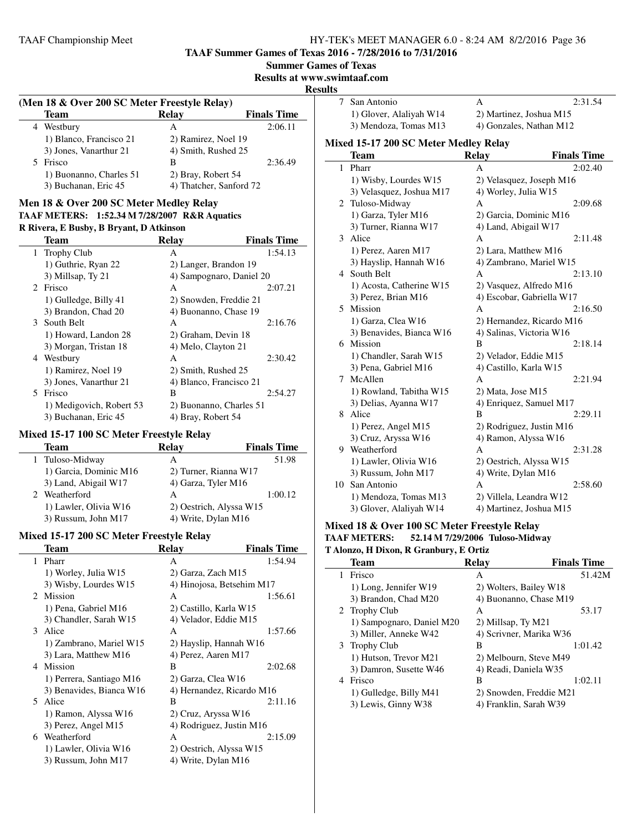**TAAF Summer Games of Texas 2016 - 7/28/2016 to 7/31/2016**

**Summer Games of Texas**

**Results at www.swimtaaf.com**

#### **Results**

 $\overline{\phantom{a}}$ 

| (Men 18 & Over 200 SC Meter Freestyle Relay) |                         |                         |                    |  |
|----------------------------------------------|-------------------------|-------------------------|--------------------|--|
|                                              | Team                    | Relay                   | <b>Finals Time</b> |  |
|                                              | 4 Westbury              | А                       | 2:06.11            |  |
|                                              | 1) Blanco, Francisco 21 | 2) Ramirez, Noel 19     |                    |  |
|                                              | 3) Jones, Vanarthur 21  | 4) Smith, Rushed 25     |                    |  |
|                                              | Frisco                  | В                       | 2:36.49            |  |
|                                              | 1) Buonanno, Charles 51 | 2) Bray, Robert 54      |                    |  |
|                                              | 3) Buchanan, Eric 45    | 4) Thatcher, Sanford 72 |                    |  |

# **Men 18 & Over 200 SC Meter Medley Relay**

# **TAAF METERS: 1:52.34 M 7/28/2007 R&R Aquatics**

#### **R Rivera, E Busby, B Bryant, D Atkinson**

|    | <b>Team</b>              | <b>Relav</b>             | <b>Finals Time</b> |
|----|--------------------------|--------------------------|--------------------|
|    | 1 Trophy Club            | A                        | 1:54.13            |
|    | 1) Guthrie, Ryan 22      | 2) Langer, Brandon 19    |                    |
|    | 3) Millsap, Ty 21        | 4) Sampognaro, Daniel 20 |                    |
|    | 2 Frisco                 | A                        | 2:07.21            |
|    | 1) Gulledge, Billy 41    | 2) Snowden, Freddie 21   |                    |
|    | 3) Brandon, Chad 20      | 4) Buonanno, Chase 19    |                    |
|    | 3 South Belt             | А                        | 2:16.76            |
|    | 1) Howard, Landon 28     | 2) Graham, Devin 18      |                    |
|    | 3) Morgan, Tristan 18    | 4) Melo, Clayton 21      |                    |
|    | 4 Westbury               | A                        | 2:30.42            |
|    | 1) Ramirez, Noel 19      | 2) Smith, Rushed 25      |                    |
|    | 3) Jones, Vanarthur 21   | 4) Blanco, Francisco 21  |                    |
| 5. | Frisco                   | B                        | 2:54.27            |
|    | 1) Medigovich, Robert 53 | 2) Buonanno, Charles 51  |                    |
|    | 3) Buchanan, Eric 45     | 4) Bray, Robert 54       |                    |

## **Mixed 15-17 100 SC Meter Freestyle Relay**

 $\overline{a}$ 

| Team                   | <b>Relav</b>            | <b>Finals Time</b> |
|------------------------|-------------------------|--------------------|
| Tuloso-Midway<br>1     | А                       | 51.98              |
| 1) Garcia, Dominic M16 | 2) Turner, Rianna W17   |                    |
| 3) Land, Abigail W17   | 4) Garza, Tyler M16     |                    |
| 2 Weatherford          | А                       | 1:00.12            |
| 1) Lawler, Olivia W16  | 2) Oestrich, Alyssa W15 |                    |
| 3) Russum, John M17    | 4) Write, Dylan M16     |                    |

#### **Mixed 15-17 200 SC Meter Freestyle Relay**

|    | Team                     | <b>Relay</b>                | <b>Finals Time</b> |
|----|--------------------------|-----------------------------|--------------------|
|    | 1 Pharr                  | A                           | 1:54.94            |
|    | 1) Worley, Julia W15     | 2) Garza, Zach M15          |                    |
|    | 3) Wisby, Lourdes W15    | 4) Hinojosa, Betsehim M17   |                    |
|    | 2 Mission                | A                           | 1:56.61            |
|    | 1) Pena, Gabriel M16     | 2) Castillo, Karla W15      |                    |
|    | 3) Chandler, Sarah W15   | 4) Velador, Eddie M15       |                    |
| 3  | Alice                    | A                           | 1:57.66            |
|    | 1) Zambrano, Mariel W15  | 2) Hayslip, Hannah W16      |                    |
|    | 3) Lara, Matthew M16     | 4) Perez, Aaren M17         |                    |
| 4  | Mission                  | B                           | 2:02.68            |
|    | 1) Perrera, Santiago M16 | 2) Garza, Clea W16          |                    |
|    | 3) Benavides, Bianca W16 | 4) Hernandez, Ricardo M16   |                    |
| 5. | Alice                    | B                           | 2:11.16            |
|    | 1) Ramon, Alyssa W16     | 2) Cruz, Aryssa W16         |                    |
|    | 3) Perez, Angel M15      | 4) Rodriguez, Justin M $16$ |                    |
| 6  | Weatherford              | A                           | 2:15.09            |
|    | 1) Lawler, Olivia W16    | 2) Oestrich, Alyssa W15     |                    |
|    | 3) Russum, John M17      | 4) Write, Dylan M16         |                    |

| பட           |                                       |                           |                    |
|--------------|---------------------------------------|---------------------------|--------------------|
| 7            | San Antonio                           | А                         | 2:31.54            |
|              | 1) Glover, Alaliyah W14               | 2) Martinez, Joshua M15   |                    |
|              | 3) Mendoza, Tomas M13                 | 4) Gonzales, Nathan M12   |                    |
|              | Mixed 15-17 200 SC Meter Medley Relay |                           |                    |
|              |                                       |                           |                    |
|              | <b>Team</b>                           | <b>Relay</b>              | <b>Finals Time</b> |
| $\mathbf{1}$ | Pharr                                 | A                         | 2:02.40            |
|              | 1) Wisby, Lourdes W15                 | 2) Velasquez, Joseph M16  |                    |
|              | 3) Velasquez, Joshua M17              | 4) Worley, Julia W15      |                    |
| 2            | Tuloso-Midway                         | A                         | 2:09.68            |
|              | 1) Garza, Tyler M16                   | 2) Garcia, Dominic M16    |                    |
|              | 3) Turner, Rianna W17                 | 4) Land, Abigail W17      |                    |
| 3            | Alice                                 | А                         | 2:11.48            |
|              | 1) Perez, Aaren M17                   | 2) Lara, Matthew M16      |                    |
|              | 3) Hayslip, Hannah W16                | 4) Zambrano, Mariel W15   |                    |
| 4            | South Belt                            | A                         | 2:13.10            |
|              | 1) Acosta, Catherine W15              | 2) Vasquez, Alfredo M16   |                    |
|              | 3) Perez, Brian M16                   | 4) Escobar, Gabriella W17 |                    |
| 5.           | Mission                               | A                         | 2:16.50            |
|              | 1) Garza, Clea W16                    | 2) Hernandez, Ricardo M16 |                    |
|              | 3) Benavides, Bianca W16              | 4) Salinas, Victoria W16  |                    |
|              | 6 Mission                             | B                         | 2:18.14            |
|              | 1) Chandler, Sarah W15                | 2) Velador, Eddie M15     |                    |
|              | 3) Pena, Gabriel M16                  | 4) Castillo, Karla W15    |                    |
| 7            | McAllen                               | A                         | 2:21.94            |
|              | 1) Rowland, Tabitha W15               | 2) Mata, Jose M15         |                    |
|              | 3) Delias, Ayanna W17                 | 4) Enriquez, Samuel M17   |                    |
| 8            | Alice                                 | B                         | 2:29.11            |
|              | 1) Perez, Angel M15                   | 2) Rodriguez, Justin M16  |                    |
|              | 3) Cruz, Aryssa W16                   | 4) Ramon, Alyssa W16      |                    |
| 9            | Weatherford                           | A                         | 2:31.28            |
|              | 1) Lawler, Olivia W16                 | 2) Oestrich, Alyssa W15   |                    |
|              | 3) Russum, John M17                   | 4) Write, Dylan M16       |                    |
| 10           | San Antonio                           | A                         | 2:58.60            |
|              | 1) Mendoza, Tomas M13                 | 2) Villela, Leandra W12   |                    |
|              | 3) Glover, Alaliyah W14               | 4) Martinez, Joshua M15   |                    |
|              |                                       |                           |                    |

#### **Mixed 18 & Over 100 SC Meter Freestyle Relay TAAF METERS: 52.14 M 7/29/2006 Tuloso-Midway T Alonzo, H Dixon, R Granbury, E Ortiz**

| <b>Team</b>               | Relay                               | <b>Finals Time</b>                                                                                                                                                                                        |
|---------------------------|-------------------------------------|-----------------------------------------------------------------------------------------------------------------------------------------------------------------------------------------------------------|
| Frisco                    | A                                   | 51.42M                                                                                                                                                                                                    |
| 1) Long, Jennifer W19     |                                     |                                                                                                                                                                                                           |
| 3) Brandon, Chad M20      |                                     |                                                                                                                                                                                                           |
|                           | A                                   | 53.17                                                                                                                                                                                                     |
| 1) Sampognaro, Daniel M20 |                                     |                                                                                                                                                                                                           |
| 3) Miller, Anneke W42     |                                     |                                                                                                                                                                                                           |
|                           | В                                   | 1:01.42                                                                                                                                                                                                   |
| 1) Hutson, Trevor M21     |                                     |                                                                                                                                                                                                           |
| 3) Damron, Susette W46    |                                     |                                                                                                                                                                                                           |
| Frisco                    | в                                   | 1:02.11                                                                                                                                                                                                   |
| 1) Gulledge, Billy M41    |                                     |                                                                                                                                                                                                           |
| 3) Lewis, Ginny W38       |                                     |                                                                                                                                                                                                           |
|                           | 1<br>2 Trophy Club<br>3 Trophy Club | 2) Wolters, Bailey W18<br>4) Buonanno, Chase M19<br>2) Millsap, Ty M21<br>4) Scrivner, Marika W36<br>2) Melbourn, Steve M49<br>4) Readi, Daniela W35<br>2) Snowden, Freddie M21<br>4) Franklin, Sarah W39 |